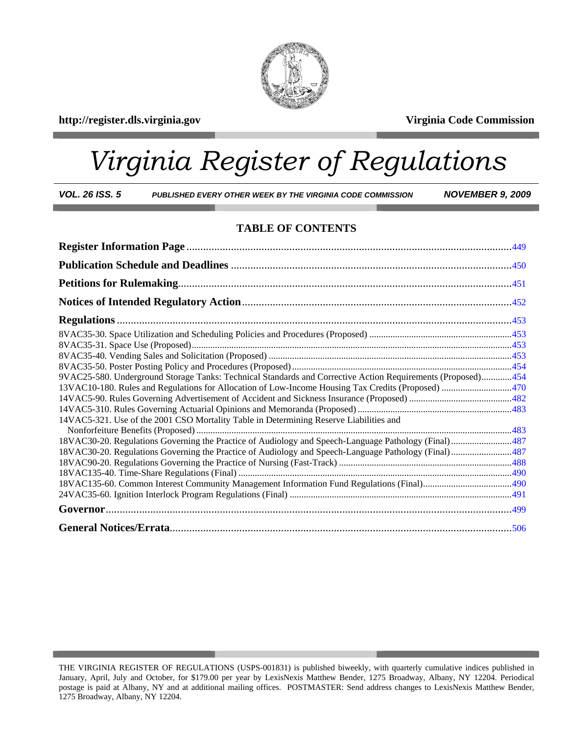

**http://register.dls.virginia.gov Virginia Code Commission** 

# *Virginia Register of Regulations*

*VOL. 26 ISS. 5 PUBLISHED EVERY OTHER WEEK BY THE VIRGINIA CODE COMMISSION NOVEMBER 9, 2009* 

#### **TABLE OF CONTENTS**

| 9VAC25-580. Underground Storage Tanks: Technical Standards and Corrective Action Requirements (Proposed)454 |  |
|-------------------------------------------------------------------------------------------------------------|--|
|                                                                                                             |  |
|                                                                                                             |  |
|                                                                                                             |  |
| 14VAC5-321. Use of the 2001 CSO Mortality Table in Determining Reserve Liabilities and                      |  |
|                                                                                                             |  |
| 18VAC30-20. Regulations Governing the Practice of Audiology and Speech-Language Pathology (Final)487        |  |
| 18VAC30-20. Regulations Governing the Practice of Audiology and Speech-Language Pathology (Final)487        |  |
|                                                                                                             |  |
|                                                                                                             |  |
|                                                                                                             |  |
|                                                                                                             |  |
|                                                                                                             |  |
|                                                                                                             |  |

THE VIRGINIA REGISTER OF REGULATIONS (USPS-001831) is published biweekly, with quarterly cumulative indices published in January, April, July and October, for \$179.00 per year by LexisNexis Matthew Bender, 1275 Broadway, Albany, NY 12204. Periodical postage is paid at Albany, NY and at additional mailing offices. POSTMASTER: Send address changes to LexisNexis Matthew Bender, 1275 Broadway, Albany, NY 12204.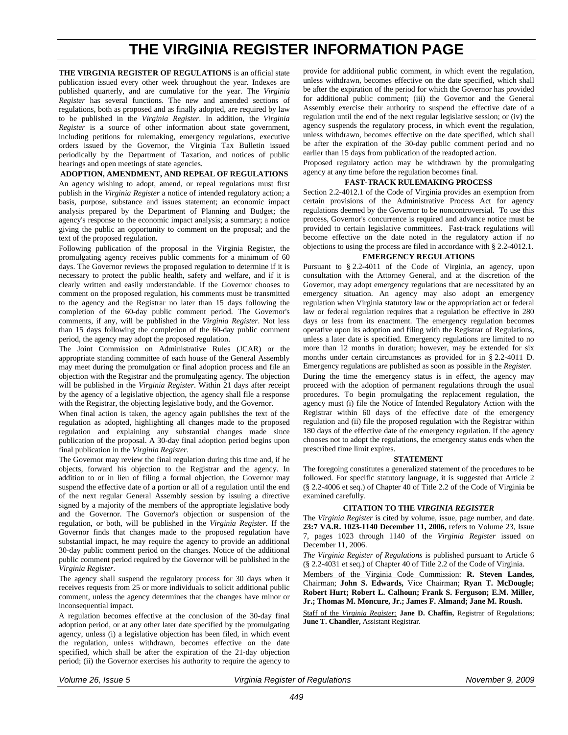### **THE VIRGINIA REGISTER INFORMATION PAGE**

<span id="page-1-0"></span>**THE VIRGINIA REGISTER OF REGULATIONS** is an official state publication issued every other week throughout the year. Indexes are published quarterly, and are cumulative for the year. The *Virginia Register* has several functions. The new and amended sections of regulations, both as proposed and as finally adopted, are required by law to be published in the *Virginia Register*. In addition, the *Virginia Register* is a source of other information about state government, including petitions for rulemaking, emergency regulations, executive orders issued by the Governor, the Virginia Tax Bulletin issued periodically by the Department of Taxation, and notices of public hearings and open meetings of state agencies.

#### **ADOPTION, AMENDMENT, AND REPEAL OF REGULATIONS**

An agency wishing to adopt, amend, or repeal regulations must first publish in the *Virginia Register* a notice of intended regulatory action; a basis, purpose, substance and issues statement; an economic impact analysis prepared by the Department of Planning and Budget; the agency's response to the economic impact analysis; a summary; a notice giving the public an opportunity to comment on the proposal; and the text of the proposed regulation.

Following publication of the proposal in the Virginia Register, the promulgating agency receives public comments for a minimum of 60 days. The Governor reviews the proposed regulation to determine if it is necessary to protect the public health, safety and welfare, and if it is clearly written and easily understandable. If the Governor chooses to comment on the proposed regulation, his comments must be transmitted to the agency and the Registrar no later than 15 days following the completion of the 60-day public comment period. The Governor's comments, if any, will be published in the *Virginia Register*. Not less than 15 days following the completion of the 60-day public comment period, the agency may adopt the proposed regulation.

The Joint Commission on Administrative Rules (JCAR) or the appropriate standing committee of each house of the General Assembly may meet during the promulgation or final adoption process and file an objection with the Registrar and the promulgating agency. The objection will be published in the *Virginia Register*. Within 21 days after receipt by the agency of a legislative objection, the agency shall file a response with the Registrar, the objecting legislative body, and the Governor.

When final action is taken, the agency again publishes the text of the regulation as adopted, highlighting all changes made to the proposed regulation and explaining any substantial changes made since publication of the proposal. A 30-day final adoption period begins upon final publication in the *Virginia Register*.

The Governor may review the final regulation during this time and, if he objects, forward his objection to the Registrar and the agency. In addition to or in lieu of filing a formal objection, the Governor may suspend the effective date of a portion or all of a regulation until the end of the next regular General Assembly session by issuing a directive signed by a majority of the members of the appropriate legislative body and the Governor. The Governor's objection or suspension of the regulation, or both, will be published in the *Virginia Register*. If the Governor finds that changes made to the proposed regulation have substantial impact, he may require the agency to provide an additional 30-day public comment period on the changes. Notice of the additional public comment period required by the Governor will be published in the *Virginia Register*.

The agency shall suspend the regulatory process for 30 days when it receives requests from 25 or more individuals to solicit additional public comment, unless the agency determines that the changes have minor or inconsequential impact.

A regulation becomes effective at the conclusion of the 30-day final adoption period, or at any other later date specified by the promulgating agency, unless (i) a legislative objection has been filed, in which event the regulation, unless withdrawn, becomes effective on the date specified, which shall be after the expiration of the 21-day objection period; (ii) the Governor exercises his authority to require the agency to provide for additional public comment, in which event the regulation, unless withdrawn, becomes effective on the date specified, which shall be after the expiration of the period for which the Governor has provided for additional public comment; (iii) the Governor and the General Assembly exercise their authority to suspend the effective date of a regulation until the end of the next regular legislative session; or (iv) the agency suspends the regulatory process, in which event the regulation, unless withdrawn, becomes effective on the date specified, which shall be after the expiration of the 30-day public comment period and no earlier than 15 days from publication of the readopted action.

Proposed regulatory action may be withdrawn by the promulgating agency at any time before the regulation becomes final.

#### **FAST-TRACK RULEMAKING PROCESS**

Section 2.2-4012.1 of the Code of Virginia provides an exemption from certain provisions of the Administrative Process Act for agency regulations deemed by the Governor to be noncontroversial. To use this process, Governor's concurrence is required and advance notice must be provided to certain legislative committees. Fast-track regulations will become effective on the date noted in the regulatory action if no objections to using the process are filed in accordance with § 2.2-4012.1.

#### **EMERGENCY REGULATIONS**

Pursuant to § 2.2-4011 of the Code of Virginia, an agency, upon consultation with the Attorney General, and at the discretion of the Governor, may adopt emergency regulations that are necessitated by an emergency situation. An agency may also adopt an emergency regulation when Virginia statutory law or the appropriation act or federal law or federal regulation requires that a regulation be effective in 280 days or less from its enactment. The emergency regulation becomes operative upon its adoption and filing with the Registrar of Regulations, unless a later date is specified. Emergency regulations are limited to no more than 12 months in duration; however, may be extended for six months under certain circumstances as provided for in § 2.2-4011 D. Emergency regulations are published as soon as possible in the *Register*. During the time the emergency status is in effect, the agency may proceed with the adoption of permanent regulations through the usual procedures. To begin promulgating the replacement regulation, the agency must (i) file the Notice of Intended Regulatory Action with the Registrar within 60 days of the effective date of the emergency regulation and (ii) file the proposed regulation with the Registrar within 180 days of the effective date of the emergency regulation. If the agency chooses not to adopt the regulations, the emergency status ends when the prescribed time limit expires.

#### **STATEMENT**

The foregoing constitutes a generalized statement of the procedures to be followed. For specific statutory language, it is suggested that Article 2 (§ 2.2-4006 et seq.) of Chapter 40 of Title 2.2 of the Code of Virginia be examined carefully.

#### **CITATION TO THE** *VIRGINIA REGISTER*

The *Virginia Register* is cited by volume, issue, page number, and date. **23:7 VA.R. 1023-1140 December 11, 2006,** refers to Volume 23, Issue 7, pages 1023 through 1140 of the *Virginia Register* issued on December 11, 2006.

*The Virginia Register of Regulations* is published pursuant to Article 6 (§ 2.2-4031 et seq.) of Chapter 40 of Title 2.2 of the Code of Virginia.

Members of the Virginia Code Commission: **R. Steven Landes,** Chairman; **John S. Edwards,** Vice Chairman; **Ryan T. McDougle; Robert Hurt; Robert L. Calhoun; Frank S. Ferguson; E.M. Miller, Jr.; Thomas M. Moncure, Jr.; James F. Almand; Jane M. Roush.** 

Staff of the *Virginia Register:* **Jane D. Chaffin,** Registrar of Regulations; **June T. Chandler,** Assistant Registrar.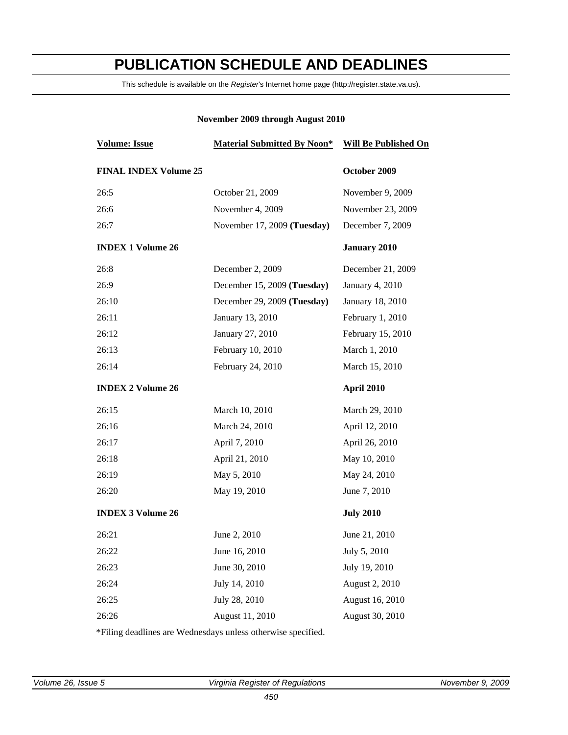## <span id="page-2-0"></span>**PUBLICATION SCHEDULE AND DEADLINES**

This schedule is available on the *Register*'s Internet home page (http://register.state.va.us).

#### **November 2009 through August 2010**

| <b>Volume: Issue</b>         | <b>Material Submitted By Noon*</b> | <b>Will Be Published On</b> |
|------------------------------|------------------------------------|-----------------------------|
| <b>FINAL INDEX Volume 25</b> |                                    | October 2009                |
| 26:5                         | October 21, 2009                   | November 9, 2009            |
| 26:6                         | November 4, 2009                   | November 23, 2009           |
| 26:7                         | November 17, 2009 (Tuesday)        | December 7, 2009            |
| <b>INDEX 1 Volume 26</b>     |                                    | <b>January 2010</b>         |
| 26:8                         | December 2, 2009                   | December 21, 2009           |
| 26:9                         | December 15, 2009 (Tuesday)        | January 4, 2010             |
| 26:10                        | December 29, 2009 (Tuesday)        | January 18, 2010            |
| 26:11                        | January 13, 2010                   | February 1, 2010            |
| 26:12                        | January 27, 2010                   | February 15, 2010           |
| 26:13                        | February 10, 2010                  | March 1, 2010               |
| 26:14                        | February 24, 2010                  | March 15, 2010              |
| <b>INDEX 2 Volume 26</b>     |                                    | April 2010                  |
| 26:15                        | March 10, 2010                     | March 29, 2010              |
| 26:16                        | March 24, 2010                     | April 12, 2010              |
| 26:17                        | April 7, 2010                      | April 26, 2010              |
| 26:18                        | April 21, 2010                     | May 10, 2010                |
| 26:19                        | May 5, 2010                        | May 24, 2010                |
| 26:20                        | May 19, 2010                       | June 7, 2010                |
| <b>INDEX 3 Volume 26</b>     |                                    | <b>July 2010</b>            |
| 26:21                        | June 2, 2010                       | June 21, 2010               |
| 26:22                        | June 16, 2010                      | July 5, 2010                |
| 26:23                        | June 30, 2010                      | July 19, 2010               |
| 26:24                        | July 14, 2010                      | August 2, 2010              |
| 26:25                        | July 28, 2010                      | August 16, 2010             |
| 26:26                        | August 11, 2010                    | August 30, 2010             |
|                              |                                    |                             |

\*Filing deadlines are Wednesdays unless otherwise specified.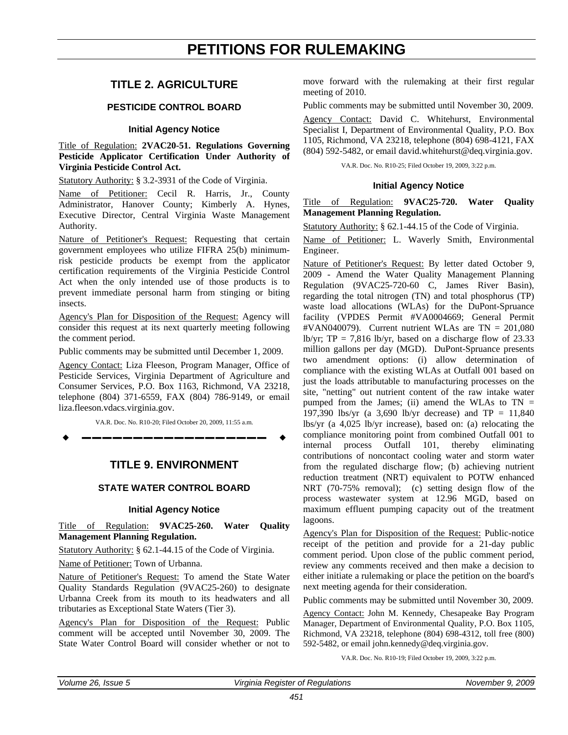#### <span id="page-3-0"></span>**TITLE 2. AGRICULTURE**

#### **PESTICIDE CONTROL BOARD**

#### **Initial Agency Notice**

Title of Regulation: **2VAC20-51. Regulations Governing Pesticide Applicator Certification Under Authority of Virginia Pesticide Control Act.** 

Statutory Authority: § 3.2-3931 of the Code of Virginia.

Name of Petitioner: Cecil R. Harris, Jr., County Administrator, Hanover County; Kimberly A. Hynes, Executive Director, Central Virginia Waste Management Authority.

Nature of Petitioner's Request: Requesting that certain government employees who utilize FIFRA 25(b) minimumrisk pesticide products be exempt from the applicator certification requirements of the Virginia Pesticide Control Act when the only intended use of those products is to prevent immediate personal harm from stinging or biting insects.

Agency's Plan for Disposition of the Request: Agency will consider this request at its next quarterly meeting following the comment period.

Public comments may be submitted until December 1, 2009.

Agency Contact: Liza Fleeson, Program Manager, Office of Pesticide Services, Virginia Department of Agriculture and Consumer Services, P.O. Box 1163, Richmond, VA 23218, telephone (804) 371-6559, FAX (804) 786-9149, or email liza.fleeson.vdacs.virginia.gov.

VA.R. Doc. No. R10-20; Filed October 20, 2009, 11:55 a.m.

**––––––––––––––––––**

#### **TITLE 9. ENVIRONMENT**

#### **STATE WATER CONTROL BOARD**

#### **Initial Agency Notice**

Title of Regulation: **9VAC25-260. Water Quality Management Planning Regulation.** 

Statutory Authority: § 62.1-44.15 of the Code of Virginia.

Name of Petitioner: Town of Urbanna.

Nature of Petitioner's Request: To amend the State Water Quality Standards Regulation (9VAC25-260) to designate Urbanna Creek from its mouth to its headwaters and all tributaries as Exceptional State Waters (Tier 3).

Agency's Plan for Disposition of the Request: Public comment will be accepted until November 30, 2009. The State Water Control Board will consider whether or not to

move forward with the rulemaking at their first regular meeting of 2010.

Public comments may be submitted until November 30, 2009.

Agency Contact: David C. Whitehurst, Environmental Specialist I, Department of Environmental Quality, P.O. Box 1105, Richmond, VA 23218, telephone (804) 698-4121, FAX (804) 592-5482, or email david.whitehurst@deq.virginia.gov.

VA.R. Doc. No. R10-25; Filed October 19, 2009, 3:22 p.m.

#### **Initial Agency Notice**

Title of Regulation: **9VAC25-720. Water Quality Management Planning Regulation.** 

Statutory Authority: § 62.1-44.15 of the Code of Virginia.

Name of Petitioner: L. Waverly Smith, Environmental Engineer.

Nature of Petitioner's Request: By letter dated October 9, 2009 - Amend the Water Quality Management Planning Regulation (9VAC25-720-60 C, James River Basin), regarding the total nitrogen (TN) and total phosphorus (TP) waste load allocations (WLAs) for the DuPont-Spruance facility (VPDES Permit #VA0004669; General Permit #VAN040079). Current nutrient WLAs are  $TN = 201,080$ lb/yr;  $TP = 7.816$  lb/yr, based on a discharge flow of 23.33 million gallons per day (MGD). DuPont-Spruance presents two amendment options: (i) allow determination of compliance with the existing WLAs at Outfall 001 based on just the loads attributable to manufacturing processes on the site, "netting" out nutrient content of the raw intake water pumped from the James; (ii) amend the WLAs to  $TN =$ 197,390 lbs/yr (a 3,690 lb/yr decrease) and  $TP = 11,840$ lbs/yr (a 4,025 lb/yr increase), based on: (a) relocating the compliance monitoring point from combined Outfall 001 to internal process Outfall 101, thereby eliminating contributions of noncontact cooling water and storm water from the regulated discharge flow; (b) achieving nutrient reduction treatment (NRT) equivalent to POTW enhanced NRT (70-75% removal); (c) setting design flow of the process wastewater system at 12.96 MGD, based on maximum effluent pumping capacity out of the treatment lagoons.

Agency's Plan for Disposition of the Request: Public-notice receipt of the petition and provide for a 21-day public comment period. Upon close of the public comment period, review any comments received and then make a decision to either initiate a rulemaking or place the petition on the board's next meeting agenda for their consideration.

Public comments may be submitted until November 30, 2009.

Agency Contact: John M. Kennedy, Chesapeake Bay Program Manager, Department of Environmental Quality, P.O. Box 1105, Richmond, VA 23218, telephone (804) 698-4312, toll free (800) 592-5482, or email john.kennedy@deq.virginia.gov.

VA.R. Doc. No. R10-19; Filed October 19, 2009, 3:22 p.m.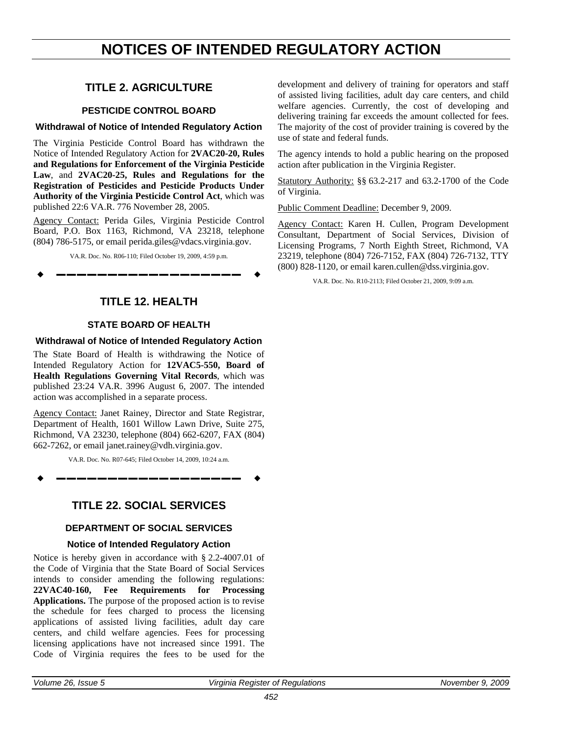### <span id="page-4-0"></span>**NOTICES OF INTENDED REGULATORY ACTION**

### **TITLE 2. AGRICULTURE**

#### **PESTICIDE CONTROL BOARD**

#### **Withdrawal of Notice of Intended Regulatory Action**

The Virginia Pesticide Control Board has withdrawn the Notice of Intended Regulatory Action for **2VAC20-20, Rules and Regulations for Enforcement of the Virginia Pesticide Law**, and **2VAC20-25, Rules and Regulations for the Registration of Pesticides and Pesticide Products Under Authority of the Virginia Pesticide Control Act**, which was published 22:6 VA.R. 776 November 28, 2005.

Agency Contact: Perida Giles, Virginia Pesticide Control Board, P.O. Box 1163, Richmond, VA 23218, telephone (804) 786-5175, or email perida.giles@vdacs.virginia.gov.

VA.R. Doc. No. R06-110; Filed October 19, 2009, 4:59 p.m.

**––––––––––––––––––**



#### **STATE BOARD OF HEALTH**

#### **Withdrawal of Notice of Intended Regulatory Action**

The State Board of Health is withdrawing the Notice of Intended Regulatory Action for **12VAC5-550, Board of Health Regulations Governing Vital Records**, which was published 23:24 VA.R. 3996 August 6, 2007. The intended action was accomplished in a separate process.

Agency Contact: Janet Rainey, Director and State Registrar, Department of Health, 1601 Willow Lawn Drive, Suite 275, Richmond, VA 23230, telephone (804) 662-6207, FAX (804) 662-7262, or email janet.rainey@vdh.virginia.gov.

VA.R. Doc. No. R07-645; Filed October 14, 2009, 10:24 a.m.

**––––––––––––––––––**

### **TITLE 22. SOCIAL SERVICES**

#### **DEPARTMENT OF SOCIAL SERVICES**

#### **Notice of Intended Regulatory Action**

Notice is hereby given in accordance with § 2.2-4007.01 of the Code of Virginia that the State Board of Social Services intends to consider amending the following regulations: **22VAC40-160, Fee Requirements for Processing Applications.** The purpose of the proposed action is to revise the schedule for fees charged to process the licensing applications of assisted living facilities, adult day care centers, and child welfare agencies. Fees for processing licensing applications have not increased since 1991. The Code of Virginia requires the fees to be used for the

development and delivery of training for operators and staff of assisted living facilities, adult day care centers, and child welfare agencies. Currently, the cost of developing and delivering training far exceeds the amount collected for fees. The majority of the cost of provider training is covered by the use of state and federal funds.

The agency intends to hold a public hearing on the proposed action after publication in the Virginia Register.

Statutory Authority: §§ 63.2-217 and 63.2-1700 of the Code of Virginia.

Public Comment Deadline: December 9, 2009.

Agency Contact: Karen H. Cullen, Program Development Consultant, Department of Social Services, Division of Licensing Programs, 7 North Eighth Street, Richmond, VA 23219, telephone (804) 726-7152, FAX (804) 726-7132, TTY (800) 828-1120, or email karen.cullen@dss.virginia.gov.

VA.R. Doc. No. R10-2113; Filed October 21, 2009, 9:09 a.m.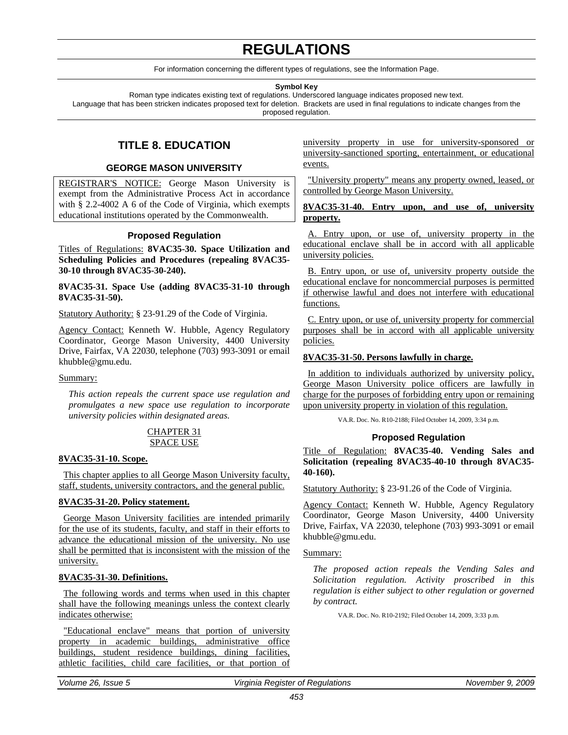### **REGULATIONS**

For information concerning the different types of regulations, see the Information Page.

#### **Symbol Key**

<span id="page-5-0"></span>Roman type indicates existing text of regulations. Underscored language indicates proposed new text. Language that has been stricken indicates proposed text for deletion. Brackets are used in final regulations to indicate changes from the proposed regulation.

#### **TITLE 8. EDUCATION**

#### **GEORGE MASON UNIVERSITY**

REGISTRAR'S NOTICE: George Mason University is exempt from the Administrative Process Act in accordance with § 2.2-4002 A 6 of the Code of Virginia, which exempts educational institutions operated by the Commonwealth.

#### **Proposed Regulation**

Titles of Regulations: **8VAC35-30. Space Utilization and Scheduling Policies and Procedures (repealing 8VAC35- 30-10 through 8VAC35-30-240).** 

**8VAC35-31. Space Use (adding 8VAC35-31-10 through 8VAC35-31-50).**

Statutory Authority: § 23-91.29 of the Code of Virginia.

Agency Contact: Kenneth W. Hubble, Agency Regulatory Coordinator, George Mason University, 4400 University Drive, Fairfax, VA 22030, telephone (703) 993-3091 or email khubble@gmu.edu.

#### Summary:

*This action repeals the current space use regulation and promulgates a new space use regulation to incorporate university policies within designated areas.*

#### CHAPTER 31 SPACE USE

#### **8VAC35-31-10. Scope.**

This chapter applies to all George Mason University faculty, staff, students, university contractors, and the general public.

#### **8VAC35-31-20. Policy statement.**

George Mason University facilities are intended primarily for the use of its students, faculty, and staff in their efforts to advance the educational mission of the university. No use shall be permitted that is inconsistent with the mission of the university.

#### **8VAC35-31-30. Definitions.**

The following words and terms when used in this chapter shall have the following meanings unless the context clearly indicates otherwise:

"Educational enclave" means that portion of university property in academic buildings, administrative office buildings, student residence buildings, dining facilities, athletic facilities, child care facilities, or that portion of university property in use for university-sponsored or university-sanctioned sporting, entertainment, or educational events.

"University property" means any property owned, leased, or controlled by George Mason University.

#### **8VAC35-31-40. Entry upon, and use of, university property.**

A. Entry upon, or use of, university property in the educational enclave shall be in accord with all applicable university policies.

B. Entry upon, or use of, university property outside the educational enclave for noncommercial purposes is permitted if otherwise lawful and does not interfere with educational functions.

C. Entry upon, or use of, university property for commercial purposes shall be in accord with all applicable university policies.

#### **8VAC35-31-50. Persons lawfully in charge.**

In addition to individuals authorized by university policy, George Mason University police officers are lawfully in charge for the purposes of forbidding entry upon or remaining upon university property in violation of this regulation.

VA.R. Doc. No. R10-2188; Filed October 14, 2009, 3:34 p.m.

#### **Proposed Regulation**

Title of Regulation: **8VAC35-40. Vending Sales and Solicitation (repealing 8VAC35-40-10 through 8VAC35- 40-160).**

Statutory Authority: § 23-91.26 of the Code of Virginia.

Agency Contact: Kenneth W. Hubble, Agency Regulatory Coordinator, George Mason University, 4400 University Drive, Fairfax, VA 22030, telephone (703) 993-3091 or email khubble@gmu.edu.

#### Summary:

*The proposed action repeals the Vending Sales and Solicitation regulation. Activity proscribed in this regulation is either subject to other regulation or governed by contract.*

VA.R. Doc. No. R10-2192; Filed October 14, 2009, 3:33 p.m.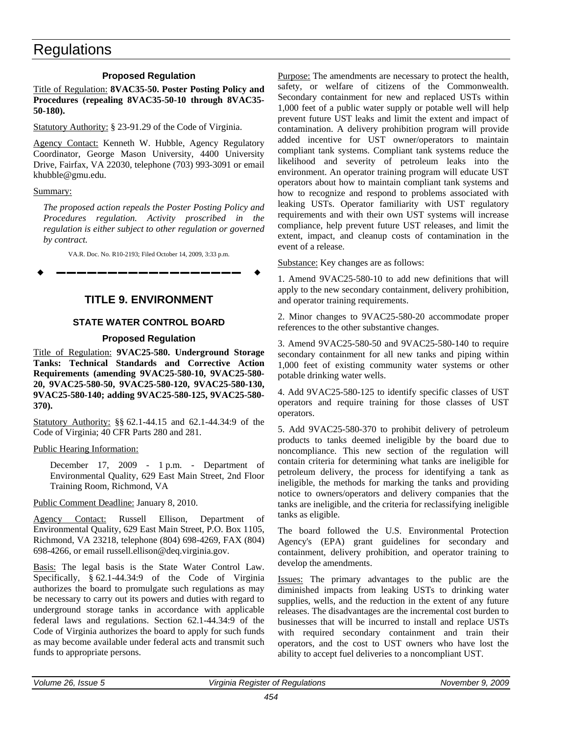#### **Proposed Regulation**

<span id="page-6-0"></span>Title of Regulation: **8VAC35-50. Poster Posting Policy and Procedures (repealing 8VAC35-50-10 through 8VAC35- 50-180).**

Statutory Authority: § 23-91.29 of the Code of Virginia.

Agency Contact: Kenneth W. Hubble, Agency Regulatory Coordinator, George Mason University, 4400 University Drive, Fairfax, VA 22030, telephone (703) 993-3091 or email khubble@gmu.edu.

Summary:

*The proposed action repeals the Poster Posting Policy and Procedures regulation. Activity proscribed in the regulation is either subject to other regulation or governed by contract.*

VA.R. Doc. No. R10-2193; Filed October 14, 2009, 3:33 p.m.

**––––––––––––––––––**

#### **TITLE 9. ENVIRONMENT**

#### **STATE WATER CONTROL BOARD**

#### **Proposed Regulation**

Title of Regulation: **9VAC25-580. Underground Storage Tanks: Technical Standards and Corrective Action Requirements (amending 9VAC25-580-10, 9VAC25-580- 20, 9VAC25-580-50, 9VAC25-580-120, 9VAC25-580-130, 9VAC25-580-140; adding 9VAC25-580-125, 9VAC25-580- 370).**

Statutory Authority: §§ 62.1-44.15 and 62.1-44.34:9 of the Code of Virginia; 40 CFR Parts 280 and 281.

Public Hearing Information:

December 17, 2009 - 1 p.m. - Department of Environmental Quality, 629 East Main Street, 2nd Floor Training Room, Richmond, VA

Public Comment Deadline: January 8, 2010.

Agency Contact: Russell Ellison, Department of Environmental Quality, 629 East Main Street, P.O. Box 1105, Richmond, VA 23218, telephone (804) 698-4269, FAX (804) 698-4266, or email russell.ellison@deq.virginia.gov.

Basis: The legal basis is the State Water Control Law. Specifically, § 62.1-44.34:9 of the Code of Virginia authorizes the board to promulgate such regulations as may be necessary to carry out its powers and duties with regard to underground storage tanks in accordance with applicable federal laws and regulations. Section 62.1-44.34:9 of the Code of Virginia authorizes the board to apply for such funds as may become available under federal acts and transmit such funds to appropriate persons.

Purpose: The amendments are necessary to protect the health, safety, or welfare of citizens of the Commonwealth. Secondary containment for new and replaced USTs within 1,000 feet of a public water supply or potable well will help prevent future UST leaks and limit the extent and impact of contamination. A delivery prohibition program will provide added incentive for UST owner/operators to maintain compliant tank systems. Compliant tank systems reduce the likelihood and severity of petroleum leaks into the environment. An operator training program will educate UST operators about how to maintain compliant tank systems and how to recognize and respond to problems associated with leaking USTs. Operator familiarity with UST regulatory requirements and with their own UST systems will increase compliance, help prevent future UST releases, and limit the extent, impact, and cleanup costs of contamination in the event of a release.

Substance: Key changes are as follows:

1. Amend 9VAC25-580-10 to add new definitions that will apply to the new secondary containment, delivery prohibition, and operator training requirements.

2. Minor changes to 9VAC25-580-20 accommodate proper references to the other substantive changes.

3. Amend 9VAC25-580-50 and 9VAC25-580-140 to require secondary containment for all new tanks and piping within 1,000 feet of existing community water systems or other potable drinking water wells.

4. Add 9VAC25-580-125 to identify specific classes of UST operators and require training for those classes of UST operators.

5. Add 9VAC25-580-370 to prohibit delivery of petroleum products to tanks deemed ineligible by the board due to noncompliance. This new section of the regulation will contain criteria for determining what tanks are ineligible for petroleum delivery, the process for identifying a tank as ineligible, the methods for marking the tanks and providing notice to owners/operators and delivery companies that the tanks are ineligible, and the criteria for reclassifying ineligible tanks as eligible.

The board followed the U.S. Environmental Protection Agency's (EPA) grant guidelines for secondary and containment, delivery prohibition, and operator training to develop the amendments.

Issues: The primary advantages to the public are the diminished impacts from leaking USTs to drinking water supplies, wells, and the reduction in the extent of any future releases. The disadvantages are the incremental cost burden to businesses that will be incurred to install and replace USTs with required secondary containment and train their operators, and the cost to UST owners who have lost the ability to accept fuel deliveries to a noncompliant UST.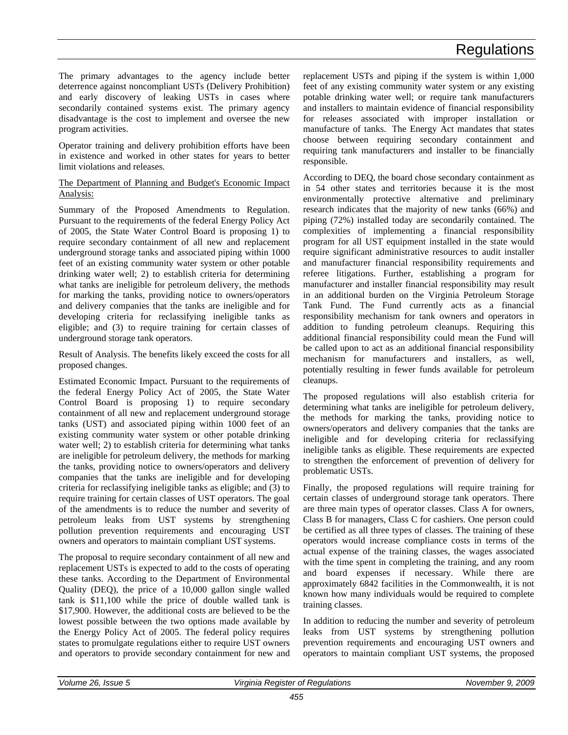The primary advantages to the agency include better deterrence against noncompliant USTs (Delivery Prohibition) and early discovery of leaking USTs in cases where secondarily contained systems exist. The primary agency disadvantage is the cost to implement and oversee the new program activities.

Operator training and delivery prohibition efforts have been in existence and worked in other states for years to better limit violations and releases.

#### The Department of Planning and Budget's Economic Impact Analysis:

Summary of the Proposed Amendments to Regulation. Pursuant to the requirements of the federal Energy Policy Act of 2005, the State Water Control Board is proposing 1) to require secondary containment of all new and replacement underground storage tanks and associated piping within 1000 feet of an existing community water system or other potable drinking water well; 2) to establish criteria for determining what tanks are ineligible for petroleum delivery, the methods for marking the tanks, providing notice to owners/operators and delivery companies that the tanks are ineligible and for developing criteria for reclassifying ineligible tanks as eligible; and (3) to require training for certain classes of underground storage tank operators.

Result of Analysis. The benefits likely exceed the costs for all proposed changes.

Estimated Economic Impact. Pursuant to the requirements of the federal Energy Policy Act of 2005, the State Water Control Board is proposing 1) to require secondary containment of all new and replacement underground storage tanks (UST) and associated piping within 1000 feet of an existing community water system or other potable drinking water well; 2) to establish criteria for determining what tanks are ineligible for petroleum delivery, the methods for marking the tanks, providing notice to owners/operators and delivery companies that the tanks are ineligible and for developing criteria for reclassifying ineligible tanks as eligible; and (3) to require training for certain classes of UST operators. The goal of the amendments is to reduce the number and severity of petroleum leaks from UST systems by strengthening pollution prevention requirements and encouraging UST owners and operators to maintain compliant UST systems.

The proposal to require secondary containment of all new and replacement USTs is expected to add to the costs of operating these tanks. According to the Department of Environmental Quality (DEQ), the price of a 10,000 gallon single walled tank is \$11,100 while the price of double walled tank is \$17,900. However, the additional costs are believed to be the lowest possible between the two options made available by the Energy Policy Act of 2005. The federal policy requires states to promulgate regulations either to require UST owners and operators to provide secondary containment for new and

replacement USTs and piping if the system is within 1,000 feet of any existing community water system or any existing potable drinking water well; or require tank manufacturers and installers to maintain evidence of financial responsibility for releases associated with improper installation or manufacture of tanks. The Energy Act mandates that states choose between requiring secondary containment and requiring tank manufacturers and installer to be financially responsible.

According to DEQ, the board chose secondary containment as in 54 other states and territories because it is the most environmentally protective alternative and preliminary research indicates that the majority of new tanks (66%) and piping (72%) installed today are secondarily contained. The complexities of implementing a financial responsibility program for all UST equipment installed in the state would require significant administrative resources to audit installer and manufacturer financial responsibility requirements and referee litigations. Further, establishing a program for manufacturer and installer financial responsibility may result in an additional burden on the Virginia Petroleum Storage Tank Fund. The Fund currently acts as a financial responsibility mechanism for tank owners and operators in addition to funding petroleum cleanups. Requiring this additional financial responsibility could mean the Fund will be called upon to act as an additional financial responsibility mechanism for manufacturers and installers, as well, potentially resulting in fewer funds available for petroleum cleanups.

The proposed regulations will also establish criteria for determining what tanks are ineligible for petroleum delivery, the methods for marking the tanks, providing notice to owners/operators and delivery companies that the tanks are ineligible and for developing criteria for reclassifying ineligible tanks as eligible. These requirements are expected to strengthen the enforcement of prevention of delivery for problematic USTs.

Finally, the proposed regulations will require training for certain classes of underground storage tank operators. There are three main types of operator classes. Class A for owners, Class B for managers, Class C for cashiers. One person could be certified as all three types of classes. The training of these operators would increase compliance costs in terms of the actual expense of the training classes, the wages associated with the time spent in completing the training, and any room and board expenses if necessary. While there are approximately 6842 facilities in the Commonwealth, it is not known how many individuals would be required to complete training classes.

In addition to reducing the number and severity of petroleum leaks from UST systems by strengthening pollution prevention requirements and encouraging UST owners and operators to maintain compliant UST systems, the proposed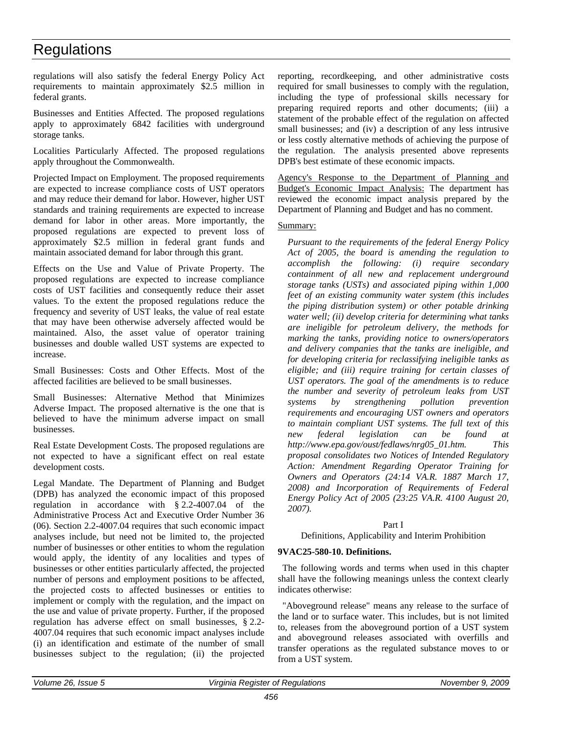regulations will also satisfy the federal Energy Policy Act requirements to maintain approximately \$2.5 million in federal grants.

Businesses and Entities Affected. The proposed regulations apply to approximately 6842 facilities with underground storage tanks.

Localities Particularly Affected. The proposed regulations apply throughout the Commonwealth.

Projected Impact on Employment. The proposed requirements are expected to increase compliance costs of UST operators and may reduce their demand for labor. However, higher UST standards and training requirements are expected to increase demand for labor in other areas. More importantly, the proposed regulations are expected to prevent loss of approximately \$2.5 million in federal grant funds and maintain associated demand for labor through this grant.

Effects on the Use and Value of Private Property. The proposed regulations are expected to increase compliance costs of UST facilities and consequently reduce their asset values. To the extent the proposed regulations reduce the frequency and severity of UST leaks, the value of real estate that may have been otherwise adversely affected would be maintained. Also, the asset value of operator training businesses and double walled UST systems are expected to increase.

Small Businesses: Costs and Other Effects. Most of the affected facilities are believed to be small businesses.

Small Businesses: Alternative Method that Minimizes Adverse Impact. The proposed alternative is the one that is believed to have the minimum adverse impact on small businesses.

Real Estate Development Costs. The proposed regulations are not expected to have a significant effect on real estate development costs.

Legal Mandate. The Department of Planning and Budget (DPB) has analyzed the economic impact of this proposed regulation in accordance with § 2.2-4007.04 of the Administrative Process Act and Executive Order Number 36 (06). Section 2.2-4007.04 requires that such economic impact analyses include, but need not be limited to, the projected number of businesses or other entities to whom the regulation would apply, the identity of any localities and types of businesses or other entities particularly affected, the projected number of persons and employment positions to be affected, the projected costs to affected businesses or entities to implement or comply with the regulation, and the impact on the use and value of private property. Further, if the proposed regulation has adverse effect on small businesses, § 2.2- 4007.04 requires that such economic impact analyses include (i) an identification and estimate of the number of small businesses subject to the regulation; (ii) the projected reporting, recordkeeping, and other administrative costs required for small businesses to comply with the regulation, including the type of professional skills necessary for preparing required reports and other documents; (iii) a statement of the probable effect of the regulation on affected small businesses; and (iv) a description of any less intrusive or less costly alternative methods of achieving the purpose of the regulation. The analysis presented above represents DPB's best estimate of these economic impacts.

Agency's Response to the Department of Planning and Budget's Economic Impact Analysis: The department has reviewed the economic impact analysis prepared by the Department of Planning and Budget and has no comment.

#### Summary:

*Pursuant to the requirements of the federal Energy Policy Act of 2005, the board is amending the regulation to accomplish the following: (i) require secondary containment of all new and replacement underground storage tanks (USTs) and associated piping within 1,000 feet of an existing community water system (this includes the piping distribution system) or other potable drinking water well; (ii) develop criteria for determining what tanks are ineligible for petroleum delivery, the methods for marking the tanks, providing notice to owners/operators and delivery companies that the tanks are ineligible, and for developing criteria for reclassifying ineligible tanks as eligible; and (iii) require training for certain classes of UST operators. The goal of the amendments is to reduce the number and severity of petroleum leaks from UST systems by strengthening pollution prevention requirements and encouraging UST owners and operators to maintain compliant UST systems. The full text of this new federal legislation can be found at http://www.epa.gov/oust/fedlaws/nrg05\_01.htm. This proposal consolidates two Notices of Intended Regulatory Action: Amendment Regarding Operator Training for Owners and Operators (24:14 VA.R. 1887 March 17, 2008) and Incorporation of Requirements of Federal Energy Policy Act of 2005 (23:25 VA.R. 4100 August 20, 2007).*

#### Part I

Definitions, Applicability and Interim Prohibition

#### **9VAC25-580-10. Definitions.**

The following words and terms when used in this chapter shall have the following meanings unless the context clearly indicates otherwise:

"Aboveground release" means any release to the surface of the land or to surface water. This includes, but is not limited to, releases from the aboveground portion of a UST system and aboveground releases associated with overfills and transfer operations as the regulated substance moves to or from a UST system.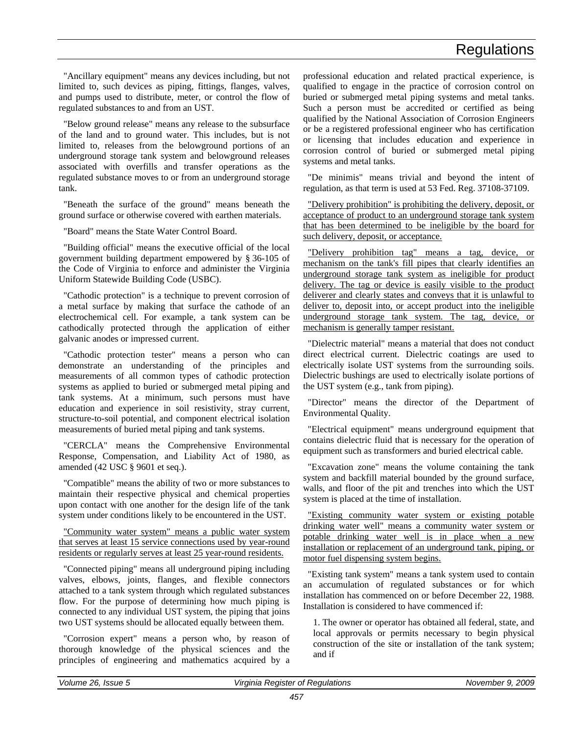"Ancillary equipment" means any devices including, but not limited to, such devices as piping, fittings, flanges, valves, and pumps used to distribute, meter, or control the flow of regulated substances to and from an UST.

"Below ground release" means any release to the subsurface of the land and to ground water. This includes, but is not limited to, releases from the belowground portions of an underground storage tank system and belowground releases associated with overfills and transfer operations as the regulated substance moves to or from an underground storage tank.

"Beneath the surface of the ground" means beneath the ground surface or otherwise covered with earthen materials.

"Board" means the State Water Control Board.

"Building official" means the executive official of the local government building department empowered by § 36-105 of the Code of Virginia to enforce and administer the Virginia Uniform Statewide Building Code (USBC).

"Cathodic protection" is a technique to prevent corrosion of a metal surface by making that surface the cathode of an electrochemical cell. For example, a tank system can be cathodically protected through the application of either galvanic anodes or impressed current.

"Cathodic protection tester" means a person who can demonstrate an understanding of the principles and measurements of all common types of cathodic protection systems as applied to buried or submerged metal piping and tank systems. At a minimum, such persons must have education and experience in soil resistivity, stray current, structure-to-soil potential, and component electrical isolation measurements of buried metal piping and tank systems.

"CERCLA" means the Comprehensive Environmental Response, Compensation, and Liability Act of 1980, as amended (42 USC § 9601 et seq.).

"Compatible" means the ability of two or more substances to maintain their respective physical and chemical properties upon contact with one another for the design life of the tank system under conditions likely to be encountered in the UST.

"Community water system" means a public water system that serves at least 15 service connections used by year-round residents or regularly serves at least 25 year-round residents.

"Connected piping" means all underground piping including valves, elbows, joints, flanges, and flexible connectors attached to a tank system through which regulated substances flow. For the purpose of determining how much piping is connected to any individual UST system, the piping that joins two UST systems should be allocated equally between them.

"Corrosion expert" means a person who, by reason of thorough knowledge of the physical sciences and the principles of engineering and mathematics acquired by a professional education and related practical experience, is qualified to engage in the practice of corrosion control on buried or submerged metal piping systems and metal tanks. Such a person must be accredited or certified as being qualified by the National Association of Corrosion Engineers or be a registered professional engineer who has certification or licensing that includes education and experience in corrosion control of buried or submerged metal piping systems and metal tanks.

"De minimis" means trivial and beyond the intent of regulation, as that term is used at 53 Fed. Reg. 37108-37109.

"Delivery prohibition" is prohibiting the delivery, deposit, or acceptance of product to an underground storage tank system that has been determined to be ineligible by the board for such delivery, deposit, or acceptance.

"Delivery prohibition tag" means a tag, device, or mechanism on the tank's fill pipes that clearly identifies an underground storage tank system as ineligible for product delivery. The tag or device is easily visible to the product deliverer and clearly states and conveys that it is unlawful to deliver to, deposit into, or accept product into the ineligible underground storage tank system. The tag, device, or mechanism is generally tamper resistant.

"Dielectric material" means a material that does not conduct direct electrical current. Dielectric coatings are used to electrically isolate UST systems from the surrounding soils. Dielectric bushings are used to electrically isolate portions of the UST system (e.g., tank from piping).

"Director" means the director of the Department of Environmental Quality.

"Electrical equipment" means underground equipment that contains dielectric fluid that is necessary for the operation of equipment such as transformers and buried electrical cable.

"Excavation zone" means the volume containing the tank system and backfill material bounded by the ground surface, walls, and floor of the pit and trenches into which the UST system is placed at the time of installation.

"Existing community water system or existing potable drinking water well" means a community water system or potable drinking water well is in place when a new installation or replacement of an underground tank, piping, or motor fuel dispensing system begins.

"Existing tank system" means a tank system used to contain an accumulation of regulated substances or for which installation has commenced on or before December 22, 1988. Installation is considered to have commenced if:

1. The owner or operator has obtained all federal, state, and local approvals or permits necessary to begin physical construction of the site or installation of the tank system; and if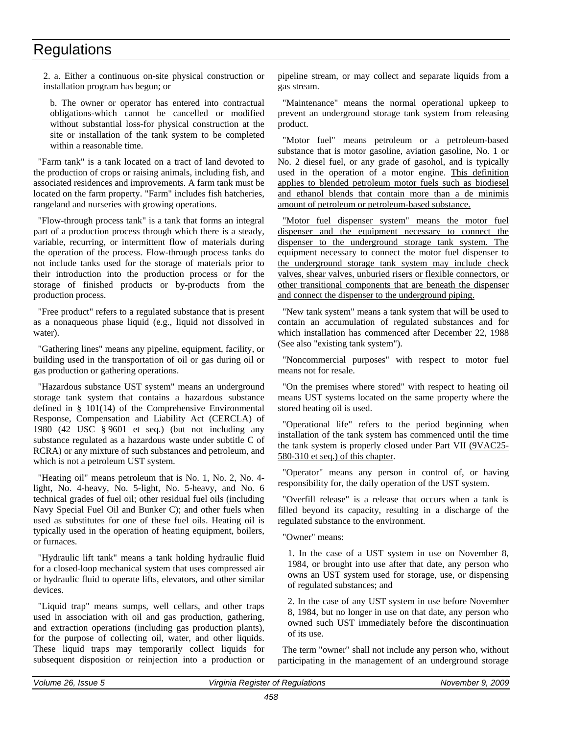2. a. Either a continuous on-site physical construction or installation program has begun; or

b. The owner or operator has entered into contractual obligations-which cannot be cancelled or modified without substantial loss-for physical construction at the site or installation of the tank system to be completed within a reasonable time.

"Farm tank" is a tank located on a tract of land devoted to the production of crops or raising animals, including fish, and associated residences and improvements. A farm tank must be located on the farm property. "Farm" includes fish hatcheries, rangeland and nurseries with growing operations.

"Flow-through process tank" is a tank that forms an integral part of a production process through which there is a steady, variable, recurring, or intermittent flow of materials during the operation of the process. Flow-through process tanks do not include tanks used for the storage of materials prior to their introduction into the production process or for the storage of finished products or by-products from the production process.

"Free product" refers to a regulated substance that is present as a nonaqueous phase liquid (e.g., liquid not dissolved in water).

"Gathering lines" means any pipeline, equipment, facility, or building used in the transportation of oil or gas during oil or gas production or gathering operations.

"Hazardous substance UST system" means an underground storage tank system that contains a hazardous substance defined in § 101(14) of the Comprehensive Environmental Response, Compensation and Liability Act (CERCLA) of 1980 (42 USC § 9601 et seq.) (but not including any substance regulated as a hazardous waste under subtitle C of RCRA) or any mixture of such substances and petroleum, and which is not a petroleum UST system.

"Heating oil" means petroleum that is No. 1, No. 2, No. 4 light, No. 4-heavy, No. 5-light, No. 5-heavy, and No. 6 technical grades of fuel oil; other residual fuel oils (including Navy Special Fuel Oil and Bunker C); and other fuels when used as substitutes for one of these fuel oils. Heating oil is typically used in the operation of heating equipment, boilers, or furnaces.

"Hydraulic lift tank" means a tank holding hydraulic fluid for a closed-loop mechanical system that uses compressed air or hydraulic fluid to operate lifts, elevators, and other similar devices.

"Liquid trap" means sumps, well cellars, and other traps used in association with oil and gas production, gathering, and extraction operations (including gas production plants), for the purpose of collecting oil, water, and other liquids. These liquid traps may temporarily collect liquids for subsequent disposition or reinjection into a production or

pipeline stream, or may collect and separate liquids from a gas stream.

"Maintenance" means the normal operational upkeep to prevent an underground storage tank system from releasing product.

"Motor fuel" means petroleum or a petroleum-based substance that is motor gasoline, aviation gasoline, No. 1 or No. 2 diesel fuel, or any grade of gasohol, and is typically used in the operation of a motor engine. This definition applies to blended petroleum motor fuels such as biodiesel and ethanol blends that contain more than a de minimis amount of petroleum or petroleum-based substance.

"Motor fuel dispenser system" means the motor fuel dispenser and the equipment necessary to connect the dispenser to the underground storage tank system. The equipment necessary to connect the motor fuel dispenser to the underground storage tank system may include check valves, shear valves, unburied risers or flexible connectors, or other transitional components that are beneath the dispenser and connect the dispenser to the underground piping.

"New tank system" means a tank system that will be used to contain an accumulation of regulated substances and for which installation has commenced after December 22, 1988 (See also "existing tank system").

"Noncommercial purposes" with respect to motor fuel means not for resale.

"On the premises where stored" with respect to heating oil means UST systems located on the same property where the stored heating oil is used.

"Operational life" refers to the period beginning when installation of the tank system has commenced until the time the tank system is properly closed under Part VII (9VAC25- 580-310 et seq.) of this chapter.

"Operator" means any person in control of, or having responsibility for, the daily operation of the UST system.

"Overfill release" is a release that occurs when a tank is filled beyond its capacity, resulting in a discharge of the regulated substance to the environment.

"Owner" means:

1. In the case of a UST system in use on November 8, 1984, or brought into use after that date, any person who owns an UST system used for storage, use, or dispensing of regulated substances; and

2. In the case of any UST system in use before November 8, 1984, but no longer in use on that date, any person who owned such UST immediately before the discontinuation of its use.

The term "owner" shall not include any person who, without participating in the management of an underground storage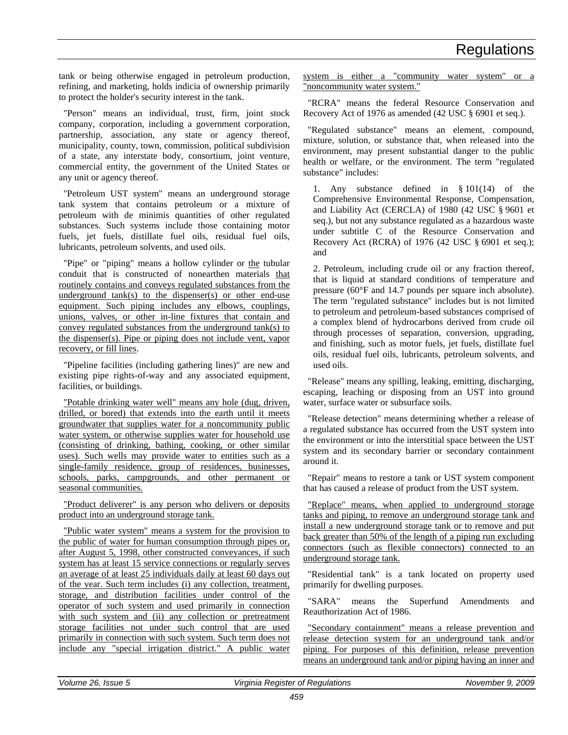tank or being otherwise engaged in petroleum production, refining, and marketing, holds indicia of ownership primarily to protect the holder's security interest in the tank.

"Person" means an individual, trust, firm, joint stock company, corporation, including a government corporation, partnership, association, any state or agency thereof, municipality, county, town, commission, political subdivision of a state, any interstate body, consortium, joint venture, commercial entity, the government of the United States or any unit or agency thereof.

"Petroleum UST system" means an underground storage tank system that contains petroleum or a mixture of petroleum with de minimis quantities of other regulated substances. Such systems include those containing motor fuels, jet fuels, distillate fuel oils, residual fuel oils, lubricants, petroleum solvents, and used oils.

"Pipe" or "piping" means a hollow cylinder or the tubular conduit that is constructed of nonearthen materials that routinely contains and conveys regulated substances from the underground tank(s) to the dispenser(s) or other end-use equipment. Such piping includes any elbows, couplings, unions, valves, or other in-line fixtures that contain and convey regulated substances from the underground tank(s) to the dispenser(s). Pipe or piping does not include vent, vapor recovery, or fill lines.

"Pipeline facilities (including gathering lines)" are new and existing pipe rights-of-way and any associated equipment, facilities, or buildings.

"Potable drinking water well" means any hole (dug, driven, drilled, or bored) that extends into the earth until it meets groundwater that supplies water for a noncommunity public water system, or otherwise supplies water for household use (consisting of drinking, bathing, cooking, or other similar uses). Such wells may provide water to entities such as a single-family residence, group of residences, businesses, schools, parks, campgrounds, and other permanent or seasonal communities.

"Product deliverer" is any person who delivers or deposits product into an underground storage tank.

"Public water system" means a system for the provision to the public of water for human consumption through pipes or, after August 5, 1998, other constructed conveyances, if such system has at least 15 service connections or regularly serves an average of at least 25 individuals daily at least 60 days out of the year. Such term includes (i) any collection, treatment, storage, and distribution facilities under control of the operator of such system and used primarily in connection with such system and (ii) any collection or pretreatment storage facilities not under such control that are used primarily in connection with such system. Such term does not include any "special irrigation district." A public water

system is either a "community water system" or a "noncommunity water system."

"RCRA" means the federal Resource Conservation and Recovery Act of 1976 as amended (42 USC § 6901 et seq.).

"Regulated substance" means an element, compound, mixture, solution, or substance that, when released into the environment, may present substantial danger to the public health or welfare, or the environment. The term "regulated substance" includes:

1. Any substance defined in § 101(14) of the Comprehensive Environmental Response, Compensation, and Liability Act (CERCLA) of 1980 (42 USC § 9601 et seq.), but not any substance regulated as a hazardous waste under subtitle C of the Resource Conservation and Recovery Act (RCRA) of 1976 (42 USC § 6901 et seq.); and

2. Petroleum, including crude oil or any fraction thereof, that is liquid at standard conditions of temperature and pressure (60°F and 14.7 pounds per square inch absolute). The term "regulated substance" includes but is not limited to petroleum and petroleum-based substances comprised of a complex blend of hydrocarbons derived from crude oil through processes of separation, conversion, upgrading, and finishing, such as motor fuels, jet fuels, distillate fuel oils, residual fuel oils, lubricants, petroleum solvents, and used oils.

"Release" means any spilling, leaking, emitting, discharging, escaping, leaching or disposing from an UST into ground water, surface water or subsurface soils.

"Release detection" means determining whether a release of a regulated substance has occurred from the UST system into the environment or into the interstitial space between the UST system and its secondary barrier or secondary containment around it.

"Repair" means to restore a tank or UST system component that has caused a release of product from the UST system.

"Replace" means, when applied to underground storage tanks and piping, to remove an underground storage tank and install a new underground storage tank or to remove and put back greater than 50% of the length of a piping run excluding connectors (such as flexible connectors) connected to an underground storage tank.

"Residential tank" is a tank located on property used primarily for dwelling purposes.

"SARA" means the Superfund Amendments and Reauthorization Act of 1986.

"Secondary containment" means a release prevention and release detection system for an underground tank and/or piping. For purposes of this definition, release prevention means an underground tank and/or piping having an inner and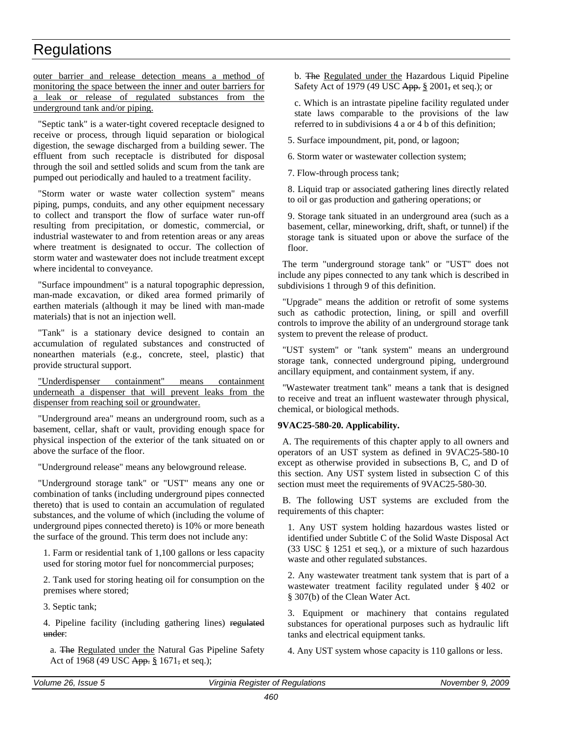outer barrier and release detection means a method of monitoring the space between the inner and outer barriers for a leak or release of regulated substances from the underground tank and/or piping.

"Septic tank" is a water-tight covered receptacle designed to receive or process, through liquid separation or biological digestion, the sewage discharged from a building sewer. The effluent from such receptacle is distributed for disposal through the soil and settled solids and scum from the tank are pumped out periodically and hauled to a treatment facility.

"Storm water or waste water collection system" means piping, pumps, conduits, and any other equipment necessary to collect and transport the flow of surface water run-off resulting from precipitation, or domestic, commercial, or industrial wastewater to and from retention areas or any areas where treatment is designated to occur. The collection of storm water and wastewater does not include treatment except where incidental to conveyance.

"Surface impoundment" is a natural topographic depression, man-made excavation, or diked area formed primarily of earthen materials (although it may be lined with man-made materials) that is not an injection well.

"Tank" is a stationary device designed to contain an accumulation of regulated substances and constructed of nonearthen materials (e.g., concrete, steel, plastic) that provide structural support.

"Underdispenser containment" means containment underneath a dispenser that will prevent leaks from the dispenser from reaching soil or groundwater.

"Underground area" means an underground room, such as a basement, cellar, shaft or vault, providing enough space for physical inspection of the exterior of the tank situated on or above the surface of the floor.

"Underground release" means any belowground release.

"Underground storage tank" or "UST" means any one or combination of tanks (including underground pipes connected thereto) that is used to contain an accumulation of regulated substances, and the volume of which (including the volume of underground pipes connected thereto) is 10% or more beneath the surface of the ground. This term does not include any:

1. Farm or residential tank of 1,100 gallons or less capacity used for storing motor fuel for noncommercial purposes;

2. Tank used for storing heating oil for consumption on the premises where stored;

3. Septic tank;

4. Pipeline facility (including gathering lines) regulated under:

a. The Regulated under the Natural Gas Pipeline Safety Act of 1968 (49 USC App. § 1671, et seq.);

b. The Regulated under the Hazardous Liquid Pipeline Safety Act of 1979 (49 USC App. § 2001, et seq.); or

c. Which is an intrastate pipeline facility regulated under state laws comparable to the provisions of the law referred to in subdivisions 4 a or 4 b of this definition;

5. Surface impoundment, pit, pond, or lagoon;

6. Storm water or wastewater collection system;

7. Flow-through process tank;

8. Liquid trap or associated gathering lines directly related to oil or gas production and gathering operations; or

9. Storage tank situated in an underground area (such as a basement, cellar, mineworking, drift, shaft, or tunnel) if the storage tank is situated upon or above the surface of the floor.

The term "underground storage tank" or "UST" does not include any pipes connected to any tank which is described in subdivisions 1 through 9 of this definition.

"Upgrade" means the addition or retrofit of some systems such as cathodic protection, lining, or spill and overfill controls to improve the ability of an underground storage tank system to prevent the release of product.

"UST system" or "tank system" means an underground storage tank, connected underground piping, underground ancillary equipment, and containment system, if any.

"Wastewater treatment tank" means a tank that is designed to receive and treat an influent wastewater through physical, chemical, or biological methods.

#### **9VAC25-580-20. Applicability.**

A. The requirements of this chapter apply to all owners and operators of an UST system as defined in 9VAC25-580-10 except as otherwise provided in subsections B, C, and D of this section. Any UST system listed in subsection C of this section must meet the requirements of 9VAC25-580-30.

B. The following UST systems are excluded from the requirements of this chapter:

1. Any UST system holding hazardous wastes listed or identified under Subtitle C of the Solid Waste Disposal Act (33 USC § 1251 et seq.), or a mixture of such hazardous waste and other regulated substances.

2. Any wastewater treatment tank system that is part of a wastewater treatment facility regulated under § 402 or § 307(b) of the Clean Water Act.

3. Equipment or machinery that contains regulated substances for operational purposes such as hydraulic lift tanks and electrical equipment tanks.

4. Any UST system whose capacity is 110 gallons or less.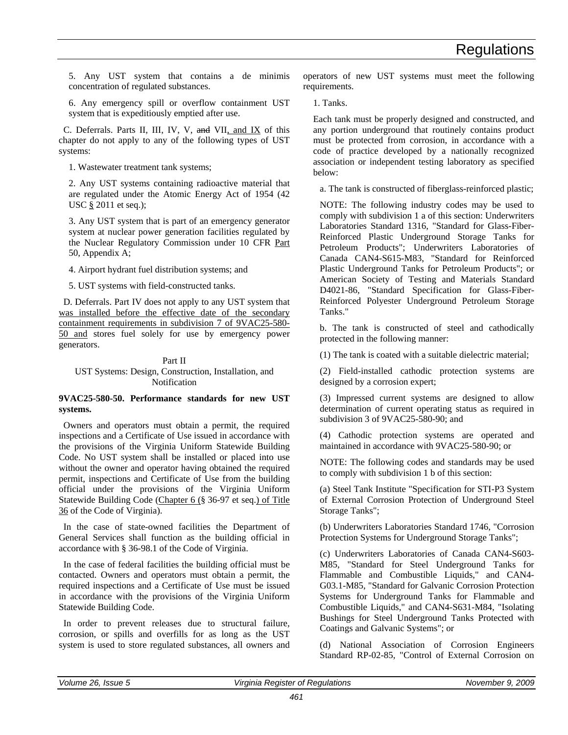5. Any UST system that contains a de minimis concentration of regulated substances.

6. Any emergency spill or overflow containment UST system that is expeditiously emptied after use.

C. Deferrals. Parts II, III, IV, V, and VII, and IX of this chapter do not apply to any of the following types of UST systems:

1. Wastewater treatment tank systems;

2. Any UST systems containing radioactive material that are regulated under the Atomic Energy Act of 1954 (42 USC § 2011 et seq.);

3. Any UST system that is part of an emergency generator system at nuclear power generation facilities regulated by the Nuclear Regulatory Commission under 10 CFR Part 50, Appendix A;

4. Airport hydrant fuel distribution systems; and

5. UST systems with field-constructed tanks.

D. Deferrals. Part IV does not apply to any UST system that was installed before the effective date of the secondary containment requirements in subdivision 7 of 9VAC25-580- 50 and stores fuel solely for use by emergency power generators.

#### Part II

UST Systems: Design, Construction, Installation, and Notification

#### **9VAC25-580-50. Performance standards for new UST systems.**

Owners and operators must obtain a permit, the required inspections and a Certificate of Use issued in accordance with the provisions of the Virginia Uniform Statewide Building Code. No UST system shall be installed or placed into use without the owner and operator having obtained the required permit, inspections and Certificate of Use from the building official under the provisions of the Virginia Uniform Statewide Building Code (Chapter 6 (§ 36-97 et seq.) of Title 36 of the Code of Virginia).

In the case of state-owned facilities the Department of General Services shall function as the building official in accordance with § 36-98.1 of the Code of Virginia.

In the case of federal facilities the building official must be contacted. Owners and operators must obtain a permit, the required inspections and a Certificate of Use must be issued in accordance with the provisions of the Virginia Uniform Statewide Building Code.

In order to prevent releases due to structural failure, corrosion, or spills and overfills for as long as the UST system is used to store regulated substances, all owners and operators of new UST systems must meet the following requirements.

1. Tanks.

Each tank must be properly designed and constructed, and any portion underground that routinely contains product must be protected from corrosion, in accordance with a code of practice developed by a nationally recognized association or independent testing laboratory as specified below:

a. The tank is constructed of fiberglass-reinforced plastic;

NOTE: The following industry codes may be used to comply with subdivision 1 a of this section: Underwriters Laboratories Standard 1316, "Standard for Glass-Fiber-Reinforced Plastic Underground Storage Tanks for Petroleum Products"; Underwriters Laboratories of Canada CAN4-S615-M83, "Standard for Reinforced Plastic Underground Tanks for Petroleum Products"; or American Society of Testing and Materials Standard D4021-86, "Standard Specification for Glass-Fiber-Reinforced Polyester Underground Petroleum Storage Tanks."

b. The tank is constructed of steel and cathodically protected in the following manner:

(1) The tank is coated with a suitable dielectric material;

(2) Field-installed cathodic protection systems are designed by a corrosion expert;

(3) Impressed current systems are designed to allow determination of current operating status as required in subdivision 3 of 9VAC25-580-90; and

(4) Cathodic protection systems are operated and maintained in accordance with 9VAC25-580-90; or

NOTE: The following codes and standards may be used to comply with subdivision 1 b of this section:

(a) Steel Tank Institute "Specification for STI-P3 System of External Corrosion Protection of Underground Steel Storage Tanks";

(b) Underwriters Laboratories Standard 1746, "Corrosion Protection Systems for Underground Storage Tanks";

(c) Underwriters Laboratories of Canada CAN4-S603- M85, "Standard for Steel Underground Tanks for Flammable and Combustible Liquids," and CAN4- G03.1-M85, "Standard for Galvanic Corrosion Protection Systems for Underground Tanks for Flammable and Combustible Liquids," and CAN4-S631-M84, "Isolating Bushings for Steel Underground Tanks Protected with Coatings and Galvanic Systems"; or

(d) National Association of Corrosion Engineers Standard RP-02-85, "Control of External Corrosion on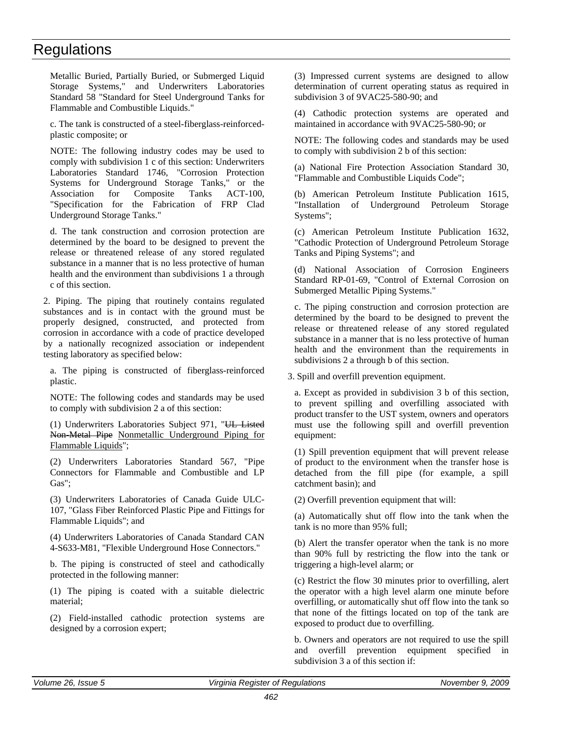Metallic Buried, Partially Buried, or Submerged Liquid Storage Systems," and Underwriters Laboratories Standard 58 "Standard for Steel Underground Tanks for Flammable and Combustible Liquids."

c. The tank is constructed of a steel-fiberglass-reinforcedplastic composite; or

NOTE: The following industry codes may be used to comply with subdivision 1 c of this section: Underwriters Laboratories Standard 1746, "Corrosion Protection Systems for Underground Storage Tanks," or the Association for Composite Tanks ACT-100, "Specification for the Fabrication of FRP Clad Underground Storage Tanks."

d. The tank construction and corrosion protection are determined by the board to be designed to prevent the release or threatened release of any stored regulated substance in a manner that is no less protective of human health and the environment than subdivisions 1 a through c of this section.

2. Piping. The piping that routinely contains regulated substances and is in contact with the ground must be properly designed, constructed, and protected from corrosion in accordance with a code of practice developed by a nationally recognized association or independent testing laboratory as specified below:

a. The piping is constructed of fiberglass-reinforced plastic.

NOTE: The following codes and standards may be used to comply with subdivision 2 a of this section:

(1) Underwriters Laboratories Subject 971, "UL Listed Non-Metal Pipe Nonmetallic Underground Piping for Flammable Liquids";

(2) Underwriters Laboratories Standard 567, "Pipe Connectors for Flammable and Combustible and LP Gas";

(3) Underwriters Laboratories of Canada Guide ULC-107, "Glass Fiber Reinforced Plastic Pipe and Fittings for Flammable Liquids"; and

(4) Underwriters Laboratories of Canada Standard CAN 4-S633-M81, "Flexible Underground Hose Connectors."

b. The piping is constructed of steel and cathodically protected in the following manner:

(1) The piping is coated with a suitable dielectric material;

(2) Field-installed cathodic protection systems are designed by a corrosion expert;

(3) Impressed current systems are designed to allow determination of current operating status as required in subdivision 3 of 9VAC25-580-90; and

(4) Cathodic protection systems are operated and maintained in accordance with 9VAC25-580-90; or

NOTE: The following codes and standards may be used to comply with subdivision 2 b of this section:

(a) National Fire Protection Association Standard 30, "Flammable and Combustible Liquids Code";

(b) American Petroleum Institute Publication 1615, "Installation of Underground Petroleum Storage Systems";

(c) American Petroleum Institute Publication 1632, "Cathodic Protection of Underground Petroleum Storage Tanks and Piping Systems"; and

(d) National Association of Corrosion Engineers Standard RP-01-69, "Control of External Corrosion on Submerged Metallic Piping Systems."

c. The piping construction and corrosion protection are determined by the board to be designed to prevent the release or threatened release of any stored regulated substance in a manner that is no less protective of human health and the environment than the requirements in subdivisions 2 a through b of this section.

3. Spill and overfill prevention equipment.

a. Except as provided in subdivision 3 b of this section, to prevent spilling and overfilling associated with product transfer to the UST system, owners and operators must use the following spill and overfill prevention equipment:

(1) Spill prevention equipment that will prevent release of product to the environment when the transfer hose is detached from the fill pipe (for example, a spill catchment basin); and

(2) Overfill prevention equipment that will:

(a) Automatically shut off flow into the tank when the tank is no more than 95% full;

(b) Alert the transfer operator when the tank is no more than 90% full by restricting the flow into the tank or triggering a high-level alarm; or

(c) Restrict the flow 30 minutes prior to overfilling, alert the operator with a high level alarm one minute before overfilling, or automatically shut off flow into the tank so that none of the fittings located on top of the tank are exposed to product due to overfilling.

b. Owners and operators are not required to use the spill and overfill prevention equipment specified in subdivision 3 a of this section if: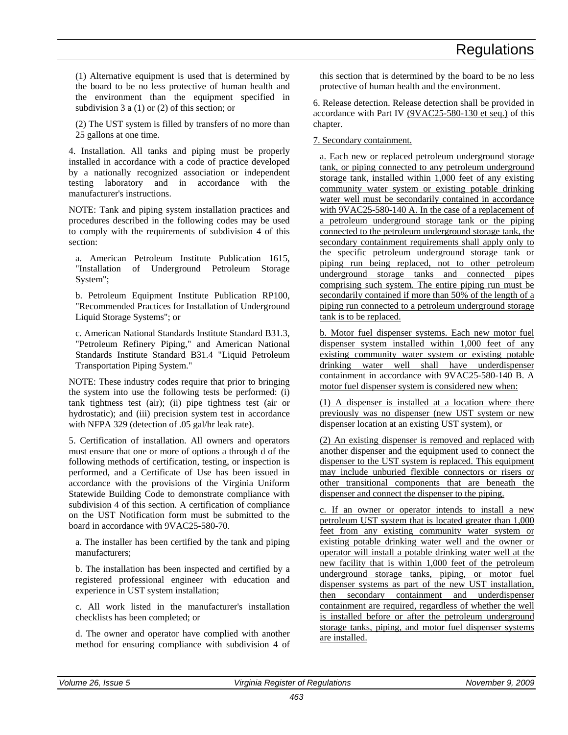(1) Alternative equipment is used that is determined by the board to be no less protective of human health and the environment than the equipment specified in subdivision 3 a (1) or (2) of this section; or

(2) The UST system is filled by transfers of no more than 25 gallons at one time.

4. Installation. All tanks and piping must be properly installed in accordance with a code of practice developed by a nationally recognized association or independent testing laboratory and in accordance with the manufacturer's instructions.

NOTE: Tank and piping system installation practices and procedures described in the following codes may be used to comply with the requirements of subdivision 4 of this section:

a. American Petroleum Institute Publication 1615, "Installation of Underground Petroleum Storage System";

b. Petroleum Equipment Institute Publication RP100, "Recommended Practices for Installation of Underground Liquid Storage Systems"; or

c. American National Standards Institute Standard B31.3, "Petroleum Refinery Piping," and American National Standards Institute Standard B31.4 "Liquid Petroleum Transportation Piping System."

NOTE: These industry codes require that prior to bringing the system into use the following tests be performed: (i) tank tightness test (air); (ii) pipe tightness test (air or hydrostatic); and (iii) precision system test in accordance with NFPA 329 (detection of .05 gal/hr leak rate).

5. Certification of installation. All owners and operators must ensure that one or more of options a through d of the following methods of certification, testing, or inspection is performed, and a Certificate of Use has been issued in accordance with the provisions of the Virginia Uniform Statewide Building Code to demonstrate compliance with subdivision 4 of this section. A certification of compliance on the UST Notification form must be submitted to the board in accordance with 9VAC25-580-70.

a. The installer has been certified by the tank and piping manufacturers;

b. The installation has been inspected and certified by a registered professional engineer with education and experience in UST system installation;

c. All work listed in the manufacturer's installation checklists has been completed; or

d. The owner and operator have complied with another method for ensuring compliance with subdivision 4 of

this section that is determined by the board to be no less protective of human health and the environment.

6. Release detection. Release detection shall be provided in accordance with Part IV (9VAC25-580-130 et seq.) of this chapter.

7. Secondary containment.

a. Each new or replaced petroleum underground storage tank, or piping connected to any petroleum underground storage tank, installed within 1,000 feet of any existing community water system or existing potable drinking water well must be secondarily contained in accordance with 9VAC25-580-140 A. In the case of a replacement of a petroleum underground storage tank or the piping connected to the petroleum underground storage tank, the secondary containment requirements shall apply only to the specific petroleum underground storage tank or piping run being replaced, not to other petroleum underground storage tanks and connected pipes comprising such system. The entire piping run must be secondarily contained if more than 50% of the length of a piping run connected to a petroleum underground storage tank is to be replaced.

b. Motor fuel dispenser systems. Each new motor fuel dispenser system installed within 1,000 feet of any existing community water system or existing potable drinking water well shall have underdispenser containment in accordance with 9VAC25-580-140 B. A motor fuel dispenser system is considered new when:

(1) A dispenser is installed at a location where there previously was no dispenser (new UST system or new dispenser location at an existing UST system), or

(2) An existing dispenser is removed and replaced with another dispenser and the equipment used to connect the dispenser to the UST system is replaced. This equipment may include unburied flexible connectors or risers or other transitional components that are beneath the dispenser and connect the dispenser to the piping.

c. If an owner or operator intends to install a new petroleum UST system that is located greater than 1,000 feet from any existing community water system or existing potable drinking water well and the owner or operator will install a potable drinking water well at the new facility that is within 1,000 feet of the petroleum underground storage tanks, piping, or motor fuel dispenser systems as part of the new UST installation, then secondary containment and underdispenser containment are required, regardless of whether the well is installed before or after the petroleum underground storage tanks, piping, and motor fuel dispenser systems are installed.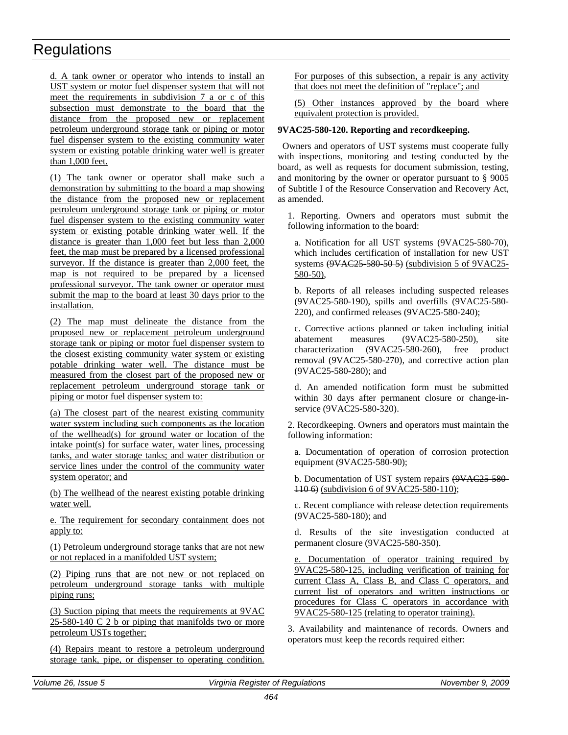d. A tank owner or operator who intends to install an UST system or motor fuel dispenser system that will not meet the requirements in subdivision 7 a or c of this subsection must demonstrate to the board that the distance from the proposed new or replacement petroleum underground storage tank or piping or motor fuel dispenser system to the existing community water system or existing potable drinking water well is greater than 1,000 feet.

(1) The tank owner or operator shall make such a demonstration by submitting to the board a map showing the distance from the proposed new or replacement petroleum underground storage tank or piping or motor fuel dispenser system to the existing community water system or existing potable drinking water well. If the distance is greater than 1,000 feet but less than 2,000 feet, the map must be prepared by a licensed professional surveyor. If the distance is greater than 2,000 feet, the map is not required to be prepared by a licensed professional surveyor. The tank owner or operator must submit the map to the board at least 30 days prior to the installation.

(2) The map must delineate the distance from the proposed new or replacement petroleum underground storage tank or piping or motor fuel dispenser system to the closest existing community water system or existing potable drinking water well. The distance must be measured from the closest part of the proposed new or replacement petroleum underground storage tank or piping or motor fuel dispenser system to:

(a) The closest part of the nearest existing community water system including such components as the location of the wellhead(s) for ground water or location of the intake point(s) for surface water, water lines, processing tanks, and water storage tanks; and water distribution or service lines under the control of the community water system operator; and

(b) The wellhead of the nearest existing potable drinking water well.

e. The requirement for secondary containment does not apply to:

(1) Petroleum underground storage tanks that are not new or not replaced in a manifolded UST system;

(2) Piping runs that are not new or not replaced on petroleum underground storage tanks with multiple piping runs;

(3) Suction piping that meets the requirements at 9VAC 25-580-140 C 2 b or piping that manifolds two or more petroleum USTs together;

(4) Repairs meant to restore a petroleum underground storage tank, pipe, or dispenser to operating condition. For purposes of this subsection, a repair is any activity that does not meet the definition of "replace"; and

(5) Other instances approved by the board where equivalent protection is provided.

#### **9VAC25-580-120. Reporting and recordkeeping.**

Owners and operators of UST systems must cooperate fully with inspections, monitoring and testing conducted by the board, as well as requests for document submission, testing, and monitoring by the owner or operator pursuant to § 9005 of Subtitle I of the Resource Conservation and Recovery Act, as amended.

1. Reporting. Owners and operators must submit the following information to the board:

a. Notification for all UST systems (9VAC25-580-70), which includes certification of installation for new UST systems  $(9VAC25-580-50-5)$  (subdivision 5 of 9VAC25-580-50),

b. Reports of all releases including suspected releases (9VAC25-580-190), spills and overfills (9VAC25-580- 220), and confirmed releases (9VAC25-580-240);

c. Corrective actions planned or taken including initial abatement measures (9VAC25-580-250), site characterization (9VAC25-580-260), free product removal (9VAC25-580-270), and corrective action plan (9VAC25-580-280); and

d. An amended notification form must be submitted within 30 days after permanent closure or change-inservice (9VAC25-580-320).

2. Recordkeeping. Owners and operators must maintain the following information:

a. Documentation of operation of corrosion protection equipment (9VAC25-580-90);

b. Documentation of UST system repairs (9VAC25-580-110 6) (subdivision 6 of 9VAC25-580-110);

c. Recent compliance with release detection requirements (9VAC25-580-180); and

d. Results of the site investigation conducted at permanent closure (9VAC25-580-350).

e. Documentation of operator training required by 9VAC25-580-125, including verification of training for current Class A, Class B, and Class C operators, and current list of operators and written instructions or procedures for Class C operators in accordance with 9VAC25-580-125 (relating to operator training).

3. Availability and maintenance of records. Owners and operators must keep the records required either: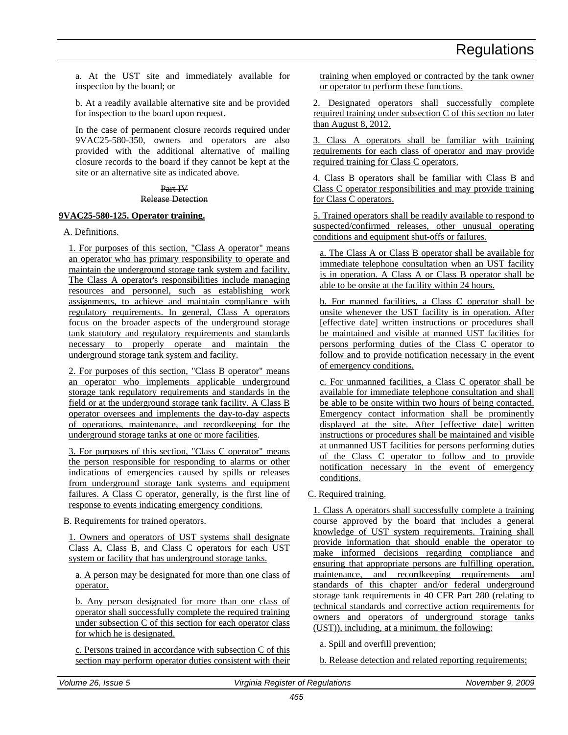a. At the UST site and immediately available for inspection by the board; or

b. At a readily available alternative site and be provided for inspection to the board upon request.

In the case of permanent closure records required under 9VAC25-580-350, owners and operators are also provided with the additional alternative of mailing closure records to the board if they cannot be kept at the site or an alternative site as indicated above.

#### Part IV

#### Release Detection

#### **9VAC25-580-125. Operator training.**

#### A. Definitions.

1. For purposes of this section, "Class A operator" means an operator who has primary responsibility to operate and maintain the underground storage tank system and facility. The Class A operator's responsibilities include managing resources and personnel, such as establishing work assignments, to achieve and maintain compliance with regulatory requirements. In general, Class A operators focus on the broader aspects of the underground storage tank statutory and regulatory requirements and standards necessary to properly operate and maintain the underground storage tank system and facility.

2. For purposes of this section, "Class B operator" means an operator who implements applicable underground storage tank regulatory requirements and standards in the field or at the underground storage tank facility. A Class B operator oversees and implements the day-to-day aspects of operations, maintenance, and recordkeeping for the underground storage tanks at one or more facilities.

3. For purposes of this section, "Class C operator" means the person responsible for responding to alarms or other indications of emergencies caused by spills or releases from underground storage tank systems and equipment failures. A Class C operator, generally, is the first line of response to events indicating emergency conditions.

#### B. Requirements for trained operators.

1. Owners and operators of UST systems shall designate Class A, Class B, and Class C operators for each UST system or facility that has underground storage tanks.

a. A person may be designated for more than one class of operator.

b. Any person designated for more than one class of operator shall successfully complete the required training under subsection C of this section for each operator class for which he is designated.

c. Persons trained in accordance with subsection C of this section may perform operator duties consistent with their training when employed or contracted by the tank owner or operator to perform these functions.

2. Designated operators shall successfully complete required training under subsection C of this section no later than August 8, 2012.

3. Class A operators shall be familiar with training requirements for each class of operator and may provide required training for Class C operators.

4. Class B operators shall be familiar with Class B and Class C operator responsibilities and may provide training for Class C operators.

5. Trained operators shall be readily available to respond to suspected/confirmed releases, other unusual operating conditions and equipment shut-offs or failures.

a. The Class A or Class B operator shall be available for immediate telephone consultation when an UST facility is in operation. A Class A or Class B operator shall be able to be onsite at the facility within 24 hours.

b. For manned facilities, a Class C operator shall be onsite whenever the UST facility is in operation. After [effective date] written instructions or procedures shall be maintained and visible at manned UST facilities for persons performing duties of the Class C operator to follow and to provide notification necessary in the event of emergency conditions.

c. For unmanned facilities, a Class C operator shall be available for immediate telephone consultation and shall be able to be onsite within two hours of being contacted. Emergency contact information shall be prominently displayed at the site. After [effective date] written instructions or procedures shall be maintained and visible at unmanned UST facilities for persons performing duties of the Class C operator to follow and to provide notification necessary in the event of emergency conditions.

#### C. Required training.

1. Class A operators shall successfully complete a training course approved by the board that includes a general knowledge of UST system requirements. Training shall provide information that should enable the operator to make informed decisions regarding compliance and ensuring that appropriate persons are fulfilling operation, maintenance, and recordkeeping requirements and standards of this chapter and/or federal underground storage tank requirements in 40 CFR Part 280 (relating to technical standards and corrective action requirements for owners and operators of underground storage tanks (UST)), including, at a minimum, the following:

#### a. Spill and overfill prevention;

b. Release detection and related reporting requirements;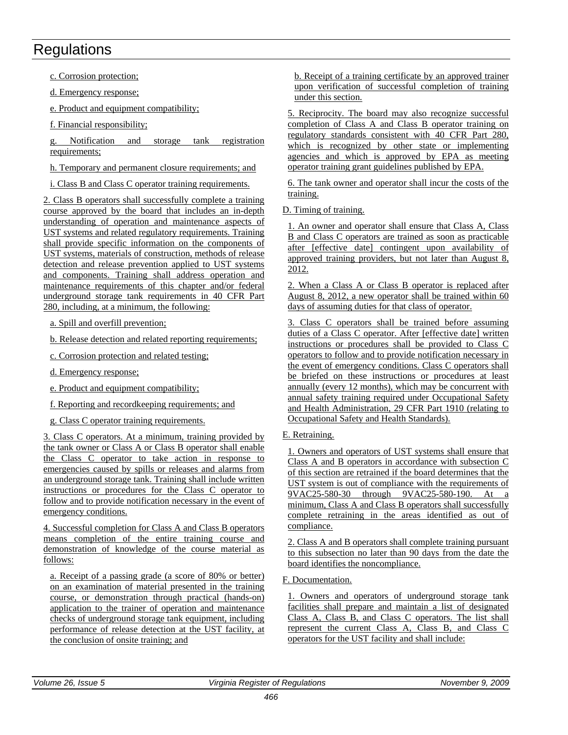c. Corrosion protection;

d. Emergency response;

e. Product and equipment compatibility;

f. Financial responsibility;

Notification and storage tank registration requirements;

h. Temporary and permanent closure requirements; and

i. Class B and Class C operator training requirements.

2. Class B operators shall successfully complete a training course approved by the board that includes an in-depth understanding of operation and maintenance aspects of UST systems and related regulatory requirements. Training shall provide specific information on the components of UST systems, materials of construction, methods of release detection and release prevention applied to UST systems and components. Training shall address operation and maintenance requirements of this chapter and/or federal underground storage tank requirements in 40 CFR Part 280, including, at a minimum, the following:

a. Spill and overfill prevention;

b. Release detection and related reporting requirements;

c. Corrosion protection and related testing;

- d. Emergency response;
- e. Product and equipment compatibility;

f. Reporting and recordkeeping requirements; and

g. Class C operator training requirements.

3. Class C operators. At a minimum, training provided by the tank owner or Class A or Class B operator shall enable the Class C operator to take action in response to emergencies caused by spills or releases and alarms from an underground storage tank. Training shall include written instructions or procedures for the Class C operator to follow and to provide notification necessary in the event of emergency conditions.

4. Successful completion for Class A and Class B operators means completion of the entire training course and demonstration of knowledge of the course material as follows:

a. Receipt of a passing grade (a score of 80% or better) on an examination of material presented in the training course, or demonstration through practical (hands-on) application to the trainer of operation and maintenance checks of underground storage tank equipment, including performance of release detection at the UST facility, at the conclusion of onsite training; and

b. Receipt of a training certificate by an approved trainer upon verification of successful completion of training under this section.

5. Reciprocity. The board may also recognize successful completion of Class A and Class B operator training on regulatory standards consistent with 40 CFR Part 280, which is recognized by other state or implementing agencies and which is approved by EPA as meeting operator training grant guidelines published by EPA.

6. The tank owner and operator shall incur the costs of the training.

D. Timing of training.

1. An owner and operator shall ensure that Class A, Class B and Class C operators are trained as soon as practicable after [effective date] contingent upon availability of approved training providers, but not later than August 8, 2012.

2. When a Class A or Class B operator is replaced after August 8, 2012, a new operator shall be trained within 60 days of assuming duties for that class of operator.

3. Class C operators shall be trained before assuming duties of a Class C operator. After [effective date] written instructions or procedures shall be provided to Class C operators to follow and to provide notification necessary in the event of emergency conditions. Class C operators shall be briefed on these instructions or procedures at least annually (every 12 months), which may be concurrent with annual safety training required under Occupational Safety and Health Administration, 29 CFR Part 1910 (relating to Occupational Safety and Health Standards).

E. Retraining.

1. Owners and operators of UST systems shall ensure that Class A and B operators in accordance with subsection C of this section are retrained if the board determines that the UST system is out of compliance with the requirements of 9VAC25-580-30 through 9VAC25-580-190. At a minimum, Class A and Class B operators shall successfully complete retraining in the areas identified as out of compliance.

2. Class A and B operators shall complete training pursuant to this subsection no later than 90 days from the date the board identifies the noncompliance.

#### F. Documentation.

1. Owners and operators of underground storage tank facilities shall prepare and maintain a list of designated Class A, Class B, and Class C operators. The list shall represent the current Class A, Class B, and Class C operators for the UST facility and shall include: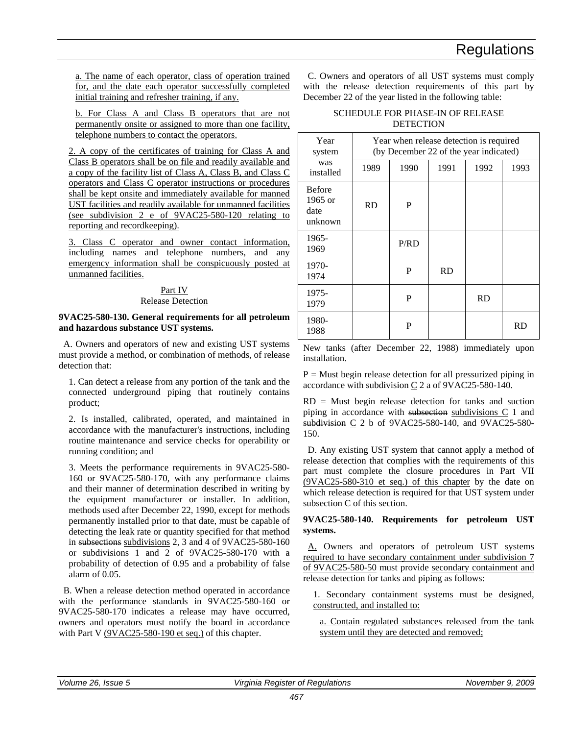a. The name of each operator, class of operation trained for, and the date each operator successfully completed initial training and refresher training, if any.

b. For Class A and Class B operators that are not permanently onsite or assigned to more than one facility, telephone numbers to contact the operators.

2. A copy of the certificates of training for Class A and Class B operators shall be on file and readily available and a copy of the facility list of Class A, Class B, and Class C operators and Class C operator instructions or procedures shall be kept onsite and immediately available for manned UST facilities and readily available for unmanned facilities (see subdivision 2 e of 9VAC25-580-120 relating to reporting and recordkeeping).

3. Class C operator and owner contact information, including names and telephone numbers, and any emergency information shall be conspicuously posted at unmanned facilities.

#### Part IV Release Detection

#### **9VAC25-580-130. General requirements for all petroleum and hazardous substance UST systems.**

A. Owners and operators of new and existing UST systems must provide a method, or combination of methods, of release detection that:

1. Can detect a release from any portion of the tank and the connected underground piping that routinely contains product;

2. Is installed, calibrated, operated, and maintained in accordance with the manufacturer's instructions, including routine maintenance and service checks for operability or running condition; and

3. Meets the performance requirements in 9VAC25-580- 160 or 9VAC25-580-170, with any performance claims and their manner of determination described in writing by the equipment manufacturer or installer. In addition, methods used after December 22, 1990, except for methods permanently installed prior to that date, must be capable of detecting the leak rate or quantity specified for that method in subsections subdivisions 2, 3 and 4 of 9VAC25-580-160 or subdivisions 1 and 2 of 9VAC25-580-170 with a probability of detection of 0.95 and a probability of false alarm of 0.05.

B. When a release detection method operated in accordance with the performance standards in 9VAC25-580-160 or 9VAC25-580-170 indicates a release may have occurred, owners and operators must notify the board in accordance with Part V (9VAC25-580-190 et seq.) of this chapter.

C. Owners and operators of all UST systems must comply with the release detection requirements of this part by December 22 of the year listed in the following table:

#### SCHEDULE FOR PHASE-IN OF RELEASE **DETECTION**

| Year<br>system                                | Year when release detection is required<br>(by December 22 of the year indicated) |      |           |           |      |
|-----------------------------------------------|-----------------------------------------------------------------------------------|------|-----------|-----------|------|
| was<br>installed                              | 1989                                                                              | 1990 | 1991      | 1992      | 1993 |
| <b>Before</b><br>$1965$ or<br>date<br>unknown | <b>RD</b>                                                                         | P    |           |           |      |
| 1965-<br>1969                                 |                                                                                   | P/RD |           |           |      |
| 1970-<br>1974                                 |                                                                                   | P    | <b>RD</b> |           |      |
| 1975-<br>1979                                 |                                                                                   | P    |           | <b>RD</b> |      |
| 1980-<br>1988                                 |                                                                                   | P    |           |           | RD   |

New tanks (after December 22, 1988) immediately upon installation.

 $P =$  Must begin release detection for all pressurized piping in accordance with subdivision C 2 a of 9VAC25-580-140.

 $RD = Must$  begin release detection for tanks and suction piping in accordance with subsection subdivisions  $C_1$  and subdivision C 2 b of 9VAC25-580-140, and 9VAC25-580- 150.

D. Any existing UST system that cannot apply a method of release detection that complies with the requirements of this part must complete the closure procedures in Part VII (9VAC25-580-310 et seq.) of this chapter by the date on which release detection is required for that UST system under subsection C of this section.

#### **9VAC25-580-140. Requirements for petroleum UST systems.**

A. Owners and operators of petroleum UST systems required to have secondary containment under subdivision 7 of 9VAC25-580-50 must provide secondary containment and release detection for tanks and piping as follows:

- 1. Secondary containment systems must be designed, constructed, and installed to:
	- a. Contain regulated substances released from the tank system until they are detected and removed;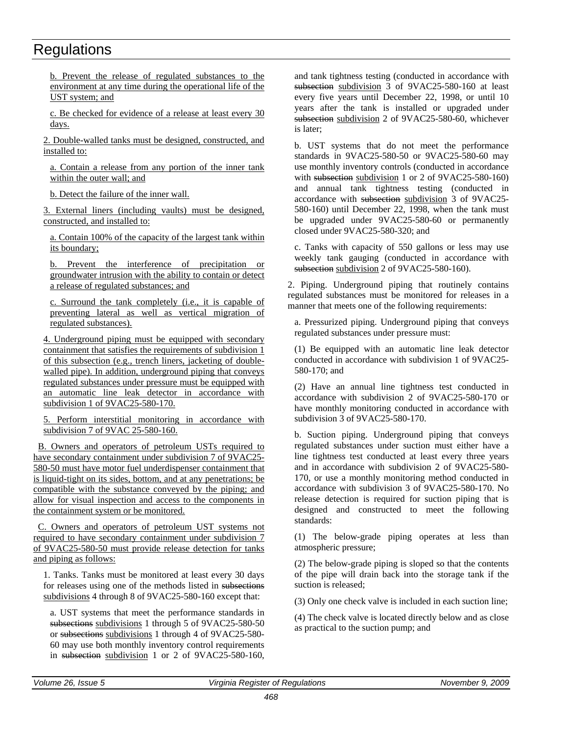b. Prevent the release of regulated substances to the environment at any time during the operational life of the UST system; and

c. Be checked for evidence of a release at least every 30 days.

2. Double-walled tanks must be designed, constructed, and installed to:

a. Contain a release from any portion of the inner tank within the outer wall; and

b. Detect the failure of the inner wall.

3. External liners (including vaults) must be designed, constructed, and installed to:

a. Contain 100% of the capacity of the largest tank within its boundary;

b. Prevent the interference of precipitation or groundwater intrusion with the ability to contain or detect a release of regulated substances; and

c. Surround the tank completely (i.e., it is capable of preventing lateral as well as vertical migration of regulated substances).

4. Underground piping must be equipped with secondary containment that satisfies the requirements of subdivision 1 of this subsection (e.g., trench liners, jacketing of doublewalled pipe). In addition, underground piping that conveys regulated substances under pressure must be equipped with an automatic line leak detector in accordance with subdivision 1 of 9VAC25-580-170.

5. Perform interstitial monitoring in accordance with subdivision 7 of 9VAC 25-580-160.

B. Owners and operators of petroleum USTs required to have secondary containment under subdivision 7 of 9VAC25- 580-50 must have motor fuel underdispenser containment that is liquid-tight on its sides, bottom, and at any penetrations; be compatible with the substance conveyed by the piping; and allow for visual inspection and access to the components in the containment system or be monitored.

C. Owners and operators of petroleum UST systems not required to have secondary containment under subdivision 7 of 9VAC25-580-50 must provide release detection for tanks and piping as follows:

1. Tanks. Tanks must be monitored at least every 30 days for releases using one of the methods listed in subsections subdivisions 4 through 8 of 9VAC25-580-160 except that:

a. UST systems that meet the performance standards in subsections subdivisions 1 through 5 of 9VAC25-580-50 or subsections subdivisions 1 through 4 of 9VAC25-580- 60 may use both monthly inventory control requirements in subsection subdivision 1 or 2 of 9VAC25-580-160,

and tank tightness testing (conducted in accordance with subsection subdivision 3 of 9VAC25-580-160 at least every five years until December 22, 1998, or until 10 years after the tank is installed or upgraded under subsection subdivision 2 of 9VAC25-580-60, whichever is later;

b. UST systems that do not meet the performance standards in 9VAC25-580-50 or 9VAC25-580-60 may use monthly inventory controls (conducted in accordance with subsection subdivision 1 or 2 of 9VAC25-580-160) and annual tank tightness testing (conducted in accordance with subsection subdivision 3 of 9VAC25- 580-160) until December 22, 1998, when the tank must be upgraded under 9VAC25-580-60 or permanently closed under 9VAC25-580-320; and

c. Tanks with capacity of 550 gallons or less may use weekly tank gauging (conducted in accordance with subsection subdivision 2 of 9VAC25-580-160).

2. Piping. Underground piping that routinely contains regulated substances must be monitored for releases in a manner that meets one of the following requirements:

a. Pressurized piping. Underground piping that conveys regulated substances under pressure must:

(1) Be equipped with an automatic line leak detector conducted in accordance with subdivision 1 of 9VAC25- 580-170; and

(2) Have an annual line tightness test conducted in accordance with subdivision 2 of 9VAC25-580-170 or have monthly monitoring conducted in accordance with subdivision 3 of 9VAC25-580-170.

b. Suction piping. Underground piping that conveys regulated substances under suction must either have a line tightness test conducted at least every three years and in accordance with subdivision 2 of 9VAC25-580- 170, or use a monthly monitoring method conducted in accordance with subdivision 3 of 9VAC25-580-170. No release detection is required for suction piping that is designed and constructed to meet the following standards:

(1) The below-grade piping operates at less than atmospheric pressure;

(2) The below-grade piping is sloped so that the contents of the pipe will drain back into the storage tank if the suction is released;

(3) Only one check valve is included in each suction line;

(4) The check valve is located directly below and as close as practical to the suction pump; and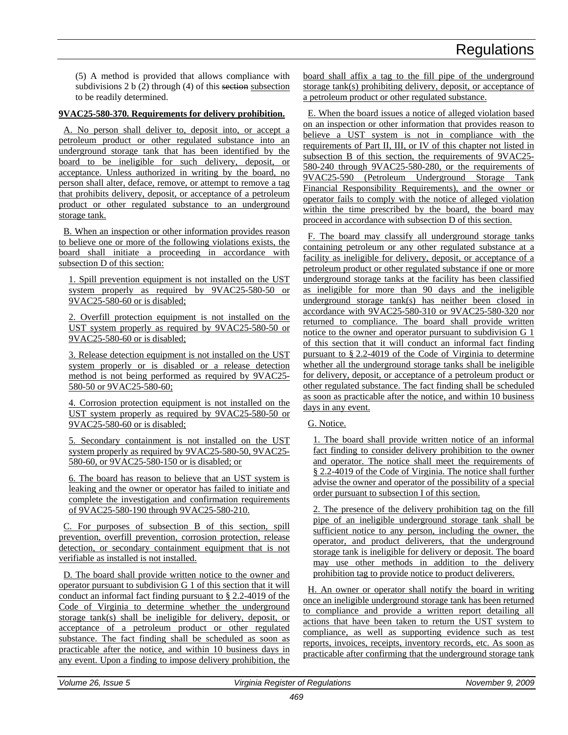(5) A method is provided that allows compliance with subdivisions  $2 b (2)$  through  $(4)$  of this section subsection to be readily determined.

#### **9VAC25-580-370. Requirements for delivery prohibition.**

A. No person shall deliver to, deposit into, or accept a petroleum product or other regulated substance into an underground storage tank that has been identified by the board to be ineligible for such delivery, deposit, or acceptance. Unless authorized in writing by the board, no person shall alter, deface, remove, or attempt to remove a tag that prohibits delivery, deposit, or acceptance of a petroleum product or other regulated substance to an underground storage tank.

B. When an inspection or other information provides reason to believe one or more of the following violations exists, the board shall initiate a proceeding in accordance with subsection D of this section:

1. Spill prevention equipment is not installed on the UST system properly as required by 9VAC25-580-50 or 9VAC25-580-60 or is disabled;

2. Overfill protection equipment is not installed on the UST system properly as required by 9VAC25-580-50 or 9VAC25-580-60 or is disabled;

3. Release detection equipment is not installed on the UST system properly or is disabled or a release detection method is not being performed as required by 9VAC25- 580-50 or 9VAC25-580-60;

4. Corrosion protection equipment is not installed on the UST system properly as required by 9VAC25-580-50 or 9VAC25-580-60 or is disabled;

5. Secondary containment is not installed on the UST system properly as required by 9VAC25-580-50, 9VAC25- 580-60, or 9VAC25-580-150 or is disabled; or

6. The board has reason to believe that an UST system is leaking and the owner or operator has failed to initiate and complete the investigation and confirmation requirements of 9VAC25-580-190 through 9VAC25-580-210.

C. For purposes of subsection B of this section, spill prevention, overfill prevention, corrosion protection, release detection, or secondary containment equipment that is not verifiable as installed is not installed.

D. The board shall provide written notice to the owner and operator pursuant to subdivision G 1 of this section that it will conduct an informal fact finding pursuant to  $\S$  2.2-4019 of the Code of Virginia to determine whether the underground storage tank(s) shall be ineligible for delivery, deposit, or acceptance of a petroleum product or other regulated substance. The fact finding shall be scheduled as soon as practicable after the notice, and within 10 business days in any event. Upon a finding to impose delivery prohibition, the

board shall affix a tag to the fill pipe of the underground storage tank(s) prohibiting delivery, deposit, or acceptance of a petroleum product or other regulated substance.

E. When the board issues a notice of alleged violation based on an inspection or other information that provides reason to believe a UST system is not in compliance with the requirements of Part II, III, or IV of this chapter not listed in subsection B of this section, the requirements of 9VAC25- 580-240 through 9VAC25-580-280, or the requirements of 9VAC25-590 (Petroleum Underground Storage Tank Financial Responsibility Requirements), and the owner or operator fails to comply with the notice of alleged violation within the time prescribed by the board, the board may proceed in accordance with subsection D of this section.

F. The board may classify all underground storage tanks containing petroleum or any other regulated substance at a facility as ineligible for delivery, deposit, or acceptance of a petroleum product or other regulated substance if one or more underground storage tanks at the facility has been classified as ineligible for more than 90 days and the ineligible underground storage tank(s) has neither been closed in accordance with 9VAC25-580-310 or 9VAC25-580-320 nor returned to compliance. The board shall provide written notice to the owner and operator pursuant to subdivision G 1 of this section that it will conduct an informal fact finding pursuant to § 2.2-4019 of the Code of Virginia to determine whether all the underground storage tanks shall be ineligible for delivery, deposit, or acceptance of a petroleum product or other regulated substance. The fact finding shall be scheduled as soon as practicable after the notice, and within 10 business days in any event.

#### G. Notice.

1. The board shall provide written notice of an informal fact finding to consider delivery prohibition to the owner and operator. The notice shall meet the requirements of § 2.2-4019 of the Code of Virginia. The notice shall further advise the owner and operator of the possibility of a special order pursuant to subsection I of this section.

2. The presence of the delivery prohibition tag on the fill pipe of an ineligible underground storage tank shall be sufficient notice to any person, including the owner, the operator, and product deliverers, that the underground storage tank is ineligible for delivery or deposit. The board may use other methods in addition to the delivery prohibition tag to provide notice to product deliverers.

H. An owner or operator shall notify the board in writing once an ineligible underground storage tank has been returned to compliance and provide a written report detailing all actions that have been taken to return the UST system to compliance, as well as supporting evidence such as test reports, invoices, receipts, inventory records, etc. As soon as practicable after confirming that the underground storage tank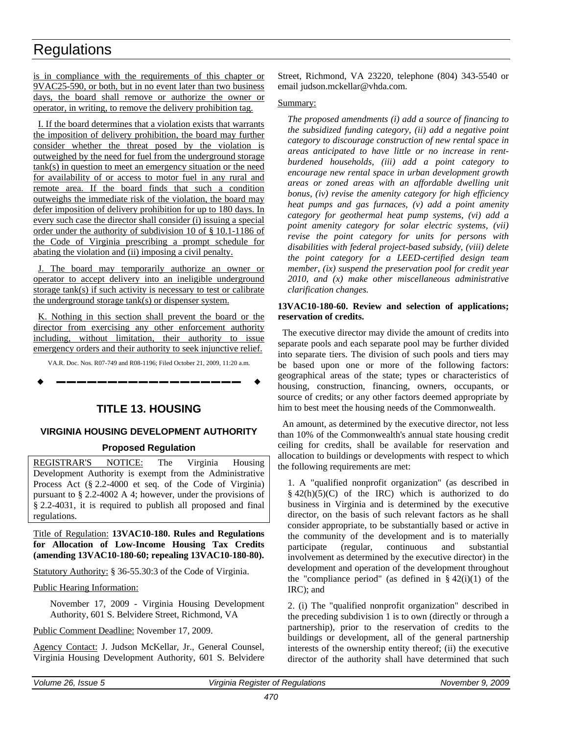<span id="page-22-0"></span>is in compliance with the requirements of this chapter or 9VAC25-590, or both, but in no event later than two business days, the board shall remove or authorize the owner or operator, in writing, to remove the delivery prohibition tag.

I. If the board determines that a violation exists that warrants the imposition of delivery prohibition, the board may further consider whether the threat posed by the violation is outweighed by the need for fuel from the underground storage tank(s) in question to meet an emergency situation or the need for availability of or access to motor fuel in any rural and remote area. If the board finds that such a condition outweighs the immediate risk of the violation, the board may defer imposition of delivery prohibition for up to 180 days. In every such case the director shall consider (i) issuing a special order under the authority of subdivision 10 of § 10.1-1186 of the Code of Virginia prescribing a prompt schedule for abating the violation and (ii) imposing a civil penalty.

J. The board may temporarily authorize an owner or operator to accept delivery into an ineligible underground storage tank(s) if such activity is necessary to test or calibrate the underground storage tank(s) or dispenser system.

K. Nothing in this section shall prevent the board or the director from exercising any other enforcement authority including, without limitation, their authority to issue emergency orders and their authority to seek injunctive relief.

VA.R. Doc. Nos. R07-749 and R08-1196; Filed October 21, 2009, 11:20 a.m.

**––––––––––––––––––**

### **TITLE 13. HOUSING**

#### **VIRGINIA HOUSING DEVELOPMENT AUTHORITY**

#### **Proposed Regulation**

REGISTRAR'S NOTICE: The Virginia Housing Development Authority is exempt from the Administrative Process Act (§ 2.2-4000 et seq. of the Code of Virginia) pursuant to § 2.2-4002 A 4; however, under the provisions of § 2.2-4031, it is required to publish all proposed and final regulations.

Title of Regulation: **13VAC10-180. Rules and Regulations for Allocation of Low-Income Housing Tax Credits (amending 13VAC10-180-60; repealing 13VAC10-180-80).**

Statutory Authority: § 36-55.30:3 of the Code of Virginia.

Public Hearing Information:

November 17, 2009 - Virginia Housing Development Authority, 601 S. Belvidere Street, Richmond, VA

Public Comment Deadline: November 17, 2009.

Agency Contact: J. Judson McKellar, Jr., General Counsel, Virginia Housing Development Authority, 601 S. Belvidere

Street, Richmond, VA 23220, telephone (804) 343-5540 or email judson.mckellar@vhda.com.

#### Summary:

*The proposed amendments (i) add a source of financing to the subsidized funding category, (ii) add a negative point category to discourage construction of new rental space in areas anticipated to have little or no increase in rentburdened households, (iii) add a point category to encourage new rental space in urban development growth areas or zoned areas with an affordable dwelling unit bonus, (iv) revise the amenity category for high efficiency heat pumps and gas furnaces, (v) add a point amenity category for geothermal heat pump systems, (vi) add a point amenity category for solar electric systems, (vii) revise the point category for units for persons with disabilities with federal project-based subsidy, (viii) delete the point category for a LEED-certified design team member, (ix) suspend the preservation pool for credit year 2010, and (x) make other miscellaneous administrative clarification changes.*

#### **13VAC10-180-60. Review and selection of applications; reservation of credits.**

The executive director may divide the amount of credits into separate pools and each separate pool may be further divided into separate tiers. The division of such pools and tiers may be based upon one or more of the following factors: geographical areas of the state; types or characteristics of housing, construction, financing, owners, occupants, or source of credits; or any other factors deemed appropriate by him to best meet the housing needs of the Commonwealth.

An amount, as determined by the executive director, not less than 10% of the Commonwealth's annual state housing credit ceiling for credits, shall be available for reservation and allocation to buildings or developments with respect to which the following requirements are met:

1. A "qualified nonprofit organization" (as described in  $§$  42(h)(5)(C) of the IRC) which is authorized to do business in Virginia and is determined by the executive director, on the basis of such relevant factors as he shall consider appropriate, to be substantially based or active in the community of the development and is to materially participate (regular, continuous and substantial involvement as determined by the executive director) in the development and operation of the development throughout the "compliance period" (as defined in  $\S$  42(i)(1) of the IRC); and

2. (i) The "qualified nonprofit organization" described in the preceding subdivision 1 is to own (directly or through a partnership), prior to the reservation of credits to the buildings or development, all of the general partnership interests of the ownership entity thereof; (ii) the executive director of the authority shall have determined that such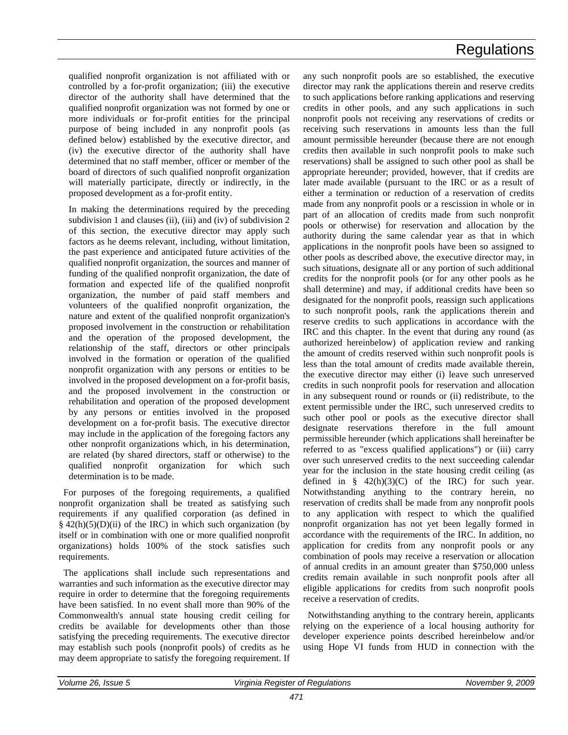qualified nonprofit organization is not affiliated with or controlled by a for-profit organization; (iii) the executive director of the authority shall have determined that the qualified nonprofit organization was not formed by one or more individuals or for-profit entities for the principal purpose of being included in any nonprofit pools (as defined below) established by the executive director, and (iv) the executive director of the authority shall have determined that no staff member, officer or member of the board of directors of such qualified nonprofit organization will materially participate, directly or indirectly, in the proposed development as a for-profit entity.

In making the determinations required by the preceding subdivision 1 and clauses (ii), (iii) and (iv) of subdivision 2 of this section, the executive director may apply such factors as he deems relevant, including, without limitation, the past experience and anticipated future activities of the qualified nonprofit organization, the sources and manner of funding of the qualified nonprofit organization, the date of formation and expected life of the qualified nonprofit organization, the number of paid staff members and volunteers of the qualified nonprofit organization, the nature and extent of the qualified nonprofit organization's proposed involvement in the construction or rehabilitation and the operation of the proposed development, the relationship of the staff, directors or other principals involved in the formation or operation of the qualified nonprofit organization with any persons or entities to be involved in the proposed development on a for-profit basis, and the proposed involvement in the construction or rehabilitation and operation of the proposed development by any persons or entities involved in the proposed development on a for-profit basis. The executive director may include in the application of the foregoing factors any other nonprofit organizations which, in his determination, are related (by shared directors, staff or otherwise) to the qualified nonprofit organization for which such determination is to be made.

For purposes of the foregoing requirements, a qualified nonprofit organization shall be treated as satisfying such requirements if any qualified corporation (as defined in  $§$  42(h)(5)(D)(ii) of the IRC) in which such organization (by itself or in combination with one or more qualified nonprofit organizations) holds 100% of the stock satisfies such requirements.

The applications shall include such representations and warranties and such information as the executive director may require in order to determine that the foregoing requirements have been satisfied. In no event shall more than 90% of the Commonwealth's annual state housing credit ceiling for credits be available for developments other than those satisfying the preceding requirements. The executive director may establish such pools (nonprofit pools) of credits as he may deem appropriate to satisfy the foregoing requirement. If any such nonprofit pools are so established, the executive director may rank the applications therein and reserve credits to such applications before ranking applications and reserving credits in other pools, and any such applications in such nonprofit pools not receiving any reservations of credits or receiving such reservations in amounts less than the full amount permissible hereunder (because there are not enough credits then available in such nonprofit pools to make such reservations) shall be assigned to such other pool as shall be appropriate hereunder; provided, however, that if credits are later made available (pursuant to the IRC or as a result of either a termination or reduction of a reservation of credits made from any nonprofit pools or a rescission in whole or in part of an allocation of credits made from such nonprofit pools or otherwise) for reservation and allocation by the authority during the same calendar year as that in which applications in the nonprofit pools have been so assigned to other pools as described above, the executive director may, in such situations, designate all or any portion of such additional credits for the nonprofit pools (or for any other pools as he shall determine) and may, if additional credits have been so designated for the nonprofit pools, reassign such applications to such nonprofit pools, rank the applications therein and reserve credits to such applications in accordance with the IRC and this chapter. In the event that during any round (as authorized hereinbelow) of application review and ranking the amount of credits reserved within such nonprofit pools is less than the total amount of credits made available therein, the executive director may either (i) leave such unreserved credits in such nonprofit pools for reservation and allocation in any subsequent round or rounds or (ii) redistribute, to the extent permissible under the IRC, such unreserved credits to such other pool or pools as the executive director shall designate reservations therefore in the full amount permissible hereunder (which applications shall hereinafter be referred to as "excess qualified applications") or (iii) carry over such unreserved credits to the next succeeding calendar year for the inclusion in the state housing credit ceiling (as defined in  $\S$  42(h)(3)(C) of the IRC) for such year. Notwithstanding anything to the contrary herein, no reservation of credits shall be made from any nonprofit pools to any application with respect to which the qualified nonprofit organization has not yet been legally formed in accordance with the requirements of the IRC. In addition, no application for credits from any nonprofit pools or any combination of pools may receive a reservation or allocation of annual credits in an amount greater than \$750,000 unless credits remain available in such nonprofit pools after all eligible applications for credits from such nonprofit pools receive a reservation of credits.

Notwithstanding anything to the contrary herein, applicants relying on the experience of a local housing authority for developer experience points described hereinbelow and/or using Hope VI funds from HUD in connection with the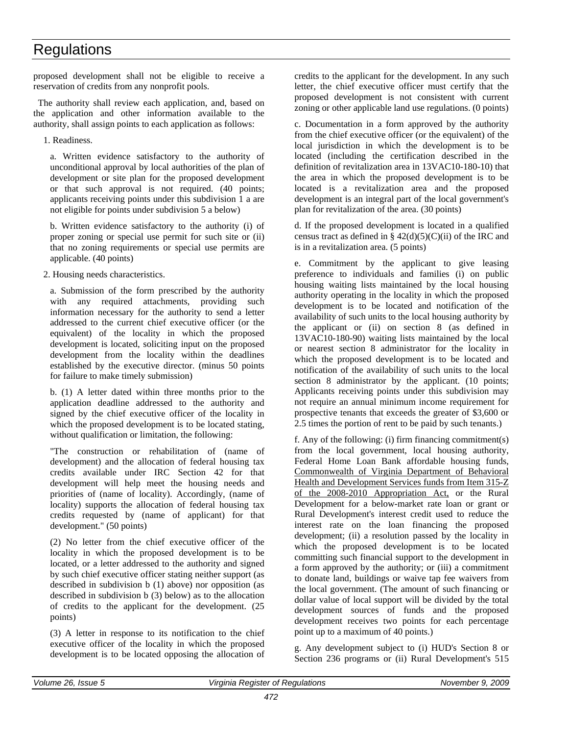proposed development shall not be eligible to receive a reservation of credits from any nonprofit pools.

The authority shall review each application, and, based on the application and other information available to the authority, shall assign points to each application as follows:

1. Readiness.

a. Written evidence satisfactory to the authority of unconditional approval by local authorities of the plan of development or site plan for the proposed development or that such approval is not required. (40 points; applicants receiving points under this subdivision 1 a are not eligible for points under subdivision 5 a below)

b. Written evidence satisfactory to the authority (i) of proper zoning or special use permit for such site or (ii) that no zoning requirements or special use permits are applicable. (40 points)

2. Housing needs characteristics.

a. Submission of the form prescribed by the authority with any required attachments, providing such information necessary for the authority to send a letter addressed to the current chief executive officer (or the equivalent) of the locality in which the proposed development is located, soliciting input on the proposed development from the locality within the deadlines established by the executive director. (minus 50 points for failure to make timely submission)

b. (1) A letter dated within three months prior to the application deadline addressed to the authority and signed by the chief executive officer of the locality in which the proposed development is to be located stating, without qualification or limitation, the following:

"The construction or rehabilitation of (name of development) and the allocation of federal housing tax credits available under IRC Section 42 for that development will help meet the housing needs and priorities of (name of locality). Accordingly, (name of locality) supports the allocation of federal housing tax credits requested by (name of applicant) for that development." (50 points)

(2) No letter from the chief executive officer of the locality in which the proposed development is to be located, or a letter addressed to the authority and signed by such chief executive officer stating neither support (as described in subdivision b (1) above) nor opposition (as described in subdivision b (3) below) as to the allocation of credits to the applicant for the development. (25 points)

(3) A letter in response to its notification to the chief executive officer of the locality in which the proposed development is to be located opposing the allocation of

credits to the applicant for the development. In any such letter, the chief executive officer must certify that the proposed development is not consistent with current zoning or other applicable land use regulations. (0 points)

c. Documentation in a form approved by the authority from the chief executive officer (or the equivalent) of the local jurisdiction in which the development is to be located (including the certification described in the definition of revitalization area in 13VAC10-180-10) that the area in which the proposed development is to be located is a revitalization area and the proposed development is an integral part of the local government's plan for revitalization of the area. (30 points)

d. If the proposed development is located in a qualified census tract as defined in §  $42(d)(5)(C)(ii)$  of the IRC and is in a revitalization area. (5 points)

e. Commitment by the applicant to give leasing preference to individuals and families (i) on public housing waiting lists maintained by the local housing authority operating in the locality in which the proposed development is to be located and notification of the availability of such units to the local housing authority by the applicant or (ii) on section 8 (as defined in 13VAC10-180-90) waiting lists maintained by the local or nearest section 8 administrator for the locality in which the proposed development is to be located and notification of the availability of such units to the local section 8 administrator by the applicant. (10 points; Applicants receiving points under this subdivision may not require an annual minimum income requirement for prospective tenants that exceeds the greater of \$3,600 or 2.5 times the portion of rent to be paid by such tenants.)

f. Any of the following: (i) firm financing commitment(s) from the local government, local housing authority, Federal Home Loan Bank affordable housing funds, Commonwealth of Virginia Department of Behavioral Health and Development Services funds from Item 315-Z of the 2008-2010 Appropriation Act, or the Rural Development for a below-market rate loan or grant or Rural Development's interest credit used to reduce the interest rate on the loan financing the proposed development; (ii) a resolution passed by the locality in which the proposed development is to be located committing such financial support to the development in a form approved by the authority; or (iii) a commitment to donate land, buildings or waive tap fee waivers from the local government. (The amount of such financing or dollar value of local support will be divided by the total development sources of funds and the proposed development receives two points for each percentage point up to a maximum of 40 points.)

g. Any development subject to (i) HUD's Section 8 or Section 236 programs or (ii) Rural Development's 515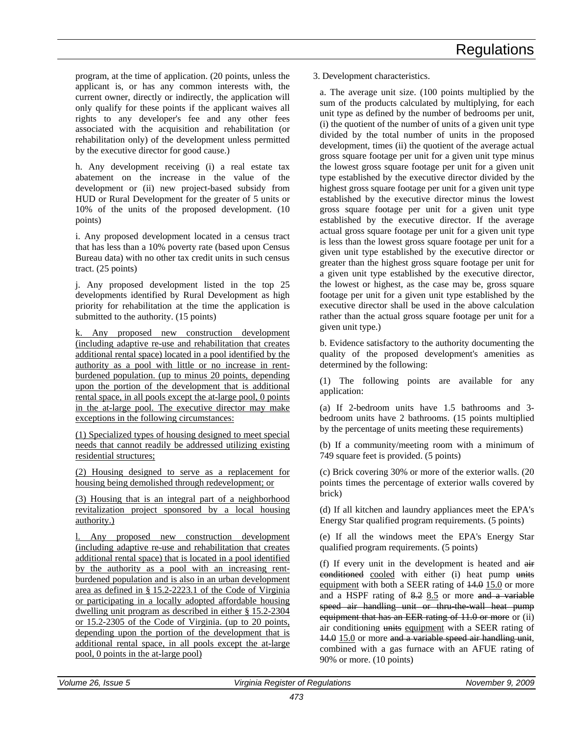program, at the time of application. (20 points, unless the applicant is, or has any common interests with, the current owner, directly or indirectly, the application will only qualify for these points if the applicant waives all rights to any developer's fee and any other fees associated with the acquisition and rehabilitation (or rehabilitation only) of the development unless permitted by the executive director for good cause.)

h. Any development receiving (i) a real estate tax abatement on the increase in the value of the development or (ii) new project-based subsidy from HUD or Rural Development for the greater of 5 units or 10% of the units of the proposed development. (10 points)

i. Any proposed development located in a census tract that has less than a 10% poverty rate (based upon Census Bureau data) with no other tax credit units in such census tract. (25 points)

j. Any proposed development listed in the top 25 developments identified by Rural Development as high priority for rehabilitation at the time the application is submitted to the authority. (15 points)

k. Any proposed new construction development (including adaptive re-use and rehabilitation that creates additional rental space) located in a pool identified by the authority as a pool with little or no increase in rentburdened population. (up to minus 20 points, depending upon the portion of the development that is additional rental space, in all pools except the at-large pool, 0 points in the at-large pool. The executive director may make exceptions in the following circumstances:

(1) Specialized types of housing designed to meet special needs that cannot readily be addressed utilizing existing residential structures;

(2) Housing designed to serve as a replacement for housing being demolished through redevelopment; or

(3) Housing that is an integral part of a neighborhood revitalization project sponsored by a local housing authority.)

l. Any proposed new construction development (including adaptive re-use and rehabilitation that creates additional rental space) that is located in a pool identified by the authority as a pool with an increasing rentburdened population and is also in an urban development area as defined in § 15.2-2223.1 of the Code of Virginia or participating in a locally adopted affordable housing dwelling unit program as described in either § 15.2-2304 or 15.2-2305 of the Code of Virginia. (up to 20 points, depending upon the portion of the development that is additional rental space, in all pools except the at-large pool, 0 points in the at-large pool)

3. Development characteristics.

a. The average unit size. (100 points multiplied by the sum of the products calculated by multiplying, for each unit type as defined by the number of bedrooms per unit, (i) the quotient of the number of units of a given unit type divided by the total number of units in the proposed development, times (ii) the quotient of the average actual gross square footage per unit for a given unit type minus the lowest gross square footage per unit for a given unit type established by the executive director divided by the highest gross square footage per unit for a given unit type established by the executive director minus the lowest gross square footage per unit for a given unit type established by the executive director. If the average actual gross square footage per unit for a given unit type is less than the lowest gross square footage per unit for a given unit type established by the executive director or greater than the highest gross square footage per unit for a given unit type established by the executive director, the lowest or highest, as the case may be, gross square footage per unit for a given unit type established by the executive director shall be used in the above calculation rather than the actual gross square footage per unit for a given unit type.)

b. Evidence satisfactory to the authority documenting the quality of the proposed development's amenities as determined by the following:

(1) The following points are available for any application:

(a) If 2-bedroom units have 1.5 bathrooms and 3 bedroom units have 2 bathrooms. (15 points multiplied by the percentage of units meeting these requirements)

(b) If a community/meeting room with a minimum of 749 square feet is provided. (5 points)

(c) Brick covering 30% or more of the exterior walls. (20 points times the percentage of exterior walls covered by brick)

(d) If all kitchen and laundry appliances meet the EPA's Energy Star qualified program requirements. (5 points)

(e) If all the windows meet the EPA's Energy Star qualified program requirements. (5 points)

(f) If every unit in the development is heated and air conditioned cooled with either (i) heat pump units equipment with both a SEER rating of  $14.0$  15.0 or more and a HSPF rating of 8.2 8.5 or more and a variable speed air handling unit or thru-the-wall heat pump equipment that has an EER rating of 11.0 or more or (ii) air conditioning units equipment with a SEER rating of 14.0 15.0 or more and a variable speed air handling unit, combined with a gas furnace with an AFUE rating of 90% or more. (10 points)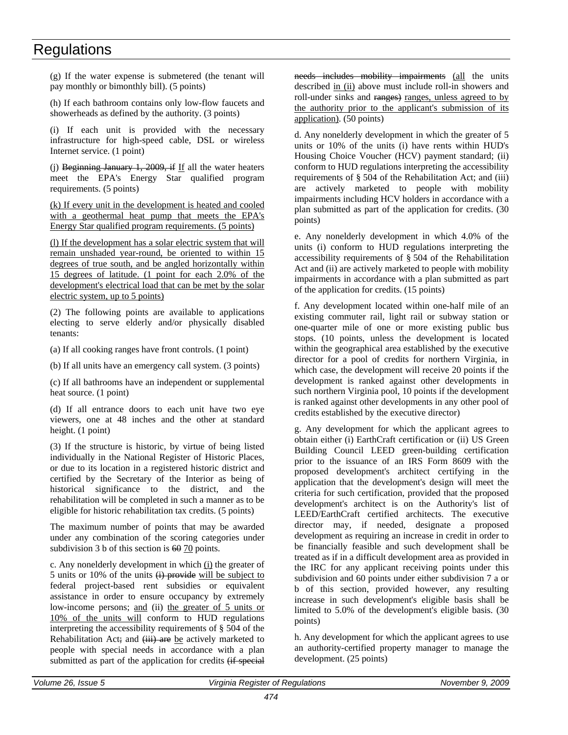(g) If the water expense is submetered (the tenant will pay monthly or bimonthly bill). (5 points)

(h) If each bathroom contains only low-flow faucets and showerheads as defined by the authority. (3 points)

(i) If each unit is provided with the necessary infrastructure for high-speed cable, DSL or wireless Internet service. (1 point)

(j) Beginning January 1, 2009, if If all the water heaters meet the EPA's Energy Star qualified program requirements. (5 points)

(k) If every unit in the development is heated and cooled with a geothermal heat pump that meets the EPA's Energy Star qualified program requirements. (5 points)

(l) If the development has a solar electric system that will remain unshaded year-round, be oriented to within 15 degrees of true south, and be angled horizontally within 15 degrees of latitude. (1 point for each 2.0% of the development's electrical load that can be met by the solar electric system, up to 5 points)

(2) The following points are available to applications electing to serve elderly and/or physically disabled tenants:

(a) If all cooking ranges have front controls. (1 point)

(b) If all units have an emergency call system. (3 points)

(c) If all bathrooms have an independent or supplemental heat source. (1 point)

(d) If all entrance doors to each unit have two eye viewers, one at 48 inches and the other at standard height. (1 point)

(3) If the structure is historic, by virtue of being listed individually in the National Register of Historic Places, or due to its location in a registered historic district and certified by the Secretary of the Interior as being of historical significance to the district, and the rehabilitation will be completed in such a manner as to be eligible for historic rehabilitation tax credits. (5 points)

The maximum number of points that may be awarded under any combination of the scoring categories under subdivision 3 b of this section is 60 70 points.

c. Any nonelderly development in which  $(i)$  the greater of 5 units or 10% of the units  $\overrightarrow{H}$  provide will be subject to federal project-based rent subsidies or equivalent assistance in order to ensure occupancy by extremely low-income persons; and (ii) the greater of 5 units or 10% of the units will conform to HUD regulations interpreting the accessibility requirements of § 504 of the Rehabilitation Act; and (iii) are be actively marketed to people with special needs in accordance with a plan submitted as part of the application for credits (if special

needs includes mobility impairments (all the units described in (ii) above must include roll-in showers and roll-under sinks and ranges) ranges, unless agreed to by the authority prior to the applicant's submission of its application). (50 points)

d. Any nonelderly development in which the greater of 5 units or 10% of the units (i) have rents within HUD's Housing Choice Voucher (HCV) payment standard; (ii) conform to HUD regulations interpreting the accessibility requirements of § 504 of the Rehabilitation Act; and (iii) are actively marketed to people with mobility impairments including HCV holders in accordance with a plan submitted as part of the application for credits. (30 points)

e. Any nonelderly development in which 4.0% of the units (i) conform to HUD regulations interpreting the accessibility requirements of § 504 of the Rehabilitation Act and (ii) are actively marketed to people with mobility impairments in accordance with a plan submitted as part of the application for credits. (15 points)

f. Any development located within one-half mile of an existing commuter rail, light rail or subway station or one-quarter mile of one or more existing public bus stops. (10 points, unless the development is located within the geographical area established by the executive director for a pool of credits for northern Virginia, in which case, the development will receive 20 points if the development is ranked against other developments in such northern Virginia pool, 10 points if the development is ranked against other developments in any other pool of credits established by the executive director)

g. Any development for which the applicant agrees to obtain either (i) EarthCraft certification or (ii) US Green Building Council LEED green-building certification prior to the issuance of an IRS Form 8609 with the proposed development's architect certifying in the application that the development's design will meet the criteria for such certification, provided that the proposed development's architect is on the Authority's list of LEED/EarthCraft certified architects. The executive director may, if needed, designate a proposed development as requiring an increase in credit in order to be financially feasible and such development shall be treated as if in a difficult development area as provided in the IRC for any applicant receiving points under this subdivision and 60 points under either subdivision 7 a or b of this section, provided however, any resulting increase in such development's eligible basis shall be limited to 5.0% of the development's eligible basis. (30 points)

h. Any development for which the applicant agrees to use an authority-certified property manager to manage the development. (25 points)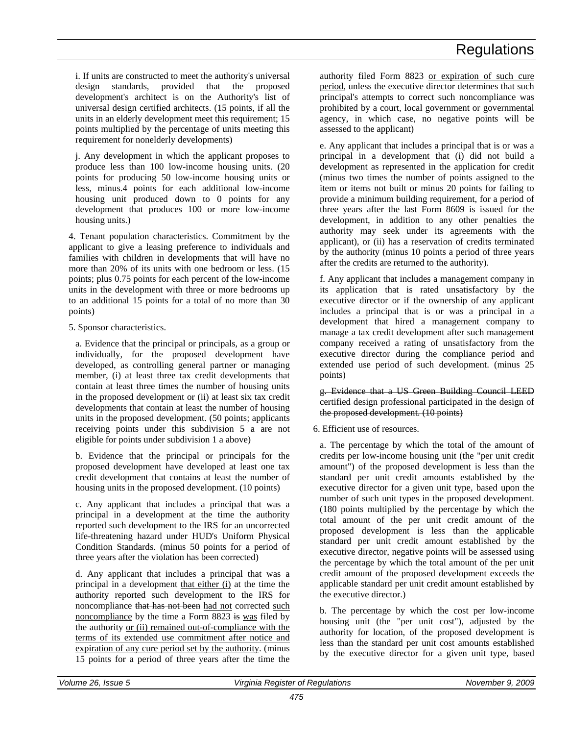i. If units are constructed to meet the authority's universal design standards, provided that the proposed development's architect is on the Authority's list of universal design certified architects. (15 points, if all the units in an elderly development meet this requirement; 15 points multiplied by the percentage of units meeting this requirement for nonelderly developments)

j. Any development in which the applicant proposes to produce less than 100 low-income housing units. (20 points for producing 50 low-income housing units or less, minus.4 points for each additional low-income housing unit produced down to 0 points for any development that produces 100 or more low-income housing units.)

4. Tenant population characteristics. Commitment by the applicant to give a leasing preference to individuals and families with children in developments that will have no more than 20% of its units with one bedroom or less. (15 points; plus 0.75 points for each percent of the low-income units in the development with three or more bedrooms up to an additional 15 points for a total of no more than 30 points)

5. Sponsor characteristics.

a. Evidence that the principal or principals, as a group or individually, for the proposed development have developed, as controlling general partner or managing member, (i) at least three tax credit developments that contain at least three times the number of housing units in the proposed development or (ii) at least six tax credit developments that contain at least the number of housing units in the proposed development. (50 points; applicants receiving points under this subdivision 5 a are not eligible for points under subdivision 1 a above)

b. Evidence that the principal or principals for the proposed development have developed at least one tax credit development that contains at least the number of housing units in the proposed development. (10 points)

c. Any applicant that includes a principal that was a principal in a development at the time the authority reported such development to the IRS for an uncorrected life-threatening hazard under HUD's Uniform Physical Condition Standards. (minus 50 points for a period of three years after the violation has been corrected)

d. Any applicant that includes a principal that was a principal in a development that either (i) at the time the authority reported such development to the IRS for noncompliance that has not been had not corrected such noncompliance by the time a Form 8823 is was filed by the authority or (ii) remained out-of-compliance with the terms of its extended use commitment after notice and expiration of any cure period set by the authority. (minus 15 points for a period of three years after the time the

authority filed Form 8823 or expiration of such cure period, unless the executive director determines that such principal's attempts to correct such noncompliance was prohibited by a court, local government or governmental agency, in which case, no negative points will be assessed to the applicant)

e. Any applicant that includes a principal that is or was a principal in a development that (i) did not build a development as represented in the application for credit (minus two times the number of points assigned to the item or items not built or minus 20 points for failing to provide a minimum building requirement, for a period of three years after the last Form 8609 is issued for the development, in addition to any other penalties the authority may seek under its agreements with the applicant), or (ii) has a reservation of credits terminated by the authority (minus 10 points a period of three years after the credits are returned to the authority).

f. Any applicant that includes a management company in its application that is rated unsatisfactory by the executive director or if the ownership of any applicant includes a principal that is or was a principal in a development that hired a management company to manage a tax credit development after such management company received a rating of unsatisfactory from the executive director during the compliance period and extended use period of such development. (minus 25 points)

g. Evidence that a US Green Building Council LEED certified design professional participated in the design of the proposed development. (10 points)

6. Efficient use of resources.

a. The percentage by which the total of the amount of credits per low-income housing unit (the "per unit credit amount") of the proposed development is less than the standard per unit credit amounts established by the executive director for a given unit type, based upon the number of such unit types in the proposed development. (180 points multiplied by the percentage by which the total amount of the per unit credit amount of the proposed development is less than the applicable standard per unit credit amount established by the executive director, negative points will be assessed using the percentage by which the total amount of the per unit credit amount of the proposed development exceeds the applicable standard per unit credit amount established by the executive director.)

b. The percentage by which the cost per low-income housing unit (the "per unit cost"), adjusted by the authority for location, of the proposed development is less than the standard per unit cost amounts established by the executive director for a given unit type, based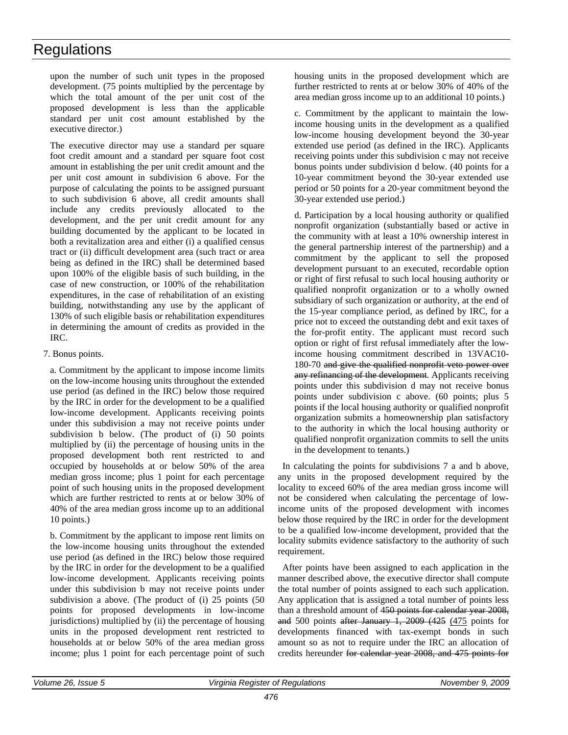upon the number of such unit types in the proposed development. (75 points multiplied by the percentage by which the total amount of the per unit cost of the proposed development is less than the applicable standard per unit cost amount established by the executive director.)

The executive director may use a standard per square foot credit amount and a standard per square foot cost amount in establishing the per unit credit amount and the per unit cost amount in subdivision 6 above. For the purpose of calculating the points to be assigned pursuant to such subdivision 6 above, all credit amounts shall include any credits previously allocated to the development, and the per unit credit amount for any building documented by the applicant to be located in both a revitalization area and either (i) a qualified census tract or (ii) difficult development area (such tract or area being as defined in the IRC) shall be determined based upon 100% of the eligible basis of such building, in the case of new construction, or 100% of the rehabilitation expenditures, in the case of rehabilitation of an existing building, notwithstanding any use by the applicant of 130% of such eligible basis or rehabilitation expenditures in determining the amount of credits as provided in the IRC.

#### 7. Bonus points.

a. Commitment by the applicant to impose income limits on the low-income housing units throughout the extended use period (as defined in the IRC) below those required by the IRC in order for the development to be a qualified low-income development. Applicants receiving points under this subdivision a may not receive points under subdivision b below. (The product of (i) 50 points multiplied by (ii) the percentage of housing units in the proposed development both rent restricted to and occupied by households at or below 50% of the area median gross income; plus 1 point for each percentage point of such housing units in the proposed development which are further restricted to rents at or below 30% of 40% of the area median gross income up to an additional 10 points.)

b. Commitment by the applicant to impose rent limits on the low-income housing units throughout the extended use period (as defined in the IRC) below those required by the IRC in order for the development to be a qualified low-income development. Applicants receiving points under this subdivision b may not receive points under subdivision a above. (The product of (i) 25 points (50 points for proposed developments in low-income jurisdictions) multiplied by (ii) the percentage of housing units in the proposed development rent restricted to households at or below 50% of the area median gross income; plus 1 point for each percentage point of such

housing units in the proposed development which are further restricted to rents at or below 30% of 40% of the area median gross income up to an additional 10 points.)

c. Commitment by the applicant to maintain the lowincome housing units in the development as a qualified low-income housing development beyond the 30-year extended use period (as defined in the IRC). Applicants receiving points under this subdivision c may not receive bonus points under subdivision d below. (40 points for a 10-year commitment beyond the 30-year extended use period or 50 points for a 20-year commitment beyond the 30-year extended use period.)

d. Participation by a local housing authority or qualified nonprofit organization (substantially based or active in the community with at least a 10% ownership interest in the general partnership interest of the partnership) and a commitment by the applicant to sell the proposed development pursuant to an executed, recordable option or right of first refusal to such local housing authority or qualified nonprofit organization or to a wholly owned subsidiary of such organization or authority, at the end of the 15-year compliance period, as defined by IRC, for a price not to exceed the outstanding debt and exit taxes of the for-profit entity. The applicant must record such option or right of first refusal immediately after the lowincome housing commitment described in 13VAC10- 180-70 and give the qualified nonprofit veto power over any refinancing of the development. Applicants receiving points under this subdivision d may not receive bonus points under subdivision c above. (60 points; plus 5 points if the local housing authority or qualified nonprofit organization submits a homeownership plan satisfactory to the authority in which the local housing authority or qualified nonprofit organization commits to sell the units in the development to tenants.)

In calculating the points for subdivisions 7 a and b above, any units in the proposed development required by the locality to exceed 60% of the area median gross income will not be considered when calculating the percentage of lowincome units of the proposed development with incomes below those required by the IRC in order for the development to be a qualified low-income development, provided that the locality submits evidence satisfactory to the authority of such requirement.

After points have been assigned to each application in the manner described above, the executive director shall compute the total number of points assigned to each such application. Any application that is assigned a total number of points less than a threshold amount of 450 points for calendar year 2008, and 500 points after January 1, 2009 (425 (475 points for developments financed with tax-exempt bonds in such amount so as not to require under the IRC an allocation of credits hereunder for calendar year 2008, and 475 points for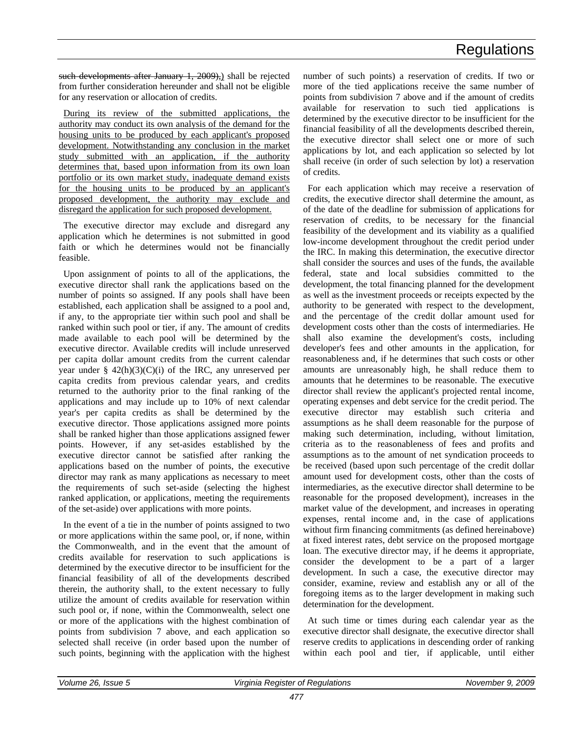such developments after January 1, 2009), shall be rejected from further consideration hereunder and shall not be eligible for any reservation or allocation of credits.

During its review of the submitted applications, the authority may conduct its own analysis of the demand for the housing units to be produced by each applicant's proposed development. Notwithstanding any conclusion in the market study submitted with an application, if the authority determines that, based upon information from its own loan portfolio or its own market study, inadequate demand exists for the housing units to be produced by an applicant's proposed development, the authority may exclude and disregard the application for such proposed development.

The executive director may exclude and disregard any application which he determines is not submitted in good faith or which he determines would not be financially feasible.

Upon assignment of points to all of the applications, the executive director shall rank the applications based on the number of points so assigned. If any pools shall have been established, each application shall be assigned to a pool and, if any, to the appropriate tier within such pool and shall be ranked within such pool or tier, if any. The amount of credits made available to each pool will be determined by the executive director. Available credits will include unreserved per capita dollar amount credits from the current calendar year under  $\S$  42(h)(3)(C)(i) of the IRC, any unreserved per capita credits from previous calendar years, and credits returned to the authority prior to the final ranking of the applications and may include up to 10% of next calendar year's per capita credits as shall be determined by the executive director. Those applications assigned more points shall be ranked higher than those applications assigned fewer points. However, if any set-asides established by the executive director cannot be satisfied after ranking the applications based on the number of points, the executive director may rank as many applications as necessary to meet the requirements of such set-aside (selecting the highest ranked application, or applications, meeting the requirements of the set-aside) over applications with more points.

In the event of a tie in the number of points assigned to two or more applications within the same pool, or, if none, within the Commonwealth, and in the event that the amount of credits available for reservation to such applications is determined by the executive director to be insufficient for the financial feasibility of all of the developments described therein, the authority shall, to the extent necessary to fully utilize the amount of credits available for reservation within such pool or, if none, within the Commonwealth, select one or more of the applications with the highest combination of points from subdivision 7 above, and each application so selected shall receive (in order based upon the number of such points, beginning with the application with the highest

number of such points) a reservation of credits. If two or more of the tied applications receive the same number of points from subdivision 7 above and if the amount of credits available for reservation to such tied applications is determined by the executive director to be insufficient for the financial feasibility of all the developments described therein, the executive director shall select one or more of such applications by lot, and each application so selected by lot shall receive (in order of such selection by lot) a reservation of credits.

For each application which may receive a reservation of credits, the executive director shall determine the amount, as of the date of the deadline for submission of applications for reservation of credits, to be necessary for the financial feasibility of the development and its viability as a qualified low-income development throughout the credit period under the IRC. In making this determination, the executive director shall consider the sources and uses of the funds, the available federal, state and local subsidies committed to the development, the total financing planned for the development as well as the investment proceeds or receipts expected by the authority to be generated with respect to the development, and the percentage of the credit dollar amount used for development costs other than the costs of intermediaries. He shall also examine the development's costs, including developer's fees and other amounts in the application, for reasonableness and, if he determines that such costs or other amounts are unreasonably high, he shall reduce them to amounts that he determines to be reasonable. The executive director shall review the applicant's projected rental income, operating expenses and debt service for the credit period. The executive director may establish such criteria and assumptions as he shall deem reasonable for the purpose of making such determination, including, without limitation, criteria as to the reasonableness of fees and profits and assumptions as to the amount of net syndication proceeds to be received (based upon such percentage of the credit dollar amount used for development costs, other than the costs of intermediaries, as the executive director shall determine to be reasonable for the proposed development), increases in the market value of the development, and increases in operating expenses, rental income and, in the case of applications without firm financing commitments (as defined hereinabove) at fixed interest rates, debt service on the proposed mortgage loan. The executive director may, if he deems it appropriate, consider the development to be a part of a larger development. In such a case, the executive director may consider, examine, review and establish any or all of the foregoing items as to the larger development in making such determination for the development.

At such time or times during each calendar year as the executive director shall designate, the executive director shall reserve credits to applications in descending order of ranking within each pool and tier, if applicable, until either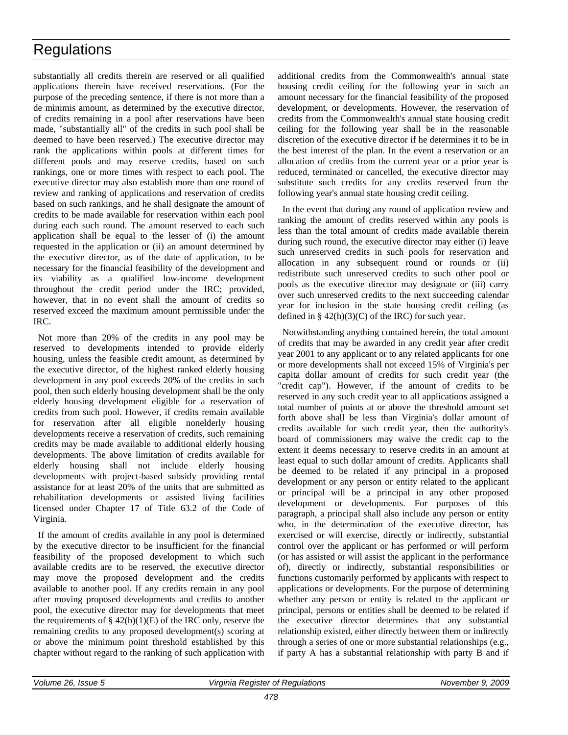substantially all credits therein are reserved or all qualified applications therein have received reservations. (For the purpose of the preceding sentence, if there is not more than a de minimis amount, as determined by the executive director, of credits remaining in a pool after reservations have been made, "substantially all" of the credits in such pool shall be deemed to have been reserved.) The executive director may rank the applications within pools at different times for different pools and may reserve credits, based on such rankings, one or more times with respect to each pool. The executive director may also establish more than one round of review and ranking of applications and reservation of credits based on such rankings, and he shall designate the amount of credits to be made available for reservation within each pool during each such round. The amount reserved to each such application shall be equal to the lesser of (i) the amount requested in the application or (ii) an amount determined by the executive director, as of the date of application, to be necessary for the financial feasibility of the development and its viability as a qualified low-income development throughout the credit period under the IRC; provided, however, that in no event shall the amount of credits so reserved exceed the maximum amount permissible under the IRC.

Not more than 20% of the credits in any pool may be reserved to developments intended to provide elderly housing, unless the feasible credit amount, as determined by the executive director, of the highest ranked elderly housing development in any pool exceeds 20% of the credits in such pool, then such elderly housing development shall be the only elderly housing development eligible for a reservation of credits from such pool. However, if credits remain available for reservation after all eligible nonelderly housing developments receive a reservation of credits, such remaining credits may be made available to additional elderly housing developments. The above limitation of credits available for elderly housing shall not include elderly housing developments with project-based subsidy providing rental assistance for at least 20% of the units that are submitted as rehabilitation developments or assisted living facilities licensed under Chapter 17 of Title 63.2 of the Code of Virginia.

If the amount of credits available in any pool is determined by the executive director to be insufficient for the financial feasibility of the proposed development to which such available credits are to be reserved, the executive director may move the proposed development and the credits available to another pool. If any credits remain in any pool after moving proposed developments and credits to another pool, the executive director may for developments that meet the requirements of  $\S$  42(h)(1)(E) of the IRC only, reserve the remaining credits to any proposed development(s) scoring at or above the minimum point threshold established by this chapter without regard to the ranking of such application with

additional credits from the Commonwealth's annual state housing credit ceiling for the following year in such an amount necessary for the financial feasibility of the proposed development, or developments. However, the reservation of credits from the Commonwealth's annual state housing credit ceiling for the following year shall be in the reasonable discretion of the executive director if he determines it to be in the best interest of the plan. In the event a reservation or an allocation of credits from the current year or a prior year is reduced, terminated or cancelled, the executive director may substitute such credits for any credits reserved from the following year's annual state housing credit ceiling.

In the event that during any round of application review and ranking the amount of credits reserved within any pools is less than the total amount of credits made available therein during such round, the executive director may either (i) leave such unreserved credits in such pools for reservation and allocation in any subsequent round or rounds or (ii) redistribute such unreserved credits to such other pool or pools as the executive director may designate or (iii) carry over such unreserved credits to the next succeeding calendar year for inclusion in the state housing credit ceiling (as defined in  $\S$  42(h)(3)(C) of the IRC) for such year.

Notwithstanding anything contained herein, the total amount of credits that may be awarded in any credit year after credit year 2001 to any applicant or to any related applicants for one or more developments shall not exceed 15% of Virginia's per capita dollar amount of credits for such credit year (the "credit cap"). However, if the amount of credits to be reserved in any such credit year to all applications assigned a total number of points at or above the threshold amount set forth above shall be less than Virginia's dollar amount of credits available for such credit year, then the authority's board of commissioners may waive the credit cap to the extent it deems necessary to reserve credits in an amount at least equal to such dollar amount of credits. Applicants shall be deemed to be related if any principal in a proposed development or any person or entity related to the applicant or principal will be a principal in any other proposed development or developments. For purposes of this paragraph, a principal shall also include any person or entity who, in the determination of the executive director, has exercised or will exercise, directly or indirectly, substantial control over the applicant or has performed or will perform (or has assisted or will assist the applicant in the performance of), directly or indirectly, substantial responsibilities or functions customarily performed by applicants with respect to applications or developments. For the purpose of determining whether any person or entity is related to the applicant or principal, persons or entities shall be deemed to be related if the executive director determines that any substantial relationship existed, either directly between them or indirectly through a series of one or more substantial relationships (e.g., if party A has a substantial relationship with party B and if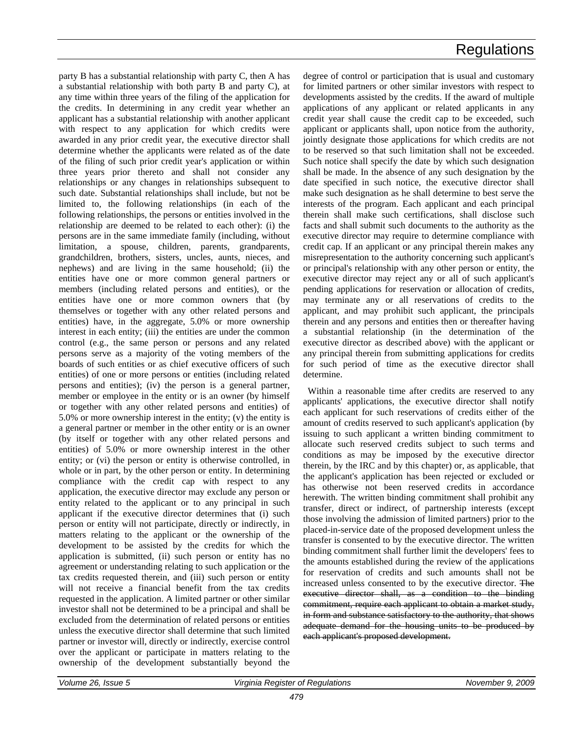party B has a substantial relationship with party C, then A has a substantial relationship with both party B and party C), at any time within three years of the filing of the application for the credits. In determining in any credit year whether an applicant has a substantial relationship with another applicant with respect to any application for which credits were awarded in any prior credit year, the executive director shall determine whether the applicants were related as of the date of the filing of such prior credit year's application or within three years prior thereto and shall not consider any relationships or any changes in relationships subsequent to such date. Substantial relationships shall include, but not be limited to, the following relationships (in each of the following relationships, the persons or entities involved in the relationship are deemed to be related to each other): (i) the persons are in the same immediate family (including, without limitation, a spouse, children, parents, grandparents, grandchildren, brothers, sisters, uncles, aunts, nieces, and nephews) and are living in the same household; (ii) the entities have one or more common general partners or members (including related persons and entities), or the entities have one or more common owners that (by themselves or together with any other related persons and entities) have, in the aggregate, 5.0% or more ownership interest in each entity; (iii) the entities are under the common control (e.g., the same person or persons and any related persons serve as a majority of the voting members of the boards of such entities or as chief executive officers of such entities) of one or more persons or entities (including related persons and entities); (iv) the person is a general partner, member or employee in the entity or is an owner (by himself or together with any other related persons and entities) of 5.0% or more ownership interest in the entity; (v) the entity is a general partner or member in the other entity or is an owner (by itself or together with any other related persons and entities) of 5.0% or more ownership interest in the other entity; or (vi) the person or entity is otherwise controlled, in whole or in part, by the other person or entity. In determining compliance with the credit cap with respect to any application, the executive director may exclude any person or entity related to the applicant or to any principal in such applicant if the executive director determines that (i) such person or entity will not participate, directly or indirectly, in matters relating to the applicant or the ownership of the development to be assisted by the credits for which the application is submitted, (ii) such person or entity has no agreement or understanding relating to such application or the tax credits requested therein, and (iii) such person or entity will not receive a financial benefit from the tax credits requested in the application. A limited partner or other similar investor shall not be determined to be a principal and shall be excluded from the determination of related persons or entities unless the executive director shall determine that such limited partner or investor will, directly or indirectly, exercise control over the applicant or participate in matters relating to the ownership of the development substantially beyond the

degree of control or participation that is usual and customary for limited partners or other similar investors with respect to developments assisted by the credits. If the award of multiple applications of any applicant or related applicants in any credit year shall cause the credit cap to be exceeded, such applicant or applicants shall, upon notice from the authority, jointly designate those applications for which credits are not to be reserved so that such limitation shall not be exceeded. Such notice shall specify the date by which such designation shall be made. In the absence of any such designation by the date specified in such notice, the executive director shall make such designation as he shall determine to best serve the interests of the program. Each applicant and each principal therein shall make such certifications, shall disclose such facts and shall submit such documents to the authority as the executive director may require to determine compliance with credit cap. If an applicant or any principal therein makes any misrepresentation to the authority concerning such applicant's or principal's relationship with any other person or entity, the executive director may reject any or all of such applicant's pending applications for reservation or allocation of credits, may terminate any or all reservations of credits to the applicant, and may prohibit such applicant, the principals therein and any persons and entities then or thereafter having a substantial relationship (in the determination of the executive director as described above) with the applicant or any principal therein from submitting applications for credits for such period of time as the executive director shall determine.

Within a reasonable time after credits are reserved to any applicants' applications, the executive director shall notify each applicant for such reservations of credits either of the amount of credits reserved to such applicant's application (by issuing to such applicant a written binding commitment to allocate such reserved credits subject to such terms and conditions as may be imposed by the executive director therein, by the IRC and by this chapter) or, as applicable, that the applicant's application has been rejected or excluded or has otherwise not been reserved credits in accordance herewith. The written binding commitment shall prohibit any transfer, direct or indirect, of partnership interests (except those involving the admission of limited partners) prior to the placed-in-service date of the proposed development unless the transfer is consented to by the executive director. The written binding commitment shall further limit the developers' fees to the amounts established during the review of the applications for reservation of credits and such amounts shall not be increased unless consented to by the executive director. The executive director shall, as a condition to the binding commitment, require each applicant to obtain a market study, in form and substance satisfactory to the authority, that shows adequate demand for the housing units to be produced by each applicant's proposed development.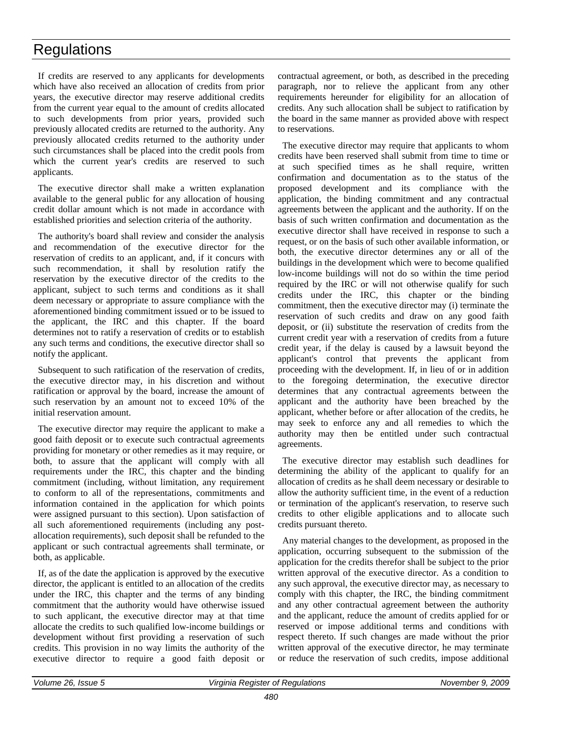If credits are reserved to any applicants for developments which have also received an allocation of credits from prior years, the executive director may reserve additional credits from the current year equal to the amount of credits allocated to such developments from prior years, provided such previously allocated credits are returned to the authority. Any previously allocated credits returned to the authority under such circumstances shall be placed into the credit pools from which the current year's credits are reserved to such applicants.

The executive director shall make a written explanation available to the general public for any allocation of housing credit dollar amount which is not made in accordance with established priorities and selection criteria of the authority.

The authority's board shall review and consider the analysis and recommendation of the executive director for the reservation of credits to an applicant, and, if it concurs with such recommendation, it shall by resolution ratify the reservation by the executive director of the credits to the applicant, subject to such terms and conditions as it shall deem necessary or appropriate to assure compliance with the aforementioned binding commitment issued or to be issued to the applicant, the IRC and this chapter. If the board determines not to ratify a reservation of credits or to establish any such terms and conditions, the executive director shall so notify the applicant.

Subsequent to such ratification of the reservation of credits, the executive director may, in his discretion and without ratification or approval by the board, increase the amount of such reservation by an amount not to exceed 10% of the initial reservation amount.

The executive director may require the applicant to make a good faith deposit or to execute such contractual agreements providing for monetary or other remedies as it may require, or both, to assure that the applicant will comply with all requirements under the IRC, this chapter and the binding commitment (including, without limitation, any requirement to conform to all of the representations, commitments and information contained in the application for which points were assigned pursuant to this section). Upon satisfaction of all such aforementioned requirements (including any postallocation requirements), such deposit shall be refunded to the applicant or such contractual agreements shall terminate, or both, as applicable.

If, as of the date the application is approved by the executive director, the applicant is entitled to an allocation of the credits under the IRC, this chapter and the terms of any binding commitment that the authority would have otherwise issued to such applicant, the executive director may at that time allocate the credits to such qualified low-income buildings or development without first providing a reservation of such credits. This provision in no way limits the authority of the executive director to require a good faith deposit or

contractual agreement, or both, as described in the preceding paragraph, nor to relieve the applicant from any other requirements hereunder for eligibility for an allocation of credits. Any such allocation shall be subject to ratification by the board in the same manner as provided above with respect to reservations.

The executive director may require that applicants to whom credits have been reserved shall submit from time to time or at such specified times as he shall require, written confirmation and documentation as to the status of the proposed development and its compliance with the application, the binding commitment and any contractual agreements between the applicant and the authority. If on the basis of such written confirmation and documentation as the executive director shall have received in response to such a request, or on the basis of such other available information, or both, the executive director determines any or all of the buildings in the development which were to become qualified low-income buildings will not do so within the time period required by the IRC or will not otherwise qualify for such credits under the IRC, this chapter or the binding commitment, then the executive director may (i) terminate the reservation of such credits and draw on any good faith deposit, or (ii) substitute the reservation of credits from the current credit year with a reservation of credits from a future credit year, if the delay is caused by a lawsuit beyond the applicant's control that prevents the applicant from proceeding with the development. If, in lieu of or in addition to the foregoing determination, the executive director determines that any contractual agreements between the applicant and the authority have been breached by the applicant, whether before or after allocation of the credits, he may seek to enforce any and all remedies to which the authority may then be entitled under such contractual agreements.

The executive director may establish such deadlines for determining the ability of the applicant to qualify for an allocation of credits as he shall deem necessary or desirable to allow the authority sufficient time, in the event of a reduction or termination of the applicant's reservation, to reserve such credits to other eligible applications and to allocate such credits pursuant thereto.

Any material changes to the development, as proposed in the application, occurring subsequent to the submission of the application for the credits therefor shall be subject to the prior written approval of the executive director. As a condition to any such approval, the executive director may, as necessary to comply with this chapter, the IRC, the binding commitment and any other contractual agreement between the authority and the applicant, reduce the amount of credits applied for or reserved or impose additional terms and conditions with respect thereto. If such changes are made without the prior written approval of the executive director, he may terminate or reduce the reservation of such credits, impose additional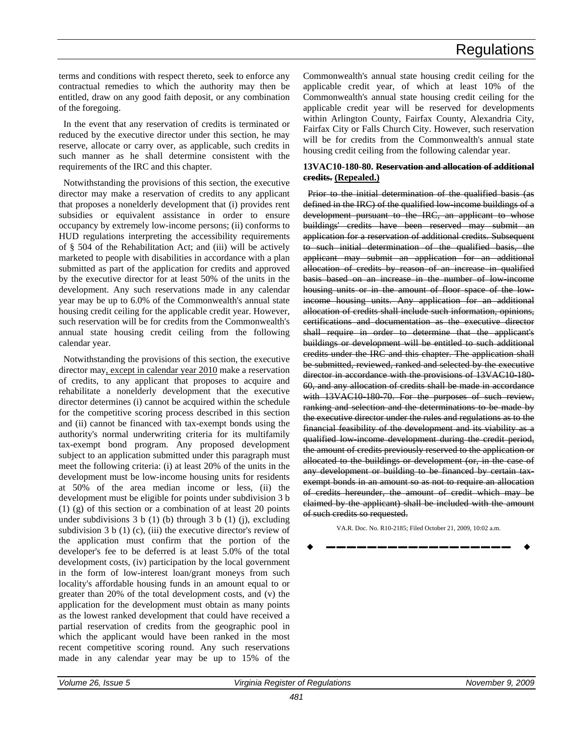terms and conditions with respect thereto, seek to enforce any contractual remedies to which the authority may then be entitled, draw on any good faith deposit, or any combination of the foregoing.

In the event that any reservation of credits is terminated or reduced by the executive director under this section, he may reserve, allocate or carry over, as applicable, such credits in such manner as he shall determine consistent with the requirements of the IRC and this chapter.

Notwithstanding the provisions of this section, the executive director may make a reservation of credits to any applicant that proposes a nonelderly development that (i) provides rent subsidies or equivalent assistance in order to ensure occupancy by extremely low-income persons; (ii) conforms to HUD regulations interpreting the accessibility requirements of § 504 of the Rehabilitation Act; and (iii) will be actively marketed to people with disabilities in accordance with a plan submitted as part of the application for credits and approved by the executive director for at least 50% of the units in the development. Any such reservations made in any calendar year may be up to 6.0% of the Commonwealth's annual state housing credit ceiling for the applicable credit year. However, such reservation will be for credits from the Commonwealth's annual state housing credit ceiling from the following calendar year.

Notwithstanding the provisions of this section, the executive director may, except in calendar year 2010 make a reservation of credits, to any applicant that proposes to acquire and rehabilitate a nonelderly development that the executive director determines (i) cannot be acquired within the schedule for the competitive scoring process described in this section and (ii) cannot be financed with tax-exempt bonds using the authority's normal underwriting criteria for its multifamily tax-exempt bond program. Any proposed development subject to an application submitted under this paragraph must meet the following criteria: (i) at least 20% of the units in the development must be low-income housing units for residents at 50% of the area median income or less, (ii) the development must be eligible for points under subdivision 3 b (1) (g) of this section or a combination of at least 20 points under subdivisions  $3 b (1) (b)$  through  $3 b (1) (i)$ , excluding subdivision  $3 b (1) (c)$ , (iii) the executive director's review of the application must confirm that the portion of the developer's fee to be deferred is at least 5.0% of the total development costs, (iv) participation by the local government in the form of low-interest loan/grant moneys from such locality's affordable housing funds in an amount equal to or greater than 20% of the total development costs, and (v) the application for the development must obtain as many points as the lowest ranked development that could have received a partial reservation of credits from the geographic pool in which the applicant would have been ranked in the most recent competitive scoring round. Any such reservations made in any calendar year may be up to 15% of the

Commonwealth's annual state housing credit ceiling for the applicable credit year, of which at least 10% of the Commonwealth's annual state housing credit ceiling for the applicable credit year will be reserved for developments within Arlington County, Fairfax County, Alexandria City, Fairfax City or Falls Church City. However, such reservation will be for credits from the Commonwealth's annual state housing credit ceiling from the following calendar year.

#### **13VAC10-180-80. Reservation and allocation of additional credits. (Repealed.)**

Prior to the initial determination of the qualified basis (as defined in the IRC) of the qualified low-income buildings of a development pursuant to the IRC, an applicant to whose buildings' credits have been reserved may submit an application for a reservation of additional credits. Subsequent to such initial determination of the qualified basis, the applicant may submit an application for an additional allocation of credits by reason of an increase in qualified basis based on an increase in the number of low-income housing units or in the amount of floor space of the lowincome housing units. Any application for an additional allocation of credits shall include such information, opinions, certifications and documentation as the executive director shall require in order to determine that the applicant's buildings or development will be entitled to such additional credits under the IRC and this chapter. The application shall be submitted, reviewed, ranked and selected by the executive director in accordance with the provisions of 13VAC10 180-60, and any allocation of credits shall be made in accordance with 13VAC10-180-70. For the purposes of such review, ranking and selection and the determinations to be made by the executive director under the rules and regulations as to the financial feasibility of the development and its viability as a qualified low-income development during the credit period, the amount of credits previously reserved to the application or allocated to the buildings or development (or, in the case of any development or building to be financed by certain taxexempt bonds in an amount so as not to require an allocation of credits hereunder, the amount of credit which may be claimed by the applicant) shall be included with the amount of such credits so requested.

VA.R. Doc. No. R10-2185; Filed October 21, 2009, 10:02 a.m.

$$
\bullet \hspace{2.7mm}\underline{\hspace{2.8mm}}\hspace{2.8mm}\bullet
$$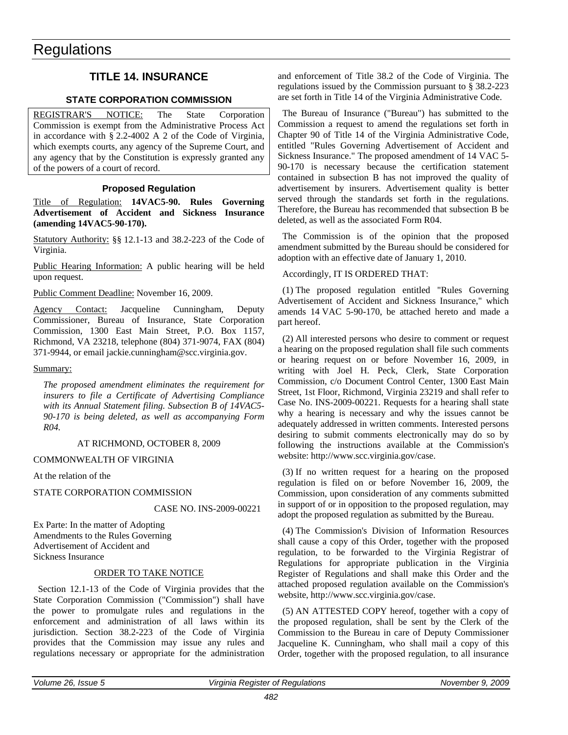### <span id="page-34-0"></span>**TITLE 14. INSURANCE**

#### **STATE CORPORATION COMMISSION**

REGISTRAR'S NOTICE: The State Corporation Commission is exempt from the Administrative Process Act in accordance with § 2.2-4002 A 2 of the Code of Virginia, which exempts courts, any agency of the Supreme Court, and any agency that by the Constitution is expressly granted any of the powers of a court of record.

#### **Proposed Regulation**

Title of Regulation: **14VAC5-90. Rules Governing Advertisement of Accident and Sickness Insurance (amending 14VAC5-90-170).**

Statutory Authority: §§ 12.1-13 and 38.2-223 of the Code of Virginia.

Public Hearing Information: A public hearing will be held upon request.

Public Comment Deadline: November 16, 2009.

Agency Contact: Jacqueline Cunningham, Deputy Commissioner, Bureau of Insurance, State Corporation Commission, 1300 East Main Street, P.O. Box 1157, Richmond, VA 23218, telephone (804) 371-9074, FAX (804) 371-9944, or email jackie.cunningham@scc.virginia.gov.

#### Summary:

*The proposed amendment eliminates the requirement for insurers to file a Certificate of Advertising Compliance with its Annual Statement filing. Subsection B of 14VAC5- 90-170 is being deleted, as well as accompanying Form R04.*

#### AT RICHMOND, OCTOBER 8, 2009

#### COMMONWEALTH OF VIRGINIA

At the relation of the

#### STATE CORPORATION COMMISSION

#### CASE NO. INS-2009-00221

Ex Parte: In the matter of Adopting Amendments to the Rules Governing Advertisement of Accident and Sickness Insurance

#### ORDER TO TAKE NOTICE

Section 12.1-13 of the Code of Virginia provides that the State Corporation Commission ("Commission") shall have the power to promulgate rules and regulations in the enforcement and administration of all laws within its jurisdiction. Section 38.2-223 of the Code of Virginia provides that the Commission may issue any rules and regulations necessary or appropriate for the administration

and enforcement of Title 38.2 of the Code of Virginia. The regulations issued by the Commission pursuant to § 38.2-223 are set forth in Title 14 of the Virginia Administrative Code.

The Bureau of Insurance ("Bureau") has submitted to the Commission a request to amend the regulations set forth in Chapter 90 of Title 14 of the Virginia Administrative Code, entitled "Rules Governing Advertisement of Accident and Sickness Insurance." The proposed amendment of 14 VAC 5- 90-170 is necessary because the certification statement contained in subsection B has not improved the quality of advertisement by insurers. Advertisement quality is better served through the standards set forth in the regulations. Therefore, the Bureau has recommended that subsection B be deleted, as well as the associated Form R04.

The Commission is of the opinion that the proposed amendment submitted by the Bureau should be considered for adoption with an effective date of January 1, 2010.

#### Accordingly, IT IS ORDERED THAT:

(1) The proposed regulation entitled "Rules Governing Advertisement of Accident and Sickness Insurance," which amends 14 VAC 5-90-170, be attached hereto and made a part hereof.

(2) All interested persons who desire to comment or request a hearing on the proposed regulation shall file such comments or hearing request on or before November 16, 2009, in writing with Joel H. Peck, Clerk, State Corporation Commission, c/o Document Control Center, 1300 East Main Street, 1st Floor, Richmond, Virginia 23219 and shall refer to Case No. INS-2009-00221. Requests for a hearing shall state why a hearing is necessary and why the issues cannot be adequately addressed in written comments. Interested persons desiring to submit comments electronically may do so by following the instructions available at the Commission's website: http://www.scc.virginia.gov/case.

(3) If no written request for a hearing on the proposed regulation is filed on or before November 16, 2009, the Commission, upon consideration of any comments submitted in support of or in opposition to the proposed regulation, may adopt the proposed regulation as submitted by the Bureau.

(4) The Commission's Division of Information Resources shall cause a copy of this Order, together with the proposed regulation, to be forwarded to the Virginia Registrar of Regulations for appropriate publication in the Virginia Register of Regulations and shall make this Order and the attached proposed regulation available on the Commission's website, http://www.scc.virginia.gov/case.

(5) AN ATTESTED COPY hereof, together with a copy of the proposed regulation, shall be sent by the Clerk of the Commission to the Bureau in care of Deputy Commissioner Jacqueline K. Cunningham, who shall mail a copy of this Order, together with the proposed regulation, to all insurance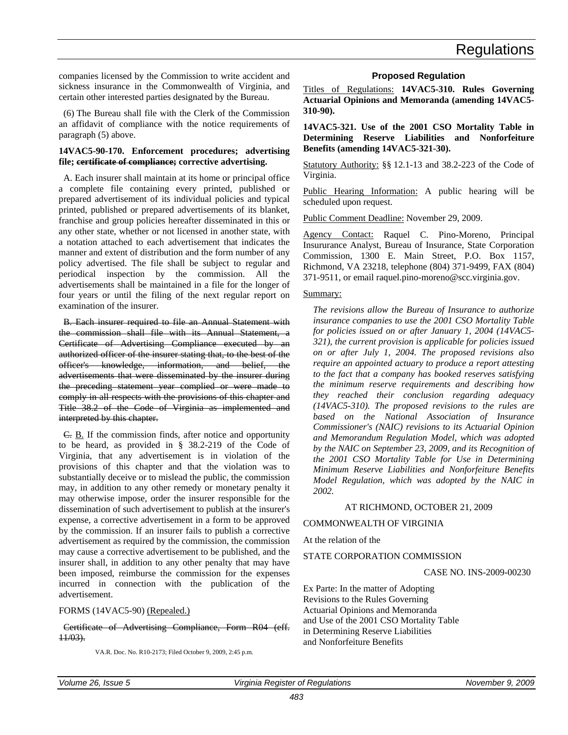<span id="page-35-0"></span>companies licensed by the Commission to write accident and sickness insurance in the Commonwealth of Virginia, and certain other interested parties designated by the Bureau.

(6) The Bureau shall file with the Clerk of the Commission an affidavit of compliance with the notice requirements of paragraph (5) above.

#### **14VAC5-90-170. Enforcement procedures; advertising file; certificate of compliance; corrective advertising.**

A. Each insurer shall maintain at its home or principal office a complete file containing every printed, published or prepared advertisement of its individual policies and typical printed, published or prepared advertisements of its blanket, franchise and group policies hereafter disseminated in this or any other state, whether or not licensed in another state, with a notation attached to each advertisement that indicates the manner and extent of distribution and the form number of any policy advertised. The file shall be subject to regular and periodical inspection by the commission. All the advertisements shall be maintained in a file for the longer of four years or until the filing of the next regular report on examination of the insurer.

B. Each insurer required to file an Annual Statement with the commission shall file with its Annual Statement, a Certificate of Advertising Compliance executed by an authorized officer of the insurer stating that, to the best of the officer's knowledge, information, and belief, the advertisements that were disseminated by the insurer during the preceding statement year complied or were made to comply in all respects with the provisions of this chapter and Title 38.2 of the Code of Virginia as implemented and interpreted by this chapter.

C. B. If the commission finds, after notice and opportunity to be heard, as provided in § 38.2-219 of the Code of Virginia, that any advertisement is in violation of the provisions of this chapter and that the violation was to substantially deceive or to mislead the public, the commission may, in addition to any other remedy or monetary penalty it may otherwise impose, order the insurer responsible for the dissemination of such advertisement to publish at the insurer's expense, a corrective advertisement in a form to be approved by the commission. If an insurer fails to publish a corrective advertisement as required by the commission, the commission may cause a corrective advertisement to be published, and the insurer shall, in addition to any other penalty that may have been imposed, reimburse the commission for the expenses incurred in connection with the publication of the advertisement.

#### FORMS (14VAC5-90) (Repealed.)

#### Certificate of Advertising Compliance, Form R04 (eff. 11/03).

VA.R. Doc. No. R10-2173; Filed October 9, 2009, 2:45 p.m.

#### **Proposed Regulation**

Titles of Regulations: **14VAC5-310. Rules Governing Actuarial Opinions and Memoranda (amending 14VAC5- 310-90).** 

**14VAC5-321. Use of the 2001 CSO Mortality Table in Determining Reserve Liabilities and Nonforfeiture Benefits (amending 14VAC5-321-30).**

Statutory Authority: §§ 12.1-13 and 38.2-223 of the Code of Virginia.

Public Hearing Information: A public hearing will be scheduled upon request.

Public Comment Deadline: November 29, 2009.

Agency Contact: Raquel C. Pino-Moreno, Principal Insururance Analyst, Bureau of Insurance, State Corporation Commission, 1300 E. Main Street, P.O. Box 1157, Richmond, VA 23218, telephone (804) 371-9499, FAX (804) 371-9511, or email raquel.pino-moreno@scc.virginia.gov.

#### Summary:

*The revisions allow the Bureau of Insurance to authorize insurance companies to use the 2001 CSO Mortality Table for policies issued on or after January 1, 2004 (14VAC5- 321), the current provision is applicable for policies issued on or after July 1, 2004. The proposed revisions also require an appointed actuary to produce a report attesting to the fact that a company has booked reserves satisfying the minimum reserve requirements and describing how they reached their conclusion regarding adequacy (14VAC5-310). The proposed revisions to the rules are based on the National Association of Insurance Commissioner's (NAIC) revisions to its Actuarial Opinion and Memorandum Regulation Model, which was adopted by the NAIC on September 23, 2009, and its Recognition of the 2001 CSO Mortality Table for Use in Determining Minimum Reserve Liabilities and Nonforfeiture Benefits Model Regulation, which was adopted by the NAIC in 2002.*

#### AT RICHMOND, OCTOBER 21, 2009

#### COMMONWEALTH OF VIRGINIA

#### At the relation of the

#### STATE CORPORATION COMMISSION

#### CASE NO. INS-2009-00230

Ex Parte: In the matter of Adopting Revisions to the Rules Governing Actuarial Opinions and Memoranda and Use of the 2001 CSO Mortality Table in Determining Reserve Liabilities and Nonforfeiture Benefits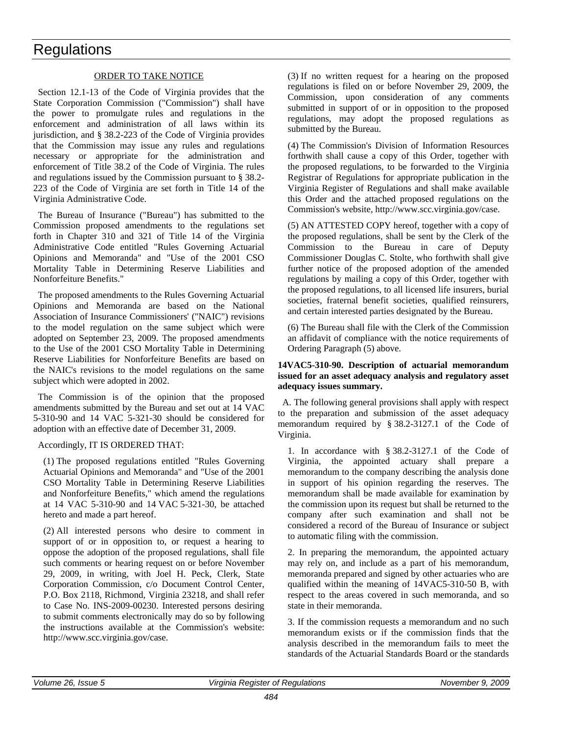#### ORDER TO TAKE NOTICE

Section 12.1-13 of the Code of Virginia provides that the State Corporation Commission ("Commission") shall have the power to promulgate rules and regulations in the enforcement and administration of all laws within its jurisdiction, and § 38.2-223 of the Code of Virginia provides that the Commission may issue any rules and regulations necessary or appropriate for the administration and enforcement of Title 38.2 of the Code of Virginia. The rules and regulations issued by the Commission pursuant to § 38.2- 223 of the Code of Virginia are set forth in Title 14 of the Virginia Administrative Code.

The Bureau of Insurance ("Bureau") has submitted to the Commission proposed amendments to the regulations set forth in Chapter 310 and 321 of Title 14 of the Virginia Administrative Code entitled "Rules Governing Actuarial Opinions and Memoranda" and "Use of the 2001 CSO Mortality Table in Determining Reserve Liabilities and Nonforfeiture Benefits."

The proposed amendments to the Rules Governing Actuarial Opinions and Memoranda are based on the National Association of Insurance Commissioners' ("NAIC") revisions to the model regulation on the same subject which were adopted on September 23, 2009. The proposed amendments to the Use of the 2001 CSO Mortality Table in Determining Reserve Liabilities for Nonforfeiture Benefits are based on the NAIC's revisions to the model regulations on the same subject which were adopted in 2002.

The Commission is of the opinion that the proposed amendments submitted by the Bureau and set out at 14 VAC 5-310-90 and 14 VAC 5-321-30 should be considered for adoption with an effective date of December 31, 2009.

#### Accordingly, IT IS ORDERED THAT:

(1) The proposed regulations entitled "Rules Governing Actuarial Opinions and Memoranda" and "Use of the 2001 CSO Mortality Table in Determining Reserve Liabilities and Nonforfeiture Benefits," which amend the regulations at 14 VAC 5-310-90 and 14 VAC 5-321-30, be attached hereto and made a part hereof.

(2) All interested persons who desire to comment in support of or in opposition to, or request a hearing to oppose the adoption of the proposed regulations, shall file such comments or hearing request on or before November 29, 2009, in writing, with Joel H. Peck, Clerk, State Corporation Commission, c/o Document Control Center, P.O. Box 2118, Richmond, Virginia 23218, and shall refer to Case No. INS-2009-00230. Interested persons desiring to submit comments electronically may do so by following the instructions available at the Commission's website: http://www.scc.virginia.gov/case.

(3) If no written request for a hearing on the proposed regulations is filed on or before November 29, 2009, the Commission, upon consideration of any comments submitted in support of or in opposition to the proposed regulations, may adopt the proposed regulations as submitted by the Bureau.

(4) The Commission's Division of Information Resources forthwith shall cause a copy of this Order, together with the proposed regulations, to be forwarded to the Virginia Registrar of Regulations for appropriate publication in the Virginia Register of Regulations and shall make available this Order and the attached proposed regulations on the Commission's website, http://www.scc.virginia.gov/case.

(5) AN ATTESTED COPY hereof, together with a copy of the proposed regulations, shall be sent by the Clerk of the Commission to the Bureau in care of Deputy Commissioner Douglas C. Stolte, who forthwith shall give further notice of the proposed adoption of the amended regulations by mailing a copy of this Order, together with the proposed regulations, to all licensed life insurers, burial societies, fraternal benefit societies, qualified reinsurers, and certain interested parties designated by the Bureau.

(6) The Bureau shall file with the Clerk of the Commission an affidavit of compliance with the notice requirements of Ordering Paragraph (5) above.

#### **14VAC5-310-90. Description of actuarial memorandum issued for an asset adequacy analysis and regulatory asset adequacy issues summary.**

A. The following general provisions shall apply with respect to the preparation and submission of the asset adequacy memorandum required by § 38.2-3127.1 of the Code of Virginia.

1. In accordance with § 38.2-3127.1 of the Code of Virginia, the appointed actuary shall prepare a memorandum to the company describing the analysis done in support of his opinion regarding the reserves. The memorandum shall be made available for examination by the commission upon its request but shall be returned to the company after such examination and shall not be considered a record of the Bureau of Insurance or subject to automatic filing with the commission.

2. In preparing the memorandum, the appointed actuary may rely on, and include as a part of his memorandum, memoranda prepared and signed by other actuaries who are qualified within the meaning of 14VAC5-310-50 B, with respect to the areas covered in such memoranda, and so state in their memoranda.

3. If the commission requests a memorandum and no such memorandum exists or if the commission finds that the analysis described in the memorandum fails to meet the standards of the Actuarial Standards Board or the standards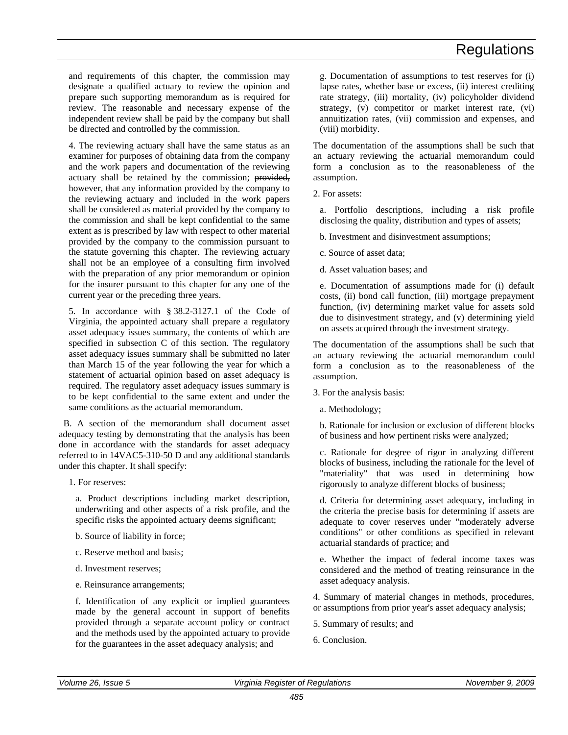and requirements of this chapter, the commission may designate a qualified actuary to review the opinion and prepare such supporting memorandum as is required for review. The reasonable and necessary expense of the independent review shall be paid by the company but shall be directed and controlled by the commission.

4. The reviewing actuary shall have the same status as an examiner for purposes of obtaining data from the company and the work papers and documentation of the reviewing actuary shall be retained by the commission; provided, however, that any information provided by the company to the reviewing actuary and included in the work papers shall be considered as material provided by the company to the commission and shall be kept confidential to the same extent as is prescribed by law with respect to other material provided by the company to the commission pursuant to the statute governing this chapter. The reviewing actuary shall not be an employee of a consulting firm involved with the preparation of any prior memorandum or opinion for the insurer pursuant to this chapter for any one of the current year or the preceding three years.

5. In accordance with § 38.2-3127.1 of the Code of Virginia, the appointed actuary shall prepare a regulatory asset adequacy issues summary, the contents of which are specified in subsection C of this section. The regulatory asset adequacy issues summary shall be submitted no later than March 15 of the year following the year for which a statement of actuarial opinion based on asset adequacy is required. The regulatory asset adequacy issues summary is to be kept confidential to the same extent and under the same conditions as the actuarial memorandum.

B. A section of the memorandum shall document asset adequacy testing by demonstrating that the analysis has been done in accordance with the standards for asset adequacy referred to in 14VAC5-310-50 D and any additional standards under this chapter. It shall specify:

1. For reserves:

a. Product descriptions including market description, underwriting and other aspects of a risk profile, and the specific risks the appointed actuary deems significant;

- b. Source of liability in force;
- c. Reserve method and basis;
- d. Investment reserves;
- e. Reinsurance arrangements;

f. Identification of any explicit or implied guarantees made by the general account in support of benefits provided through a separate account policy or contract and the methods used by the appointed actuary to provide for the guarantees in the asset adequacy analysis; and

g. Documentation of assumptions to test reserves for (i) lapse rates, whether base or excess, (ii) interest crediting rate strategy, (iii) mortality, (iv) policyholder dividend strategy, (v) competitor or market interest rate, (vi) annuitization rates, (vii) commission and expenses, and (viii) morbidity.

The documentation of the assumptions shall be such that an actuary reviewing the actuarial memorandum could form a conclusion as to the reasonableness of the assumption.

2. For assets:

a. Portfolio descriptions, including a risk profile disclosing the quality, distribution and types of assets;

b. Investment and disinvestment assumptions;

c. Source of asset data;

d. Asset valuation bases; and

e. Documentation of assumptions made for (i) default costs, (ii) bond call function, (iii) mortgage prepayment function, (iv) determining market value for assets sold due to disinvestment strategy, and (v) determining yield on assets acquired through the investment strategy.

The documentation of the assumptions shall be such that an actuary reviewing the actuarial memorandum could form a conclusion as to the reasonableness of the assumption.

3. For the analysis basis:

a. Methodology;

b. Rationale for inclusion or exclusion of different blocks of business and how pertinent risks were analyzed;

c. Rationale for degree of rigor in analyzing different blocks of business, including the rationale for the level of "materiality" that was used in determining how rigorously to analyze different blocks of business;

d. Criteria for determining asset adequacy, including in the criteria the precise basis for determining if assets are adequate to cover reserves under "moderately adverse conditions" or other conditions as specified in relevant actuarial standards of practice; and

e. Whether the impact of federal income taxes was considered and the method of treating reinsurance in the asset adequacy analysis.

4. Summary of material changes in methods, procedures, or assumptions from prior year's asset adequacy analysis;

5. Summary of results; and

6. Conclusion.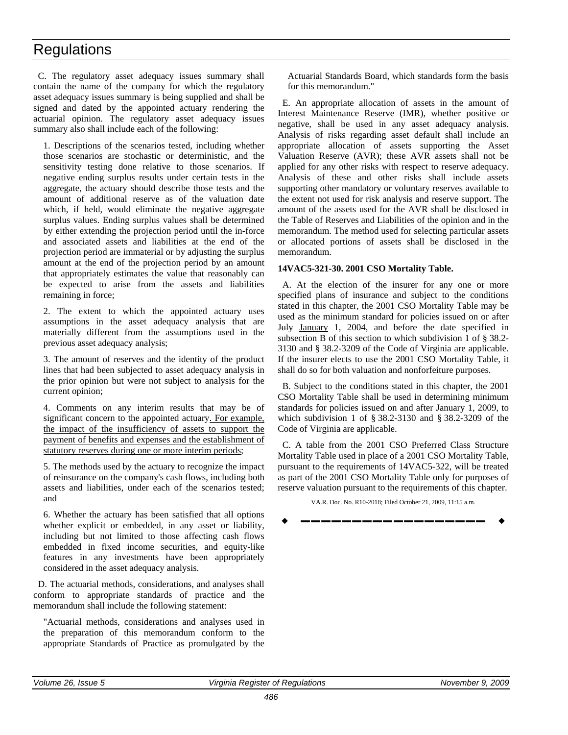C. The regulatory asset adequacy issues summary shall contain the name of the company for which the regulatory asset adequacy issues summary is being supplied and shall be signed and dated by the appointed actuary rendering the actuarial opinion. The regulatory asset adequacy issues summary also shall include each of the following:

1. Descriptions of the scenarios tested, including whether those scenarios are stochastic or deterministic, and the sensitivity testing done relative to those scenarios. If negative ending surplus results under certain tests in the aggregate, the actuary should describe those tests and the amount of additional reserve as of the valuation date which, if held, would eliminate the negative aggregate surplus values. Ending surplus values shall be determined by either extending the projection period until the in-force and associated assets and liabilities at the end of the projection period are immaterial or by adjusting the surplus amount at the end of the projection period by an amount that appropriately estimates the value that reasonably can be expected to arise from the assets and liabilities remaining in force;

2. The extent to which the appointed actuary uses assumptions in the asset adequacy analysis that are materially different from the assumptions used in the previous asset adequacy analysis;

3. The amount of reserves and the identity of the product lines that had been subjected to asset adequacy analysis in the prior opinion but were not subject to analysis for the current opinion;

4. Comments on any interim results that may be of significant concern to the appointed actuary. For example, the impact of the insufficiency of assets to support the payment of benefits and expenses and the establishment of statutory reserves during one or more interim periods;

5. The methods used by the actuary to recognize the impact of reinsurance on the company's cash flows, including both assets and liabilities, under each of the scenarios tested; and

6. Whether the actuary has been satisfied that all options whether explicit or embedded, in any asset or liability, including but not limited to those affecting cash flows embedded in fixed income securities, and equity-like features in any investments have been appropriately considered in the asset adequacy analysis.

D. The actuarial methods, considerations, and analyses shall conform to appropriate standards of practice and the memorandum shall include the following statement:

"Actuarial methods, considerations and analyses used in the preparation of this memorandum conform to the appropriate Standards of Practice as promulgated by the Actuarial Standards Board, which standards form the basis for this memorandum."

E. An appropriate allocation of assets in the amount of Interest Maintenance Reserve (IMR), whether positive or negative, shall be used in any asset adequacy analysis. Analysis of risks regarding asset default shall include an appropriate allocation of assets supporting the Asset Valuation Reserve (AVR); these AVR assets shall not be applied for any other risks with respect to reserve adequacy. Analysis of these and other risks shall include assets supporting other mandatory or voluntary reserves available to the extent not used for risk analysis and reserve support. The amount of the assets used for the AVR shall be disclosed in the Table of Reserves and Liabilities of the opinion and in the memorandum. The method used for selecting particular assets or allocated portions of assets shall be disclosed in the memorandum.

#### **14VAC5-321-30. 2001 CSO Mortality Table.**

A. At the election of the insurer for any one or more specified plans of insurance and subject to the conditions stated in this chapter, the 2001 CSO Mortality Table may be used as the minimum standard for policies issued on or after July January 1, 2004, and before the date specified in subsection B of this section to which subdivision 1 of § 38.2- 3130 and § 38.2-3209 of the Code of Virginia are applicable. If the insurer elects to use the 2001 CSO Mortality Table, it shall do so for both valuation and nonforfeiture purposes.

B. Subject to the conditions stated in this chapter, the 2001 CSO Mortality Table shall be used in determining minimum standards for policies issued on and after January 1, 2009, to which subdivision 1 of § 38.2-3130 and § 38.2-3209 of the Code of Virginia are applicable.

C. A table from the 2001 CSO Preferred Class Structure Mortality Table used in place of a 2001 CSO Mortality Table, pursuant to the requirements of 14VAC5-322, will be treated as part of the 2001 CSO Mortality Table only for purposes of reserve valuation pursuant to the requirements of this chapter.

VA.R. Doc. No. R10-2018; Filed October 21, 2009, 11:15 a.m.

**––––––––––––––––––**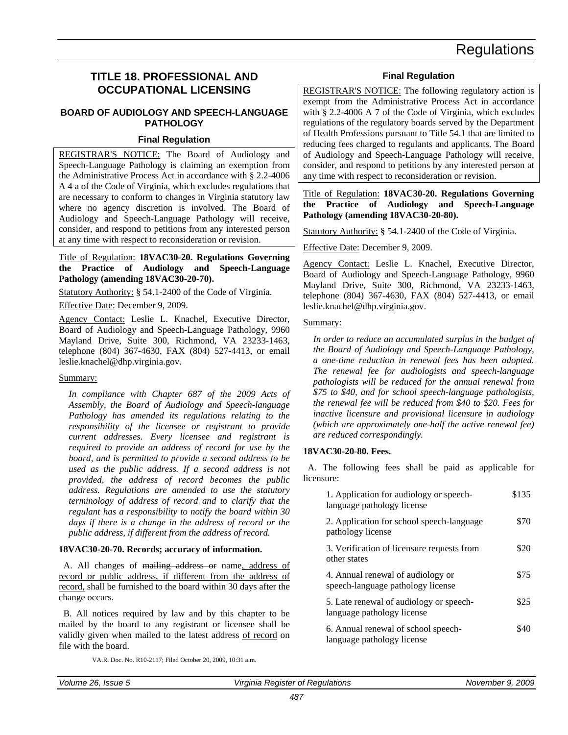### <span id="page-39-0"></span>**TITLE 18. PROFESSIONAL AND OCCUPATIONAL LICENSING**

#### **BOARD OF AUDIOLOGY AND SPEECH-LANGUAGE PATHOLOGY**

#### **Final Regulation**

REGISTRAR'S NOTICE: The Board of Audiology and Speech-Language Pathology is claiming an exemption from the Administrative Process Act in accordance with § 2.2-4006 A 4 a of the Code of Virginia, which excludes regulations that are necessary to conform to changes in Virginia statutory law where no agency discretion is involved. The Board of Audiology and Speech-Language Pathology will receive, consider, and respond to petitions from any interested person at any time with respect to reconsideration or revision.

#### Title of Regulation: **18VAC30-20. Regulations Governing the Practice of Audiology and Speech-Language Pathology (amending 18VAC30-20-70).**

Statutory Authority: § 54.1-2400 of the Code of Virginia.

Effective Date: December 9, 2009.

Agency Contact: Leslie L. Knachel, Executive Director, Board of Audiology and Speech-Language Pathology, 9960 Mayland Drive, Suite 300, Richmond, VA 23233-1463, telephone (804) 367-4630, FAX (804) 527-4413, or email leslie.knachel@dhp.virginia.gov.

#### Summary:

*In compliance with Chapter 687 of the 2009 Acts of Assembly, the Board of Audiology and Speech-language Pathology has amended its regulations relating to the responsibility of the licensee or registrant to provide current addresses. Every licensee and registrant is required to provide an address of record for use by the board, and is permitted to provide a second address to be used as the public address. If a second address is not provided, the address of record becomes the public address. Regulations are amended to use the statutory terminology of address of record and to clarify that the regulant has a responsibility to notify the board within 30 days if there is a change in the address of record or the public address, if different from the address of record.*

#### **18VAC30-20-70. Records; accuracy of information.**

A. All changes of mailing address or name, address of record or public address, if different from the address of record, shall be furnished to the board within 30 days after the change occurs.

B. All notices required by law and by this chapter to be mailed by the board to any registrant or licensee shall be validly given when mailed to the latest address of record on file with the board.

VA.R. Doc. No. R10-2117; Filed October 20, 2009, 10:31 a.m.

#### **Final Regulation**

REGISTRAR'S NOTICE: The following regulatory action is exempt from the Administrative Process Act in accordance with § 2.2-4006 A 7 of the Code of Virginia, which excludes regulations of the regulatory boards served by the Department of Health Professions pursuant to Title 54.1 that are limited to reducing fees charged to regulants and applicants. The Board of Audiology and Speech-Language Pathology will receive, consider, and respond to petitions by any interested person at any time with respect to reconsideration or revision.

#### Title of Regulation: **18VAC30-20. Regulations Governing the Practice of Audiology and Speech-Language Pathology (amending 18VAC30-20-80).**

Statutory Authority: § 54.1-2400 of the Code of Virginia.

Effective Date: December 9, 2009.

Agency Contact: Leslie L. Knachel, Executive Director, Board of Audiology and Speech-Language Pathology, 9960 Mayland Drive, Suite 300, Richmond, VA 23233-1463, telephone (804) 367-4630, FAX (804) 527-4413, or email leslie.knachel@dhp.virginia.gov.

#### Summary:

*In order to reduce an accumulated surplus in the budget of the Board of Audiology and Speech-Language Pathology, a one-time reduction in renewal fees has been adopted. The renewal fee for audiologists and speech-language pathologists will be reduced for the annual renewal from \$75 to \$40, and for school speech-language pathologists, the renewal fee will be reduced from \$40 to \$20. Fees for inactive licensure and provisional licensure in audiology (which are approximately one-half the active renewal fee) are reduced correspondingly.*

#### **18VAC30-20-80. Fees.**

A. The following fees shall be paid as applicable for licensure:

| 1. Application for audiology or speech-<br>language pathology license  | \$135 |
|------------------------------------------------------------------------|-------|
| 2. Application for school speech-language<br>pathology license         | \$70  |
| 3. Verification of licensure requests from<br>other states             | \$20  |
| 4. Annual renewal of audiology or<br>speech-language pathology license | \$75  |
| 5. Late renewal of audiology or speech-<br>language pathology license  | \$25  |
| 6. Annual renewal of school speech-<br>language pathology license      | SAC   |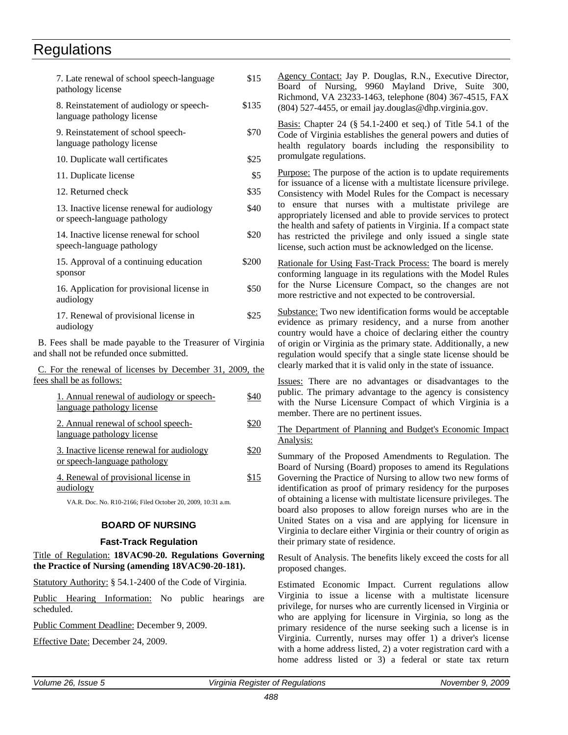<span id="page-40-0"></span>

| 7. Late renewal of school speech-language<br>pathology license                                          | \$15  |
|---------------------------------------------------------------------------------------------------------|-------|
| 8. Reinstatement of audiology or speech-<br>language pathology license                                  | \$135 |
| 9. Reinstatement of school speech-<br>language pathology license                                        | \$70  |
| 10. Duplicate wall certificates                                                                         | \$25  |
| 11. Duplicate license                                                                                   | \$5   |
| 12. Returned check                                                                                      | \$35  |
| 13. Inactive license renewal for audiology<br>or speech-language pathology                              | \$40  |
| 14. Inactive license renewal for school<br>speech-language pathology                                    | \$20  |
| 15. Approval of a continuing education<br>sponsor                                                       | \$200 |
| 16. Application for provisional license in<br>audiology                                                 | \$50  |
| 17. Renewal of provisional license in<br>audiology                                                      | \$25  |
| B. Fees shall be made payable to the Treasurer of Virginia<br>and shall not be refunded once submitted. |       |
| C. For the renewal of licenses by December 31, 2009, the<br>fees shall be as follows:                   |       |
| 1. Annual renewal of audiology or speech-<br>language pathology license                                 | \$40  |
| 2. Annual renewal of school speech-                                                                     | \$20  |

language pathology license 3. Inactive license renewal for audiology or speech-language pathology \$20

 4. Renewal of provisional license in audiology \$15

VA.R. Doc. No. R10-2166; Filed October 20, 2009, 10:31 a.m.

#### **BOARD OF NURSING**

#### **Fast-Track Regulation**

Title of Regulation: **18VAC90-20. Regulations Governing the Practice of Nursing (amending 18VAC90-20-181).**

Statutory Authority: § 54.1-2400 of the Code of Virginia.

Public Hearing Information: No public hearings are scheduled.

Public Comment Deadline: December 9, 2009.

Effective Date: December 24, 2009.

Agency Contact: Jay P. Douglas, R.N., Executive Director, Board of Nursing, 9960 Mayland Drive, Suite 300, Richmond, VA 23233-1463, telephone (804) 367-4515, FAX (804) 527-4455, or email jay.douglas@dhp.virginia.gov.

Basis: Chapter 24 (§ 54.1-2400 et seq.) of Title 54.1 of the Code of Virginia establishes the general powers and duties of health regulatory boards including the responsibility to promulgate regulations.

Purpose: The purpose of the action is to update requirements for issuance of a license with a multistate licensure privilege. Consistency with Model Rules for the Compact is necessary to ensure that nurses with a multistate privilege are appropriately licensed and able to provide services to protect the health and safety of patients in Virginia. If a compact state has restricted the privilege and only issued a single state license, such action must be acknowledged on the license.

Rationale for Using Fast-Track Process: The board is merely conforming language in its regulations with the Model Rules for the Nurse Licensure Compact, so the changes are not more restrictive and not expected to be controversial.

Substance: Two new identification forms would be acceptable evidence as primary residency, and a nurse from another country would have a choice of declaring either the country of origin or Virginia as the primary state. Additionally, a new regulation would specify that a single state license should be clearly marked that it is valid only in the state of issuance.

Issues: There are no advantages or disadvantages to the public. The primary advantage to the agency is consistency with the Nurse Licensure Compact of which Virginia is a member. There are no pertinent issues.

#### The Department of Planning and Budget's Economic Impact Analysis:

Summary of the Proposed Amendments to Regulation. The Board of Nursing (Board) proposes to amend its Regulations Governing the Practice of Nursing to allow two new forms of identification as proof of primary residency for the purposes of obtaining a license with multistate licensure privileges. The board also proposes to allow foreign nurses who are in the United States on a visa and are applying for licensure in Virginia to declare either Virginia or their country of origin as their primary state of residence.

Result of Analysis. The benefits likely exceed the costs for all proposed changes.

Estimated Economic Impact. Current regulations allow Virginia to issue a license with a multistate licensure privilege, for nurses who are currently licensed in Virginia or who are applying for licensure in Virginia, so long as the primary residence of the nurse seeking such a license is in Virginia. Currently, nurses may offer 1) a driver's license with a home address listed, 2) a voter registration card with a home address listed or 3) a federal or state tax return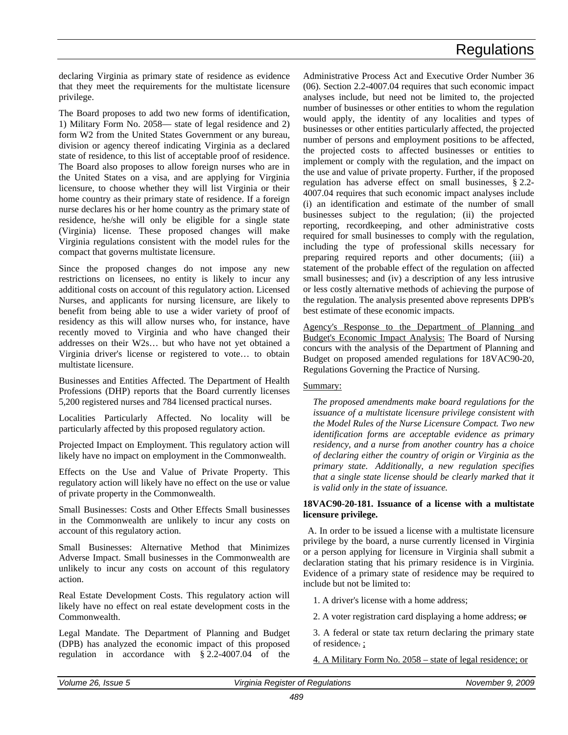declaring Virginia as primary state of residence as evidence that they meet the requirements for the multistate licensure privilege.

The Board proposes to add two new forms of identification, 1) Military Form No. 2058— state of legal residence and 2) form W2 from the United States Government or any bureau, division or agency thereof indicating Virginia as a declared state of residence, to this list of acceptable proof of residence. The Board also proposes to allow foreign nurses who are in the United States on a visa, and are applying for Virginia licensure, to choose whether they will list Virginia or their home country as their primary state of residence. If a foreign nurse declares his or her home country as the primary state of residence, he/she will only be eligible for a single state (Virginia) license. These proposed changes will make Virginia regulations consistent with the model rules for the compact that governs multistate licensure.

Since the proposed changes do not impose any new restrictions on licensees, no entity is likely to incur any additional costs on account of this regulatory action. Licensed Nurses, and applicants for nursing licensure, are likely to benefit from being able to use a wider variety of proof of residency as this will allow nurses who, for instance, have recently moved to Virginia and who have changed their addresses on their W2s… but who have not yet obtained a Virginia driver's license or registered to vote… to obtain multistate licensure.

Businesses and Entities Affected. The Department of Health Professions (DHP) reports that the Board currently licenses 5,200 registered nurses and 784 licensed practical nurses.

Localities Particularly Affected. No locality will be particularly affected by this proposed regulatory action.

Projected Impact on Employment. This regulatory action will likely have no impact on employment in the Commonwealth.

Effects on the Use and Value of Private Property. This regulatory action will likely have no effect on the use or value of private property in the Commonwealth.

Small Businesses: Costs and Other Effects Small businesses in the Commonwealth are unlikely to incur any costs on account of this regulatory action.

Small Businesses: Alternative Method that Minimizes Adverse Impact. Small businesses in the Commonwealth are unlikely to incur any costs on account of this regulatory action.

Real Estate Development Costs. This regulatory action will likely have no effect on real estate development costs in the Commonwealth.

Legal Mandate. The Department of Planning and Budget (DPB) has analyzed the economic impact of this proposed regulation in accordance with § 2.2-4007.04 of the

Administrative Process Act and Executive Order Number 36 (06). Section 2.2-4007.04 requires that such economic impact analyses include, but need not be limited to, the projected number of businesses or other entities to whom the regulation would apply, the identity of any localities and types of businesses or other entities particularly affected, the projected number of persons and employment positions to be affected, the projected costs to affected businesses or entities to implement or comply with the regulation, and the impact on the use and value of private property. Further, if the proposed regulation has adverse effect on small businesses, § 2.2- 4007.04 requires that such economic impact analyses include (i) an identification and estimate of the number of small businesses subject to the regulation; (ii) the projected reporting, recordkeeping, and other administrative costs required for small businesses to comply with the regulation, including the type of professional skills necessary for preparing required reports and other documents; (iii) a statement of the probable effect of the regulation on affected small businesses; and (iv) a description of any less intrusive or less costly alternative methods of achieving the purpose of the regulation. The analysis presented above represents DPB's best estimate of these economic impacts.

Agency's Response to the Department of Planning and Budget's Economic Impact Analysis: The Board of Nursing concurs with the analysis of the Department of Planning and Budget on proposed amended regulations for 18VAC90-20, Regulations Governing the Practice of Nursing.

#### Summary:

*The proposed amendments make board regulations for the issuance of a multistate licensure privilege consistent with the Model Rules of the Nurse Licensure Compact. Two new identification forms are acceptable evidence as primary residency, and a nurse from another country has a choice of declaring either the country of origin or Virginia as the primary state. Additionally, a new regulation specifies that a single state license should be clearly marked that it is valid only in the state of issuance.*

#### **18VAC90-20-181. Issuance of a license with a multistate licensure privilege.**

A. In order to be issued a license with a multistate licensure privilege by the board, a nurse currently licensed in Virginia or a person applying for licensure in Virginia shall submit a declaration stating that his primary residence is in Virginia. Evidence of a primary state of residence may be required to include but not be limited to:

1. A driver's license with a home address;

2. A voter registration card displaying a home address; or

3. A federal or state tax return declaring the primary state of residence. ;

4. A Military Form No. 2058 – state of legal residence; or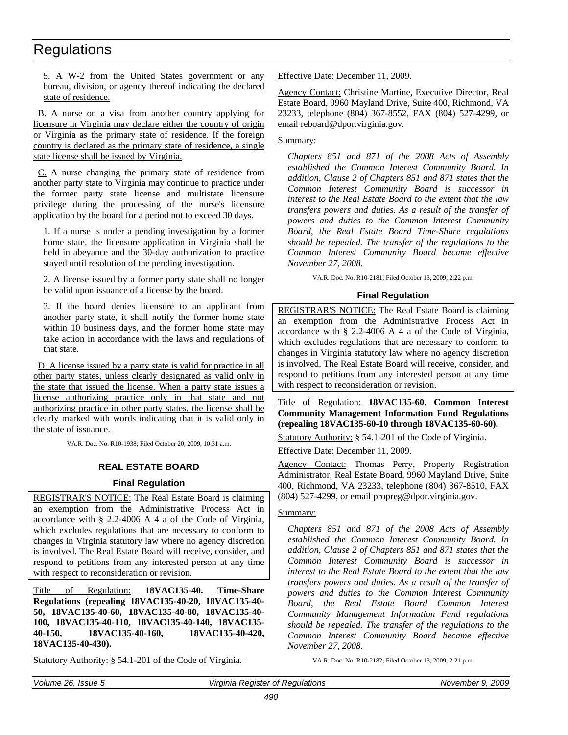<span id="page-42-0"></span>5. A W-2 from the United States government or any bureau, division, or agency thereof indicating the declared state of residence.

B. A nurse on a visa from another country applying for licensure in Virginia may declare either the country of origin or Virginia as the primary state of residence. If the foreign country is declared as the primary state of residence, a single state license shall be issued by Virginia.

C. A nurse changing the primary state of residence from another party state to Virginia may continue to practice under the former party state license and multistate licensure privilege during the processing of the nurse's licensure application by the board for a period not to exceed 30 days.

1. If a nurse is under a pending investigation by a former home state, the licensure application in Virginia shall be held in abeyance and the 30-day authorization to practice stayed until resolution of the pending investigation.

2. A license issued by a former party state shall no longer be valid upon issuance of a license by the board.

3. If the board denies licensure to an applicant from another party state, it shall notify the former home state within 10 business days, and the former home state may take action in accordance with the laws and regulations of that state.

D. A license issued by a party state is valid for practice in all other party states, unless clearly designated as valid only in the state that issued the license. When a party state issues a license authorizing practice only in that state and not authorizing practice in other party states, the license shall be clearly marked with words indicating that it is valid only in the state of issuance.

VA.R. Doc. No. R10-1938; Filed October 20, 2009, 10:31 a.m.

#### **REAL ESTATE BOARD**

#### **Final Regulation**

REGISTRAR'S NOTICE: The Real Estate Board is claiming an exemption from the Administrative Process Act in accordance with § 2.2-4006 A 4 a of the Code of Virginia, which excludes regulations that are necessary to conform to changes in Virginia statutory law where no agency discretion is involved. The Real Estate Board will receive, consider, and respond to petitions from any interested person at any time with respect to reconsideration or revision.

Title of Regulation: **18VAC135-40. Time-Share Regulations (repealing 18VAC135-40-20, 18VAC135-40- 50, 18VAC135-40-60, 18VAC135-40-80, 18VAC135-40- 100, 18VAC135-40-110, 18VAC135-40-140, 18VAC135- 40-150, 18VAC135-40-160, 18VAC135-40-420, 18VAC135-40-430).**

Statutory Authority: § 54.1-201 of the Code of Virginia.

Effective Date: December 11, 2009.

Agency Contact: Christine Martine, Executive Director, Real Estate Board, 9960 Mayland Drive, Suite 400, Richmond, VA 23233, telephone (804) 367-8552, FAX (804) 527-4299, or email reboard@dpor.virginia.gov.

Summary:

*Chapters 851 and 871 of the 2008 Acts of Assembly established the Common Interest Community Board. In addition, Clause 2 of Chapters 851 and 871 states that the Common Interest Community Board is successor in interest to the Real Estate Board to the extent that the law transfers powers and duties. As a result of the transfer of powers and duties to the Common Interest Community Board, the Real Estate Board Time-Share regulations should be repealed. The transfer of the regulations to the Common Interest Community Board became effective November 27, 2008.*

VA.R. Doc. No. R10-2181; Filed October 13, 2009, 2:22 p.m.

#### **Final Regulation**

REGISTRAR'S NOTICE: The Real Estate Board is claiming an exemption from the Administrative Process Act in accordance with § 2.2-4006 A 4 a of the Code of Virginia, which excludes regulations that are necessary to conform to changes in Virginia statutory law where no agency discretion is involved. The Real Estate Board will receive, consider, and respond to petitions from any interested person at any time with respect to reconsideration or revision.

Title of Regulation: **18VAC135-60. Common Interest Community Management Information Fund Regulations (repealing 18VAC135-60-10 through 18VAC135-60-60).**

Statutory Authority: § 54.1-201 of the Code of Virginia.

Effective Date: December 11, 2009.

Agency Contact: Thomas Perry, Property Registration Administrator, Real Estate Board, 9960 Mayland Drive, Suite 400, Richmond, VA 23233, telephone (804) 367-8510, FAX (804) 527-4299, or email propreg@dpor.virginia.gov.

#### Summary:

*Chapters 851 and 871 of the 2008 Acts of Assembly established the Common Interest Community Board. In addition, Clause 2 of Chapters 851 and 871 states that the Common Interest Community Board is successor in interest to the Real Estate Board to the extent that the law transfers powers and duties. As a result of the transfer of powers and duties to the Common Interest Community Board, the Real Estate Board Common Interest Community Management Information Fund regulations should be repealed. The transfer of the regulations to the Common Interest Community Board became effective November 27, 2008.*

VA.R. Doc. No. R10-2182; Filed October 13, 2009, 2:21 p.m.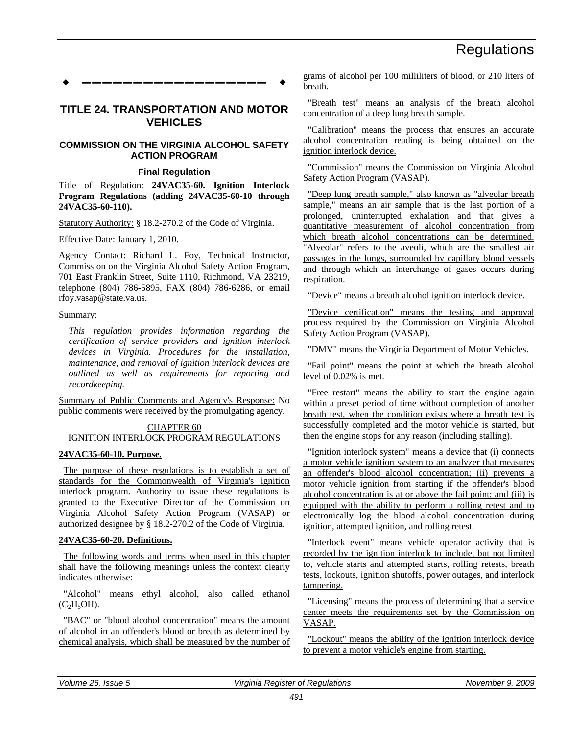<span id="page-43-0"></span>**––––––––––––––––––**

#### **TITLE 24. TRANSPORTATION AND MOTOR VEHICLES**

#### **COMMISSION ON THE VIRGINIA ALCOHOL SAFETY ACTION PROGRAM**

#### **Final Regulation**

Title of Regulation: **24VAC35-60. Ignition Interlock Program Regulations (adding 24VAC35-60-10 through 24VAC35-60-110).**

Statutory Authority: § 18.2-270.2 of the Code of Virginia.

Effective Date: January 1, 2010.

Agency Contact: Richard L. Foy, Technical Instructor, Commission on the Virginia Alcohol Safety Action Program, 701 East Franklin Street, Suite 1110, Richmond, VA 23219, telephone (804) 786-5895, FAX (804) 786-6286, or email rfoy.vasap@state.va.us.

#### Summary:

*This regulation provides information regarding the certification of service providers and ignition interlock devices in Virginia. Procedures for the installation, maintenance, and removal of ignition interlock devices are outlined as well as requirements for reporting and recordkeeping.*

Summary of Public Comments and Agency's Response: No public comments were received by the promulgating agency.

#### CHAPTER 60 IGNITION INTERLOCK PROGRAM REGULATIONS

#### **24VAC35-60-10. Purpose.**

The purpose of these regulations is to establish a set of standards for the Commonwealth of Virginia's ignition interlock program. Authority to issue these regulations is granted to the Executive Director of the Commission on Virginia Alcohol Safety Action Program (VASAP) or authorized designee by § 18.2-270.2 of the Code of Virginia.

#### **24VAC35-60-20. Definitions.**

The following words and terms when used in this chapter shall have the following meanings unless the context clearly indicates otherwise:

"Alcohol" means ethyl alcohol, also called ethanol  $(C<sub>2</sub>H<sub>5</sub>OH).$ 

"BAC" or "blood alcohol concentration" means the amount of alcohol in an offender's blood or breath as determined by chemical analysis, which shall be measured by the number of

grams of alcohol per 100 milliliters of blood, or 210 liters of breath.

"Breath test" means an analysis of the breath alcohol concentration of a deep lung breath sample.

"Calibration" means the process that ensures an accurate alcohol concentration reading is being obtained on the ignition interlock device.

"Commission" means the Commission on Virginia Alcohol Safety Action Program (VASAP).

"Deep lung breath sample," also known as "alveolar breath sample," means an air sample that is the last portion of a prolonged, uninterrupted exhalation and that gives a quantitative measurement of alcohol concentration from which breath alcohol concentrations can be determined. "Alveolar" refers to the aveoli, which are the smallest air passages in the lungs, surrounded by capillary blood vessels and through which an interchange of gases occurs during respiration.

"Device" means a breath alcohol ignition interlock device.

"Device certification" means the testing and approval process required by the Commission on Virginia Alcohol Safety Action Program (VASAP).

"DMV" means the Virginia Department of Motor Vehicles.

"Fail point" means the point at which the breath alcohol level of 0.02% is met.

"Free restart" means the ability to start the engine again within a preset period of time without completion of another breath test, when the condition exists where a breath test is successfully completed and the motor vehicle is started, but then the engine stops for any reason (including stalling).

"Ignition interlock system" means a device that (i) connects a motor vehicle ignition system to an analyzer that measures an offender's blood alcohol concentration; (ii) prevents a motor vehicle ignition from starting if the offender's blood alcohol concentration is at or above the fail point; and (iii) is equipped with the ability to perform a rolling retest and to electronically log the blood alcohol concentration during ignition, attempted ignition, and rolling retest.

"Interlock event" means vehicle operator activity that is recorded by the ignition interlock to include, but not limited to, vehicle starts and attempted starts, rolling retests, breath tests, lockouts, ignition shutoffs, power outages, and interlock tampering.

"Licensing" means the process of determining that a service center meets the requirements set by the Commission on VASAP.

"Lockout" means the ability of the ignition interlock device to prevent a motor vehicle's engine from starting.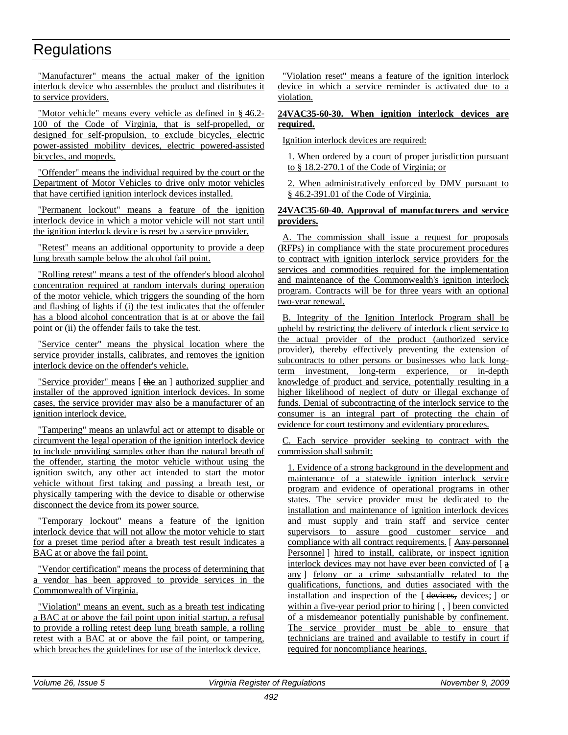"Manufacturer" means the actual maker of the ignition interlock device who assembles the product and distributes it to service providers.

"Motor vehicle<u>" means every vehicle as defined in §46.2-</u> 100 of the Code of Virginia, that is self-propelled, or designed for self-propulsion, to exclude bicycles, electric power-assisted mobility devices, electric powered-assisted bicycles, and mopeds.

"Offender" means the individual required by the court or the Department of Motor Vehicles to drive only motor vehicles that have certified ignition interlock devices installed.

"Permanent lockout" means a feature of the ignition interlock device in which a motor vehicle will not start until the ignition interlock device is reset by a service provider.

"Retest" means an additional opportunity to provide a deep lung breath sample below the alcohol fail point.

"Rolling retest" means a test of the offender's blood alcohol concentration required at random intervals during operation of the motor vehicle, which triggers the sounding of the horn and flashing of lights if (i) the test indicates that the offender has a blood alcohol concentration that is at or above the fail point or (ii) the offender fails to take the test.

"Service center" means the physical location where the service provider installs, calibrates, and removes the ignition interlock device on the offender's vehicle.

"Service provider" means [the an ] authorized supplier and installer of the approved ignition interlock devices. In some cases, the service provider may also be a manufacturer of an ignition interlock device.

"Tampering" means an unlawful act or attempt to disable or circumvent the legal operation of the ignition interlock device to include providing samples other than the natural breath of the offender, starting the motor vehicle without using the ignition switch, any other act intended to start the motor vehicle without first taking and passing a breath test, or physically tampering with the device to disable or otherwise disconnect the device from its power source.

"Temporary lockout" means a feature of the ignition interlock device that will not allow the motor vehicle to start for a preset time period after a breath test result indicates a BAC at or above the fail point.

"Vendor certification" means the process of determining that a vendor has been approved to provide services in the Commonwealth of Virginia.

"Violation" means an event, such as a breath test indicating a BAC at or above the fail point upon initial startup, a refusal to provide a rolling retest deep lung breath sample, a rolling retest with a BAC at or above the fail point, or tampering, which breaches the guidelines for use of the interlock device.

"Violation reset" means a feature of the ignition interlock device in which a service reminder is activated due to a violation.

#### **24VAC35-60-30. When ignition interlock devices are required.**

Ignition interlock devices are required:

1. When ordered by a court of proper jurisdiction pursuant to § 18.2-270.1 of the Code of Virginia; or

2. When administratively enforced by DMV pursuant to § 46.2-391.01 of the Code of Virginia.

#### **24VAC35-60-40. Approval of manufacturers and service providers.**

A. The commission shall issue a request for proposals (RFPs) in compliance with the state procurement procedures to contract with ignition interlock service providers for the services and commodities required for the implementation and maintenance of the Commonwealth's ignition interlock program. Contracts will be for three years with an optional two-year renewal.

B. Integrity of the Ignition Interlock Program shall be upheld by restricting the delivery of interlock client service to the actual provider of the product (authorized service provider), thereby effectively preventing the extension of subcontracts to other persons or businesses who lack longterm investment, long-term experience, or in-depth knowledge of product and service, potentially resulting in a higher likelihood of neglect of duty or illegal exchange of funds. Denial of subcontracting of the interlock service to the consumer is an integral part of protecting the chain of evidence for court testimony and evidentiary procedures.

C. Each service provider seeking to contract with the commission shall submit:

1. Evidence of a strong background in the development and maintenance of a statewide ignition interlock service program and evidence of operational programs in other states. The service provider must be dedicated to the installation and maintenance of ignition interlock devices and must supply and train staff and service center supervisors to assure good customer service and compliance with all contract requirements. [ Any personnel Personnel ] hired to install, calibrate, or inspect ignition interlock devices may not have ever been convicted of [ a any ] felony or a crime substantially related to the qualifications, functions, and duties associated with the installation and inspection of the [ devices, devices; ] or within a five-year period prior to hiring [, ] been convicted of a misdemeanor potentially punishable by confinement. The service provider must be able to ensure that technicians are trained and available to testify in court if required for noncompliance hearings.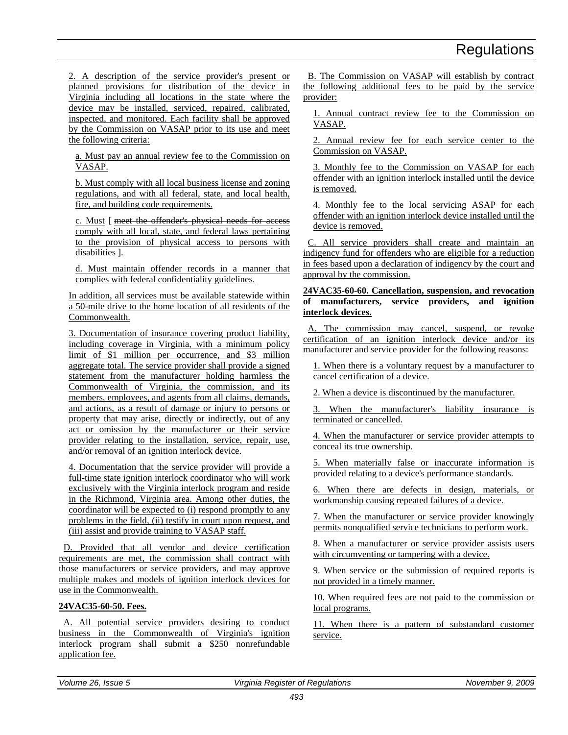2. A description of the service provider's present or planned provisions for distribution of the device in Virginia including all locations in the state where the device may be installed, serviced, repaired, calibrated, inspected, and monitored. Each facility shall be approved by the Commission on VASAP prior to its use and meet the following criteria:

a. Must pay an annual review fee to the Commission on VASAP.

b. Must comply with all local business license and zoning regulations, and with all federal, state, and local health, fire, and building code requirements.

c. Must [ meet the offender's physical needs for access comply with all local, state, and federal laws pertaining to the provision of physical access to persons with disabilities ].

d. Must maintain offender records in a manner that complies with federal confidentiality guidelines.

In addition, all services must be available statewide within a 50-mile drive to the home location of all residents of the Commonwealth.

3. Documentation of insurance covering product liability, including coverage in Virginia, with a minimum policy limit of \$1 million per occurrence, and \$3 million aggregate total. The service provider shall provide a signed statement from the manufacturer holding harmless the Commonwealth of Virginia, the commission, and its members, employees, and agents from all claims, demands, and actions, as a result of damage or injury to persons or property that may arise, directly or indirectly, out of any act or omission by the manufacturer or their service provider relating to the installation, service, repair, use, and/or removal of an ignition interlock device.

4. Documentation that the service provider will provide a full-time state ignition interlock coordinator who will work exclusively with the Virginia interlock program and reside in the Richmond, Virginia area. Among other duties, the coordinator will be expected to (i) respond promptly to any problems in the field, (ii) testify in court upon request, and (iii) assist and provide training to VASAP staff.

D. Provided that all vendor and device certification requirements are met, the commission shall contract with those manufacturers or service providers, and may approve multiple makes and models of ignition interlock devices for use in the Commonwealth.

#### **24VAC35-60-50. Fees.**

A. All potential service providers desiring to conduct business in the Commonwealth of Virginia's ignition interlock program shall submit a \$250 nonrefundable application fee.

B. The Commission on VASAP will establish by contract the following additional fees to be paid by the service provider:

1. Annual contract review fee to the Commission on VASAP.

2. Annual review fee for each service center to the Commission on VASAP.

3. Monthly fee to the Commission on VASAP for each offender with an ignition interlock installed until the device is removed.

4. Monthly fee to the local servicing ASAP for each offender with an ignition interlock device installed until the device is removed.

C. All service providers shall create and maintain an indigency fund for offenders who are eligible for a reduction in fees based upon a declaration of indigency by the court and approval by the commission.

#### **24VAC35-60-60. Cancellation, suspension, and revocation of manufacturers, service providers, and ignition interlock devices.**

A. The commission may cancel, suspend, or revoke certification of an ignition interlock device and/or its manufacturer and service provider for the following reasons:

1. When there is a voluntary request by a manufacturer to cancel certification of a device.

2. When a device is discontinued by the manufacturer.

3. When the manufacturer's liability insurance is terminated or cancelled.

4. When the manufacturer or service provider attempts to conceal its true ownership.

5. When materially false or inaccurate information is provided relating to a device's performance standards.

6. When there are defects in design, materials, or workmanship causing repeated failures of a device.

7. When the manufacturer or service provider knowingly permits nonqualified service technicians to perform work.

8. When a manufacturer or service provider assists users with circumventing or tampering with a device.

9. When service or the submission of required reports is not provided in a timely manner.

10. When required fees are not paid to the commission or local programs.

11. When there is a pattern of substandard customer service.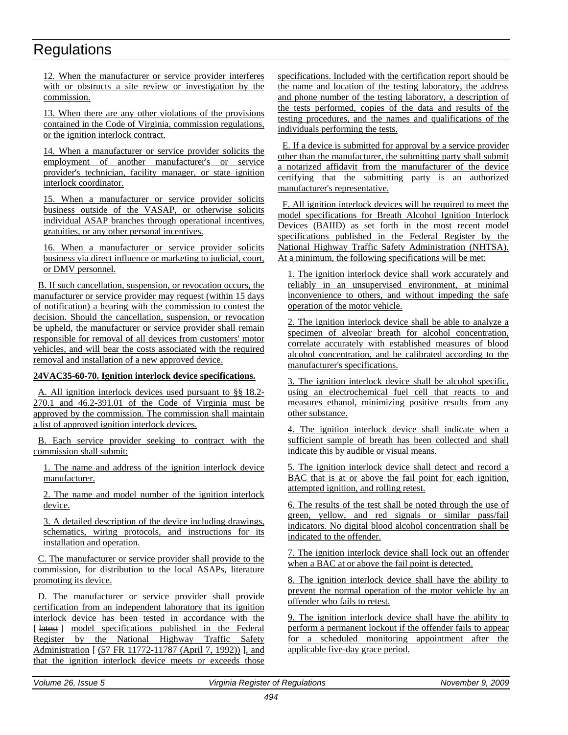12. When the manufacturer or service provider interferes with or obstructs a site review or investigation by the commission.

13. When there are any other violations of the provisions contained in the Code of Virginia, commission regulations, or the ignition interlock contract.

14. When a manufacturer or service provider solicits the employment of another manufacturer's or service provider's technician, facility manager, or state ignition interlock coordinator.

15. When a manufacturer or service provider solicits business outside of the VASAP, or otherwise solicits individual ASAP branches through operational incentives, gratuities, or any other personal incentives.

16. When a manufacturer or service provider solicits business via direct influence or marketing to judicial, court, or DMV personnel.

B. If such cancellation, suspension, or revocation occurs, the manufacturer or service provider may request (within 15 days of notification) a hearing with the commission to contest the decision. Should the cancellation, suspension, or revocation be upheld, the manufacturer or service provider shall remain responsible for removal of all devices from customers' motor vehicles, and will bear the costs associated with the required removal and installation of a new approved device.

#### **24VAC35-60-70. Ignition interlock device specifications.**

A. All ignition interlock devices used pursuant to §§ 18.2- 270.1 and 46.2-391.01 of the Code of Virginia must be approved by the commission. The commission shall maintain a list of approved ignition interlock devices.

B. Each service provider seeking to contract with the commission shall submit:

1. The name and address of the ignition interlock device manufacturer.

2. The name and model number of the ignition interlock device.

3. A detailed description of the device including drawings, schematics, wiring protocols, and instructions for its installation and operation.

C. The manufacturer or service provider shall provide to the commission, for distribution to the local ASAPs, literature promoting its device.

D. The manufacturer or service provider shall provide certification from an independent laboratory that its ignition interlock device has been tested in accordance with the [ $lates$ ] model specifications published in the Federal Register by the National Highway Traffic Safety Administration [ (57 FR 11772-11787 (April 7, 1992)) ], and that the ignition interlock device meets or exceeds those specifications. Included with the certification report should be the name and location of the testing laboratory, the address and phone number of the testing laboratory, a description of the tests performed, copies of the data and results of the testing procedures, and the names and qualifications of the individuals performing the tests.

E. If a device is submitted for approval by a service provider other than the manufacturer, the submitting party shall submit a notarized affidavit from the manufacturer of the device certifying that the submitting party is an authorized manufacturer's representative.

F. All ignition interlock devices will be required to meet the model specifications for Breath Alcohol Ignition Interlock Devices (BAIID) as set forth in the most recent model specifications published in the Federal Register by the National Highway Traffic Safety Administration (NHTSA). At a minimum, the following specifications will be met:

1. The ignition interlock device shall work accurately and reliably in an unsupervised environment, at minimal inconvenience to others, and without impeding the safe operation of the motor vehicle.

2. The ignition interlock device shall be able to analyze a specimen of alveolar breath for alcohol concentration, correlate accurately with established measures of blood alcohol concentration, and be calibrated according to the manufacturer's specifications.

3. The ignition interlock device shall be alcohol specific, using an electrochemical fuel cell that reacts to and measures ethanol, minimizing positive results from any other substance.

4. The ignition interlock device shall indicate when a sufficient sample of breath has been collected and shall indicate this by audible or visual means.

5. The ignition interlock device shall detect and record a BAC that is at or above the fail point for each ignition, attempted ignition, and rolling retest.

6. The results of the test shall be noted through the use of green, yellow, and red signals or similar pass/fail indicators. No digital blood alcohol concentration shall be indicated to the offender.

7. The ignition interlock device shall lock out an offender when a BAC at or above the fail point is detected.

8. The ignition interlock device shall have the ability to prevent the normal operation of the motor vehicle by an offender who fails to retest.

9. The ignition interlock device shall have the ability to perform a permanent lockout if the offender fails to appear for a scheduled monitoring appointment after the applicable five-day grace period.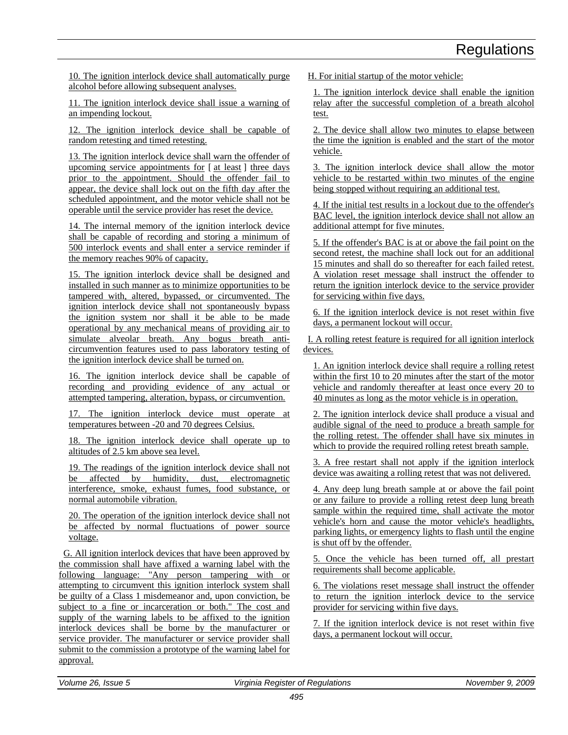10. The ignition interlock device shall automatically purge alcohol before allowing subsequent analyses.

11. The ignition interlock device shall issue a warning of an impending lockout.

12. The ignition interlock device shall be capable of random retesting and timed retesting.

13. The ignition interlock device shall warn the offender of upcoming service appointments for [ at least ] three days prior to the appointment. Should the offender fail to appear, the device shall lock out on the fifth day after the scheduled appointment, and the motor vehicle shall not be operable until the service provider has reset the device.

14. The internal memory of the ignition interlock device shall be capable of recording and storing a minimum of 500 interlock events and shall enter a service reminder if the memory reaches 90% of capacity.

15. The ignition interlock device shall be designed and installed in such manner as to minimize opportunities to be tampered with, altered, bypassed, or circumvented. The ignition interlock device shall not spontaneously bypass the ignition system nor shall it be able to be made operational by any mechanical means of providing air to simulate alveolar breath. Any bogus breath anticircumvention features used to pass laboratory testing of the ignition interlock device shall be turned on.

16. The ignition interlock device shall be capable of recording and providing evidence of any actual or attempted tampering, alteration, bypass, or circumvention.

17. The ignition interlock device must operate at temperatures between -20 and 70 degrees Celsius.

18. The ignition interlock device shall operate up to altitudes of 2.5 km above sea level.

19. The readings of the ignition interlock device shall not be affected by humidity, dust, electromagnetic interference, smoke, exhaust fumes, food substance, or normal automobile vibration.

20. The operation of the ignition interlock device shall not be affected by normal fluctuations of power source voltage.

G. All ignition interlock devices that have been approved by the commission shall have affixed a warning label with the following language: "Any person tampering with or attempting to circumvent this ignition interlock system shall be guilty of a Class 1 misdemeanor and, upon conviction, be subject to a fine or incarceration or both." The cost and supply of the warning labels to be affixed to the ignition interlock devices shall be borne by the manufacturer or service provider. The manufacturer or service provider shall submit to the commission a prototype of the warning label for approval.

H. For initial startup of the motor vehicle:

1. The ignition interlock device shall enable the ignition relay after the successful completion of a breath alcohol test.

2. The device shall allow two minutes to elapse between the time the ignition is enabled and the start of the motor vehicle.

3. The ignition interlock device shall allow the motor vehicle to be restarted within two minutes of the engine being stopped without requiring an additional test.

4. If the initial test results in a lockout due to the offender's BAC level, the ignition interlock device shall not allow an additional attempt for five minutes.

5. If the offender's BAC is at or above the fail point on the second retest, the machine shall lock out for an additional 15 minutes and shall do so thereafter for each failed retest. A violation reset message shall instruct the offender to return the ignition interlock device to the service provider for servicing within five days.

6. If the ignition interlock device is not reset within five days, a permanent lockout will occur.

I. A rolling retest feature is required for all ignition interlock devices.

1. An ignition interlock device shall require a rolling retest within the first 10 to 20 minutes after the start of the motor vehicle and randomly thereafter at least once every 20 to 40 minutes as long as the motor vehicle is in operation.

2. The ignition interlock device shall produce a visual and audible signal of the need to produce a breath sample for the rolling retest. The offender shall have six minutes in which to provide the required rolling retest breath sample.

3. A free restart shall not apply if the ignition interlock device was awaiting a rolling retest that was not delivered.

4. Any deep lung breath sample at or above the fail point or any failure to provide a rolling retest deep lung breath sample within the required time, shall activate the motor vehicle's horn and cause the motor vehicle's headlights, parking lights, or emergency lights to flash until the engine is shut off by the offender.

5. Once the vehicle has been turned off, all prestart requirements shall become applicable.

6. The violations reset message shall instruct the offender to return the ignition interlock device to the service provider for servicing within five days.

7. If the ignition interlock device is not reset within five days, a permanent lockout will occur.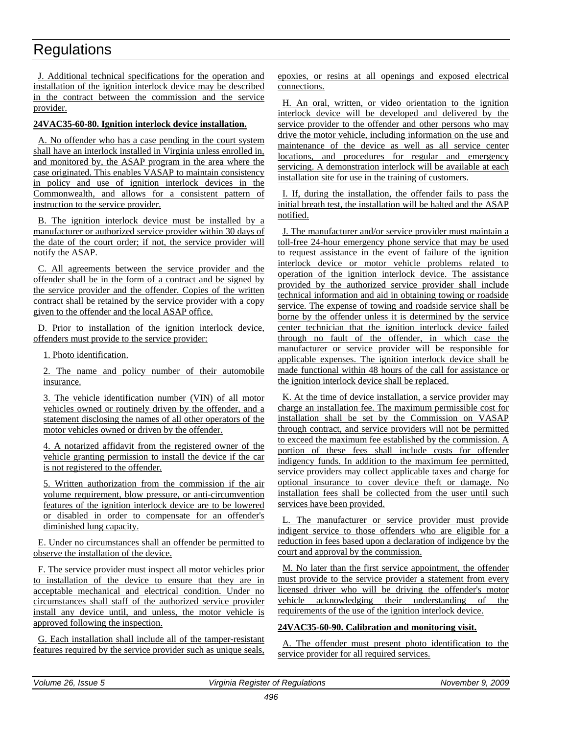J. Additional technical specifications for the operation and installation of the ignition interlock device may be described in the contract between the commission and the service provider.

#### **24VAC35-60-80. Ignition interlock device installation.**

A. No offender who has a case pending in the court system shall have an interlock installed in Virginia unless enrolled in, and monitored by, the ASAP program in the area where the case originated. This enables VASAP to maintain consistency in policy and use of ignition interlock devices in the Commonwealth, and allows for a consistent pattern of instruction to the service provider.

B. The ignition interlock device must be installed by a manufacturer or authorized service provider within 30 days of the date of the court order; if not, the service provider will notify the ASAP.

C. All agreements between the service provider and the offender shall be in the form of a contract and be signed by the service provider and the offender. Copies of the written contract shall be retained by the service provider with a copy given to the offender and the local ASAP office.

D. Prior to installation of the ignition interlock device, offenders must provide to the service provider:

1. Photo identification.

2. The name and policy number of their automobile insurance.

3. The vehicle identification number (VIN) of all motor vehicles owned or routinely driven by the offender, and a statement disclosing the names of all other operators of the motor vehicles owned or driven by the offender.

4. A notarized affidavit from the registered owner of the vehicle granting permission to install the device if the car is not registered to the offender.

5. Written authorization from the commission if the air volume requirement, blow pressure, or anti-circumvention features of the ignition interlock device are to be lowered or disabled in order to compensate for an offender's diminished lung capacity.

E. Under no circumstances shall an offender be permitted to observe the installation of the device.

F. The service provider must inspect all motor vehicles prior to installation of the device to ensure that they are in acceptable mechanical and electrical condition. Under no circumstances shall staff of the authorized service provider install any device until, and unless, the motor vehicle is approved following the inspection.

G. Each installation shall include all of the tamper-resistant features required by the service provider such as unique seals, epoxies, or resins at all openings and exposed electrical connections.

H. An oral, written, or video orientation to the ignition interlock device will be developed and delivered by the service provider to the offender and other persons who may drive the motor vehicle, including information on the use and maintenance of the device as well as all service center locations, and procedures for regular and emergency servicing. A demonstration interlock will be available at each installation site for use in the training of customers.

I. If, during the installation, the offender fails to pass the initial breath test, the installation will be halted and the ASAP notified.

J. The manufacturer and/or service provider must maintain a toll-free 24-hour emergency phone service that may be used to request assistance in the event of failure of the ignition interlock device or motor vehicle problems related to operation of the ignition interlock device. The assistance provided by the authorized service provider shall include technical information and aid in obtaining towing or roadside service. The expense of towing and roadside service shall be borne by the offender unless it is determined by the service center technician that the ignition interlock device failed through no fault of the offender, in which case the manufacturer or service provider will be responsible for applicable expenses. The ignition interlock device shall be made functional within 48 hours of the call for assistance or the ignition interlock device shall be replaced.

K. At the time of device installation, a service provider may charge an installation fee. The maximum permissible cost for installation shall be set by the Commission on VASAP through contract, and service providers will not be permitted to exceed the maximum fee established by the commission. A portion of these fees shall include costs for offender indigency funds. In addition to the maximum fee permitted, service providers may collect applicable taxes and charge for optional insurance to cover device theft or damage. No installation fees shall be collected from the user until such services have been provided.

L. The manufacturer or service provider must provide indigent service to those offenders who are eligible for a reduction in fees based upon a declaration of indigence by the court and approval by the commission.

M. No later than the first service appointment, the offender must provide to the service provider a statement from every licensed driver who will be driving the offender's motor vehicle acknowledging their understanding of the requirements of the use of the ignition interlock device.

#### **24VAC35-60-90. Calibration and monitoring visit.**

A. The offender must present photo identification to the service provider for all required services.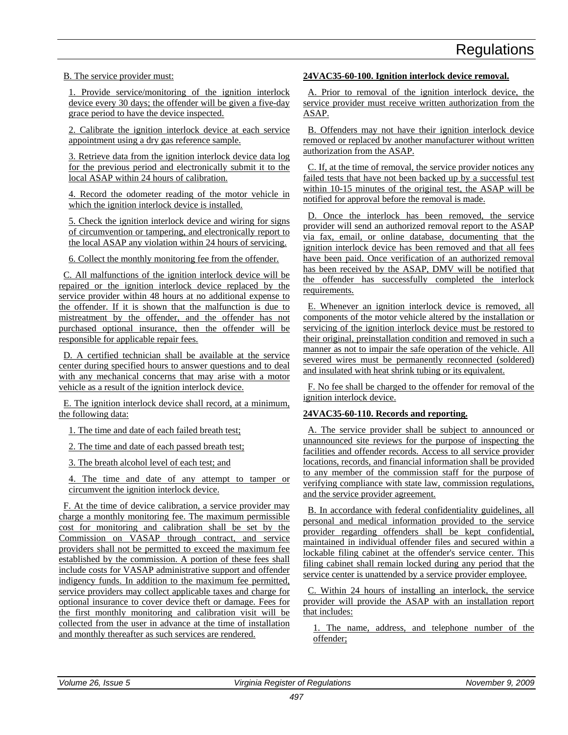B. The service provider must:

1. Provide service/monitoring of the ignition interlock device every 30 days; the offender will be given a five-day grace period to have the device inspected.

2. Calibrate the ignition interlock device at each service appointment using a dry gas reference sample.

3. Retrieve data from the ignition interlock device data log for the previous period and electronically submit it to the local ASAP within 24 hours of calibration.

4. Record the odometer reading of the motor vehicle in which the ignition interlock device is installed.

5. Check the ignition interlock device and wiring for signs of circumvention or tampering, and electronically report to the local ASAP any violation within 24 hours of servicing.

6. Collect the monthly monitoring fee from the offender.

C. All malfunctions of the ignition interlock device will be repaired or the ignition interlock device replaced by the service provider within 48 hours at no additional expense to the offender. If it is shown that the malfunction is due to mistreatment by the offender, and the offender has not purchased optional insurance, then the offender will be responsible for applicable repair fees.

D. A certified technician shall be available at the service center during specified hours to answer questions and to deal with any mechanical concerns that may arise with a motor vehicle as a result of the ignition interlock device.

E. The ignition interlock device shall record, at a minimum, the following data:

1. The time and date of each failed breath test;

2. The time and date of each passed breath test;

3. The breath alcohol level of each test; and

4. The time and date of any attempt to tamper or circumvent the ignition interlock device.

F. At the time of device calibration, a service provider may charge a monthly monitoring fee. The maximum permissible cost for monitoring and calibration shall be set by the Commission on VASAP through contract, and service providers shall not be permitted to exceed the maximum fee established by the commission. A portion of these fees shall include costs for VASAP administrative support and offender indigency funds. In addition to the maximum fee permitted, service providers may collect applicable taxes and charge for optional insurance to cover device theft or damage. Fees for the first monthly monitoring and calibration visit will be collected from the user in advance at the time of installation and monthly thereafter as such services are rendered.

#### **24VAC35-60-100. Ignition interlock device removal.**

A. Prior to removal of the ignition interlock device, the service provider must receive written authorization from the ASAP.

B. Offenders may not have their ignition interlock device removed or replaced by another manufacturer without written authorization from the ASAP.

C. If, at the time of removal, the service provider notices any failed tests that have not been backed up by a successful test within 10-15 minutes of the original test, the ASAP will be notified for approval before the removal is made.

D. Once the interlock has been removed, the service provider will send an authorized removal report to the ASAP via fax, email, or online database, documenting that the ignition interlock device has been removed and that all fees have been paid. Once verification of an authorized removal has been received by the ASAP, DMV will be notified that the offender has successfully completed the interlock requirements.

E. Whenever an ignition interlock device is removed, all components of the motor vehicle altered by the installation or servicing of the ignition interlock device must be restored to their original, preinstallation condition and removed in such a manner as not to impair the safe operation of the vehicle. All severed wires must be permanently reconnected (soldered) and insulated with heat shrink tubing or its equivalent.

F. No fee shall be charged to the offender for removal of the ignition interlock device.

#### **24VAC35-60-110. Records and reporting.**

A. The service provider shall be subject to announced or unannounced site reviews for the purpose of inspecting the facilities and offender records. Access to all service provider locations, records, and financial information shall be provided to any member of the commission staff for the purpose of verifying compliance with state law, commission regulations, and the service provider agreement.

B. In accordance with federal confidentiality guidelines, all personal and medical information provided to the service provider regarding offenders shall be kept confidential, maintained in individual offender files and secured within a lockable filing cabinet at the offender's service center. This filing cabinet shall remain locked during any period that the service center is unattended by a service provider employee.

C. Within 24 hours of installing an interlock, the service provider will provide the ASAP with an installation report that includes:

1. The name, address, and telephone number of the offender;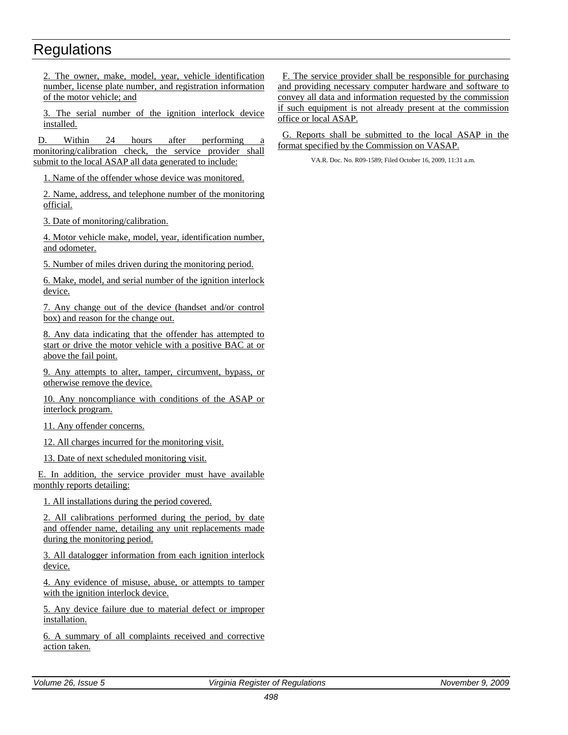2. The owner, make, model, year, vehicle identification number, license plate number, and registration information of the motor vehicle; and

3. The serial number of the ignition interlock device installed.

D. Within 24 hours after performing monitoring/calibration check, the service provider shall submit to the local ASAP all data generated to include:

1. Name of the offender whose device was monitored.

2. Name, address, and telephone number of the monitoring official.

3. Date of monitoring/calibration.

4. Motor vehicle make, model, year, identification number, and odometer.

5. Number of miles driven during the monitoring period.

6. Make, model, and serial number of the ignition interlock device.

7. Any change out of the device (handset and/or control box) and reason for the change out.

8. Any data indicating that the offender has attempted to start or drive the motor vehicle with a positive BAC at or above the fail point.

9. Any attempts to alter, tamper, circumvent, bypass, or otherwise remove the device.

10. Any noncompliance with conditions of the ASAP or interlock program.

11. Any offender concerns.

12. All charges incurred for the monitoring visit.

13. Date of next scheduled monitoring visit.

E. In addition, the service provider must have available monthly reports detailing:

1. All installations during the period covered.

2. All calibrations performed during the period, by date and offender name, detailing any unit replacements made during the monitoring period.

3. All datalogger information from each ignition interlock device.

4. Any evidence of misuse, abuse, or attempts to tamper with the ignition interlock device.

5. Any device failure due to material defect or improper installation.

6. A summary of all complaints received and corrective action taken.

F. The service provider shall be responsible for purchasing and providing necessary computer hardware and software to convey all data and information requested by the commission if such equipment is not already present at the commission office or local ASAP.

G. Reports shall be submitted to the local ASAP in the format specified by the Commission on VASAP.

VA.R. Doc. No. R09-1589; Filed October 16, 2009, 11:31 a.m.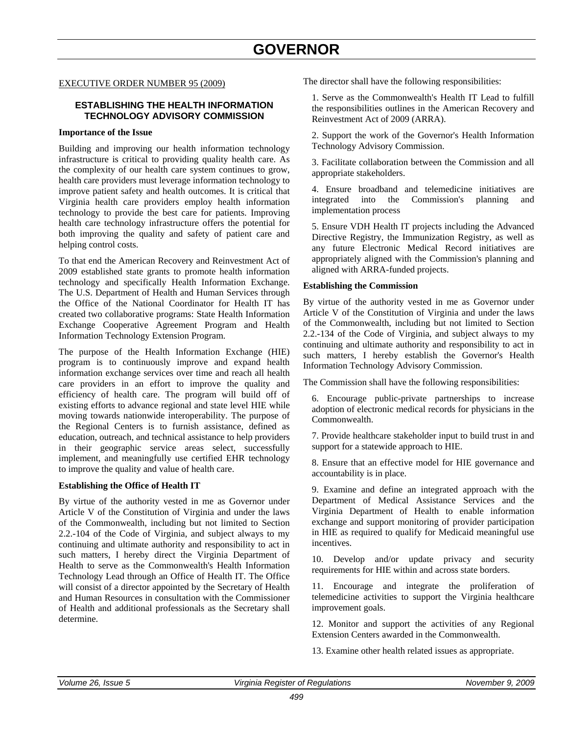### **GOVERNOR**

#### <span id="page-51-0"></span>EXECUTIVE ORDER NUMBER 95 (2009)

#### **ESTABLISHING THE HEALTH INFORMATION TECHNOLOGY ADVISORY COMMISSION**

#### **Importance of the Issue**

Building and improving our health information technology infrastructure is critical to providing quality health care. As the complexity of our health care system continues to grow, health care providers must leverage information technology to improve patient safety and health outcomes. It is critical that Virginia health care providers employ health information technology to provide the best care for patients. Improving health care technology infrastructure offers the potential for both improving the quality and safety of patient care and helping control costs.

To that end the American Recovery and Reinvestment Act of 2009 established state grants to promote health information technology and specifically Health Information Exchange. The U.S. Department of Health and Human Services through the Office of the National Coordinator for Health IT has created two collaborative programs: State Health Information Exchange Cooperative Agreement Program and Health Information Technology Extension Program.

The purpose of the Health Information Exchange (HIE) program is to continuously improve and expand health information exchange services over time and reach all health care providers in an effort to improve the quality and efficiency of health care. The program will build off of existing efforts to advance regional and state level HIE while moving towards nationwide interoperability. The purpose of the Regional Centers is to furnish assistance, defined as education, outreach, and technical assistance to help providers in their geographic service areas select, successfully implement, and meaningfully use certified EHR technology to improve the quality and value of health care.

#### **Establishing the Office of Health IT**

By virtue of the authority vested in me as Governor under Article V of the Constitution of Virginia and under the laws of the Commonwealth, including but not limited to Section 2.2.-104 of the Code of Virginia, and subject always to my continuing and ultimate authority and responsibility to act in such matters, I hereby direct the Virginia Department of Health to serve as the Commonwealth's Health Information Technology Lead through an Office of Health IT. The Office will consist of a director appointed by the Secretary of Health and Human Resources in consultation with the Commissioner of Health and additional professionals as the Secretary shall determine.

The director shall have the following responsibilities:

1. Serve as the Commonwealth's Health IT Lead to fulfill the responsibilities outlines in the American Recovery and Reinvestment Act of 2009 (ARRA).

2. Support the work of the Governor's Health Information Technology Advisory Commission.

3. Facilitate collaboration between the Commission and all appropriate stakeholders.

4. Ensure broadband and telemedicine initiatives are integrated into the Commission's planning and implementation process

5. Ensure VDH Health IT projects including the Advanced Directive Registry, the Immunization Registry, as well as any future Electronic Medical Record initiatives are appropriately aligned with the Commission's planning and aligned with ARRA-funded projects.

#### **Establishing the Commission**

By virtue of the authority vested in me as Governor under Article V of the Constitution of Virginia and under the laws of the Commonwealth, including but not limited to Section 2.2.-134 of the Code of Virginia, and subject always to my continuing and ultimate authority and responsibility to act in such matters, I hereby establish the Governor's Health Information Technology Advisory Commission.

The Commission shall have the following responsibilities:

6. Encourage public-private partnerships to increase adoption of electronic medical records for physicians in the Commonwealth.

7. Provide healthcare stakeholder input to build trust in and support for a statewide approach to HIE.

8. Ensure that an effective model for HIE governance and accountability is in place.

9. Examine and define an integrated approach with the Department of Medical Assistance Services and the Virginia Department of Health to enable information exchange and support monitoring of provider participation in HIE as required to qualify for Medicaid meaningful use incentives.

10. Develop and/or update privacy and security requirements for HIE within and across state borders.

11. Encourage and integrate the proliferation of telemedicine activities to support the Virginia healthcare improvement goals.

12. Monitor and support the activities of any Regional Extension Centers awarded in the Commonwealth.

13. Examine other health related issues as appropriate.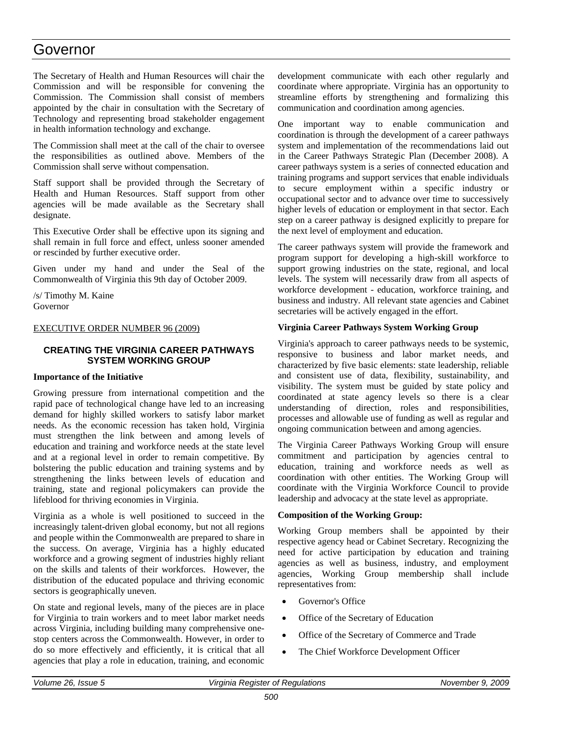### Governor

The Secretary of Health and Human Resources will chair the Commission and will be responsible for convening the Commission. The Commission shall consist of members appointed by the chair in consultation with the Secretary of Technology and representing broad stakeholder engagement in health information technology and exchange.

The Commission shall meet at the call of the chair to oversee the responsibilities as outlined above. Members of the Commission shall serve without compensation.

Staff support shall be provided through the Secretary of Health and Human Resources. Staff support from other agencies will be made available as the Secretary shall designate.

This Executive Order shall be effective upon its signing and shall remain in full force and effect, unless sooner amended or rescinded by further executive order.

Given under my hand and under the Seal of the Commonwealth of Virginia this 9th day of October 2009.

/s/ Timothy M. Kaine Governor

#### EXECUTIVE ORDER NUMBER 96 (2009)

#### **CREATING THE VIRGINIA CAREER PATHWAYS SYSTEM WORKING GROUP**

#### **Importance of the Initiative**

Growing pressure from international competition and the rapid pace of technological change have led to an increasing demand for highly skilled workers to satisfy labor market needs. As the economic recession has taken hold, Virginia must strengthen the link between and among levels of education and training and workforce needs at the state level and at a regional level in order to remain competitive. By bolstering the public education and training systems and by strengthening the links between levels of education and training, state and regional policymakers can provide the lifeblood for thriving economies in Virginia.

Virginia as a whole is well positioned to succeed in the increasingly talent-driven global economy, but not all regions and people within the Commonwealth are prepared to share in the success. On average, Virginia has a highly educated workforce and a growing segment of industries highly reliant on the skills and talents of their workforces. However, the distribution of the educated populace and thriving economic sectors is geographically uneven.

On state and regional levels, many of the pieces are in place for Virginia to train workers and to meet labor market needs across Virginia, including building many comprehensive onestop centers across the Commonwealth. However, in order to do so more effectively and efficiently, it is critical that all agencies that play a role in education, training, and economic development communicate with each other regularly and coordinate where appropriate. Virginia has an opportunity to streamline efforts by strengthening and formalizing this communication and coordination among agencies.

One important way to enable communication and coordination is through the development of a career pathways system and implementation of the recommendations laid out in the Career Pathways Strategic Plan (December 2008). A career pathways system is a series of connected education and training programs and support services that enable individuals to secure employment within a specific industry or occupational sector and to advance over time to successively higher levels of education or employment in that sector. Each step on a career pathway is designed explicitly to prepare for the next level of employment and education.

The career pathways system will provide the framework and program support for developing a high-skill workforce to support growing industries on the state, regional, and local levels. The system will necessarily draw from all aspects of workforce development - education, workforce training, and business and industry. All relevant state agencies and Cabinet secretaries will be actively engaged in the effort.

#### **Virginia Career Pathways System Working Group**

Virginia's approach to career pathways needs to be systemic, responsive to business and labor market needs, and characterized by five basic elements: state leadership, reliable and consistent use of data, flexibility, sustainability, and visibility. The system must be guided by state policy and coordinated at state agency levels so there is a clear understanding of direction, roles and responsibilities, processes and allowable use of funding as well as regular and ongoing communication between and among agencies.

The Virginia Career Pathways Working Group will ensure commitment and participation by agencies central to education, training and workforce needs as well as coordination with other entities. The Working Group will coordinate with the Virginia Workforce Council to provide leadership and advocacy at the state level as appropriate.

#### **Composition of the Working Group:**

Working Group members shall be appointed by their respective agency head or Cabinet Secretary. Recognizing the need for active participation by education and training agencies as well as business, industry, and employment agencies, Working Group membership shall include representatives from:

- Governor's Office
- Office of the Secretary of Education
- Office of the Secretary of Commerce and Trade
- The Chief Workforce Development Officer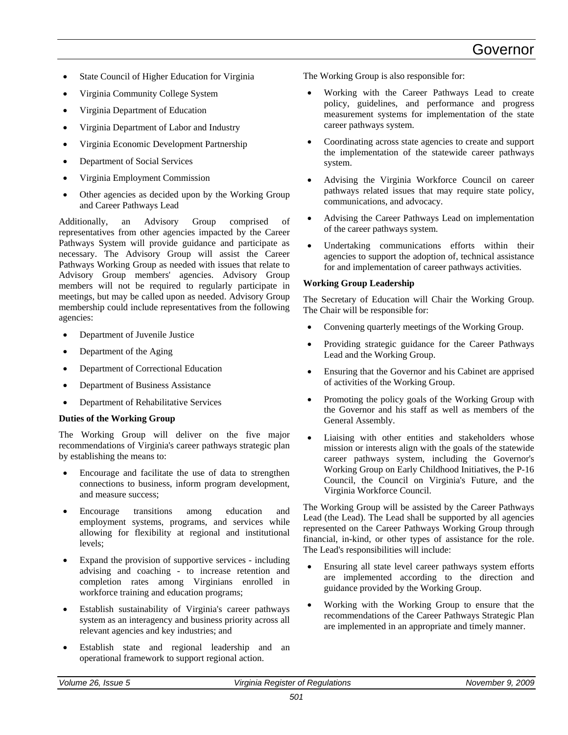- State Council of Higher Education for Virginia
- Virginia Community College System
- Virginia Department of Education
- Virginia Department of Labor and Industry
- Virginia Economic Development Partnership
- Department of Social Services
- Virginia Employment Commission
- Other agencies as decided upon by the Working Group and Career Pathways Lead

Additionally, an Advisory Group comprised of representatives from other agencies impacted by the Career Pathways System will provide guidance and participate as necessary. The Advisory Group will assist the Career Pathways Working Group as needed with issues that relate to Advisory Group members' agencies. Advisory Group members will not be required to regularly participate in meetings, but may be called upon as needed. Advisory Group membership could include representatives from the following agencies:

- Department of Juvenile Justice
- Department of the Aging
- Department of Correctional Education
- Department of Business Assistance
- Department of Rehabilitative Services

#### **Duties of the Working Group**

The Working Group will deliver on the five major recommendations of Virginia's career pathways strategic plan by establishing the means to:

- Encourage and facilitate the use of data to strengthen connections to business, inform program development, and measure success;
- Encourage transitions among education and employment systems, programs, and services while allowing for flexibility at regional and institutional levels;
- Expand the provision of supportive services including advising and coaching - to increase retention and completion rates among Virginians enrolled in workforce training and education programs;
- Establish sustainability of Virginia's career pathways system as an interagency and business priority across all relevant agencies and key industries; and
- Establish state and regional leadership and an operational framework to support regional action.

The Working Group is also responsible for:

- Working with the Career Pathways Lead to create policy, guidelines, and performance and progress measurement systems for implementation of the state career pathways system.
- Coordinating across state agencies to create and support the implementation of the statewide career pathways system.
- Advising the Virginia Workforce Council on career pathways related issues that may require state policy, communications, and advocacy.
- Advising the Career Pathways Lead on implementation of the career pathways system.
- Undertaking communications efforts within their agencies to support the adoption of, technical assistance for and implementation of career pathways activities.

#### **Working Group Leadership**

The Secretary of Education will Chair the Working Group. The Chair will be responsible for:

- Convening quarterly meetings of the Working Group.
- Providing strategic guidance for the Career Pathways Lead and the Working Group.
- Ensuring that the Governor and his Cabinet are apprised of activities of the Working Group.
- Promoting the policy goals of the Working Group with the Governor and his staff as well as members of the General Assembly.
- Liaising with other entities and stakeholders whose mission or interests align with the goals of the statewide career pathways system, including the Governor's Working Group on Early Childhood Initiatives, the P-16 Council, the Council on Virginia's Future, and the Virginia Workforce Council.

The Working Group will be assisted by the Career Pathways Lead (the Lead). The Lead shall be supported by all agencies represented on the Career Pathways Working Group through financial, in-kind, or other types of assistance for the role. The Lead's responsibilities will include:

- Ensuring all state level career pathways system efforts are implemented according to the direction and guidance provided by the Working Group.
- Working with the Working Group to ensure that the recommendations of the Career Pathways Strategic Plan are implemented in an appropriate and timely manner.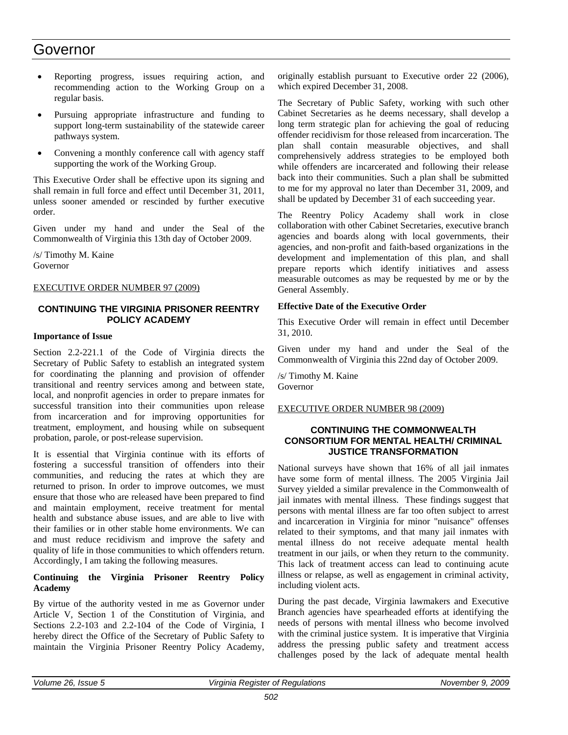### Governor

- Reporting progress, issues requiring action, and recommending action to the Working Group on a regular basis.
- Pursuing appropriate infrastructure and funding to support long-term sustainability of the statewide career pathways system.
- Convening a monthly conference call with agency staff supporting the work of the Working Group.

This Executive Order shall be effective upon its signing and shall remain in full force and effect until December 31, 2011, unless sooner amended or rescinded by further executive order.

Given under my hand and under the Seal of the Commonwealth of Virginia this 13th day of October 2009.

/s/ Timothy M. Kaine Governor

#### EXECUTIVE ORDER NUMBER 97 (2009)

#### **CONTINUING THE VIRGINIA PRISONER REENTRY POLICY ACADEMY**

#### **Importance of Issue**

Section 2.2-221.1 of the Code of Virginia directs the Secretary of Public Safety to establish an integrated system for coordinating the planning and provision of offender transitional and reentry services among and between state, local, and nonprofit agencies in order to prepare inmates for successful transition into their communities upon release from incarceration and for improving opportunities for treatment, employment, and housing while on subsequent probation, parole, or post-release supervision.

It is essential that Virginia continue with its efforts of fostering a successful transition of offenders into their communities, and reducing the rates at which they are returned to prison. In order to improve outcomes, we must ensure that those who are released have been prepared to find and maintain employment, receive treatment for mental health and substance abuse issues, and are able to live with their families or in other stable home environments. We can and must reduce recidivism and improve the safety and quality of life in those communities to which offenders return. Accordingly, I am taking the following measures.

#### **Continuing the Virginia Prisoner Reentry Policy Academy**

By virtue of the authority vested in me as Governor under Article V, Section 1 of the Constitution of Virginia, and Sections 2.2-103 and 2.2-104 of the Code of Virginia, I hereby direct the Office of the Secretary of Public Safety to maintain the Virginia Prisoner Reentry Policy Academy,

originally establish pursuant to Executive order 22 (2006), which expired December 31, 2008.

The Secretary of Public Safety, working with such other Cabinet Secretaries as he deems necessary, shall develop a long term strategic plan for achieving the goal of reducing offender recidivism for those released from incarceration. The plan shall contain measurable objectives, and shall comprehensively address strategies to be employed both while offenders are incarcerated and following their release back into their communities. Such a plan shall be submitted to me for my approval no later than December 31, 2009, and shall be updated by December 31 of each succeeding year.

The Reentry Policy Academy shall work in close collaboration with other Cabinet Secretaries, executive branch agencies and boards along with local governments, their agencies, and non-profit and faith-based organizations in the development and implementation of this plan, and shall prepare reports which identify initiatives and assess measurable outcomes as may be requested by me or by the General Assembly.

#### **Effective Date of the Executive Order**

This Executive Order will remain in effect until December 31, 2010.

Given under my hand and under the Seal of the Commonwealth of Virginia this 22nd day of October 2009.

/s/ Timothy M. Kaine Governor

#### EXECUTIVE ORDER NUMBER 98 (2009)

#### **CONTINUING THE COMMONWEALTH CONSORTIUM FOR MENTAL HEALTH/ CRIMINAL JUSTICE TRANSFORMATION**

National surveys have shown that 16% of all jail inmates have some form of mental illness. The 2005 Virginia Jail Survey yielded a similar prevalence in the Commonwealth of jail inmates with mental illness. These findings suggest that persons with mental illness are far too often subject to arrest and incarceration in Virginia for minor "nuisance" offenses related to their symptoms, and that many jail inmates with mental illness do not receive adequate mental health treatment in our jails, or when they return to the community. This lack of treatment access can lead to continuing acute illness or relapse, as well as engagement in criminal activity, including violent acts.

During the past decade, Virginia lawmakers and Executive Branch agencies have spearheaded efforts at identifying the needs of persons with mental illness who become involved with the criminal justice system. It is imperative that Virginia address the pressing public safety and treatment access challenges posed by the lack of adequate mental health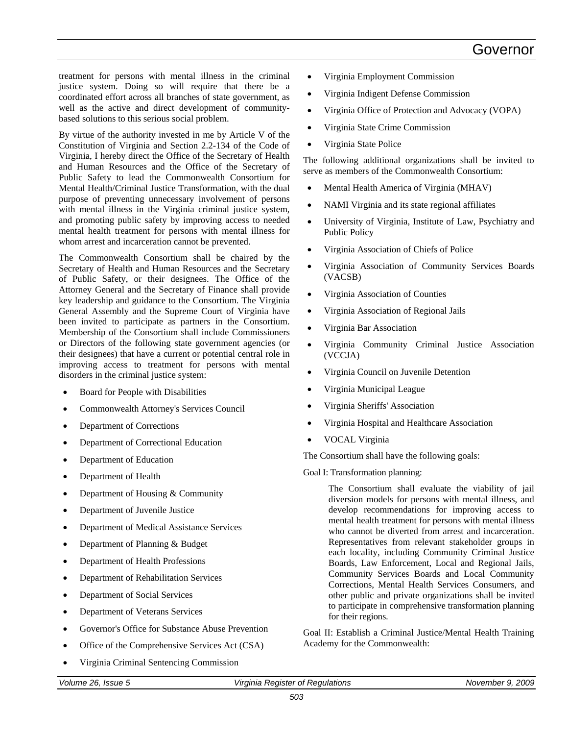treatment for persons with mental illness in the criminal justice system. Doing so will require that there be a coordinated effort across all branches of state government, as well as the active and direct development of communitybased solutions to this serious social problem.

By virtue of the authority invested in me by Article V of the Constitution of Virginia and Section 2.2-134 of the Code of Virginia, I hereby direct the Office of the Secretary of Health and Human Resources and the Office of the Secretary of Public Safety to lead the Commonwealth Consortium for Mental Health/Criminal Justice Transformation, with the dual purpose of preventing unnecessary involvement of persons with mental illness in the Virginia criminal justice system, and promoting public safety by improving access to needed mental health treatment for persons with mental illness for whom arrest and incarceration cannot be prevented.

The Commonwealth Consortium shall be chaired by the Secretary of Health and Human Resources and the Secretary of Public Safety, or their designees. The Office of the Attorney General and the Secretary of Finance shall provide key leadership and guidance to the Consortium. The Virginia General Assembly and the Supreme Court of Virginia have been invited to participate as partners in the Consortium. Membership of the Consortium shall include Commissioners or Directors of the following state government agencies (or their designees) that have a current or potential central role in improving access to treatment for persons with mental disorders in the criminal justice system:

- Board for People with Disabilities
- Commonwealth Attorney's Services Council
- Department of Corrections
- Department of Correctional Education
- Department of Education
- Department of Health
- Department of Housing & Community
- Department of Juvenile Justice
- Department of Medical Assistance Services
- Department of Planning & Budget
- Department of Health Professions
- Department of Rehabilitation Services
- Department of Social Services
- Department of Veterans Services
- Governor's Office for Substance Abuse Prevention
- Office of the Comprehensive Services Act (CSA)
- Virginia Criminal Sentencing Commission
- Virginia Employment Commission
- Virginia Indigent Defense Commission
- Virginia Office of Protection and Advocacy (VOPA)
- Virginia State Crime Commission
- Virginia State Police

The following additional organizations shall be invited to serve as members of the Commonwealth Consortium:

- Mental Health America of Virginia (MHAV)
- NAMI Virginia and its state regional affiliates
- University of Virginia, Institute of Law, Psychiatry and Public Policy
- Virginia Association of Chiefs of Police
- Virginia Association of Community Services Boards (VACSB)
- Virginia Association of Counties
- Virginia Association of Regional Jails
- Virginia Bar Association
- Virginia Community Criminal Justice Association (VCCJA)
- Virginia Council on Juvenile Detention
- Virginia Municipal League
- Virginia Sheriffs' Association
- Virginia Hospital and Healthcare Association
- VOCAL Virginia

The Consortium shall have the following goals:

Goal I: Transformation planning:

The Consortium shall evaluate the viability of jail diversion models for persons with mental illness, and develop recommendations for improving access to mental health treatment for persons with mental illness who cannot be diverted from arrest and incarceration. Representatives from relevant stakeholder groups in each locality, including Community Criminal Justice Boards, Law Enforcement, Local and Regional Jails, Community Services Boards and Local Community Corrections, Mental Health Services Consumers, and other public and private organizations shall be invited to participate in comprehensive transformation planning for their regions.

Goal II: Establish a Criminal Justice/Mental Health Training Academy for the Commonwealth: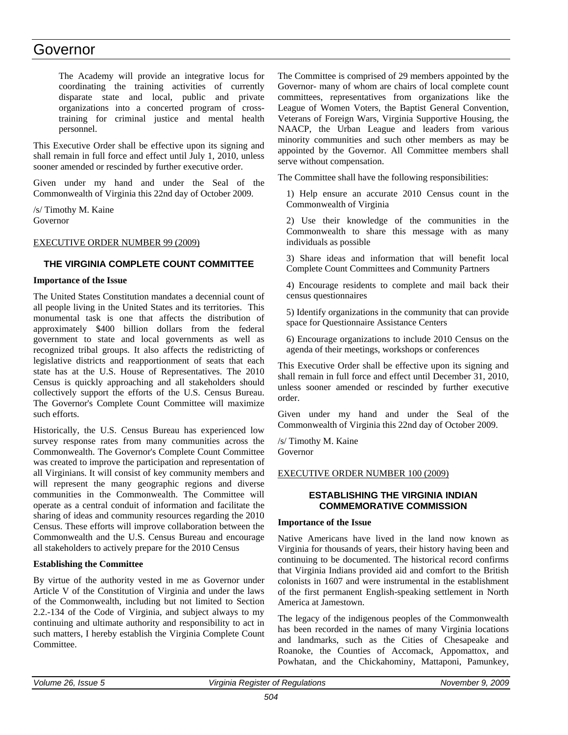### Governor

The Academy will provide an integrative locus for coordinating the training activities of currently disparate state and local, public and private organizations into a concerted program of crosstraining for criminal justice and mental health personnel.

This Executive Order shall be effective upon its signing and shall remain in full force and effect until July 1, 2010, unless sooner amended or rescinded by further executive order.

Given under my hand and under the Seal of the Commonwealth of Virginia this 22nd day of October 2009.

/s/ Timothy M. Kaine Governor

#### EXECUTIVE ORDER NUMBER 99 (2009)

#### **THE VIRGINIA COMPLETE COUNT COMMITTEE**

#### **Importance of the Issue**

The United States Constitution mandates a decennial count of all people living in the United States and its territories. This monumental task is one that affects the distribution of approximately \$400 billion dollars from the federal government to state and local governments as well as recognized tribal groups. It also affects the redistricting of legislative districts and reapportionment of seats that each state has at the U.S. House of Representatives. The 2010 Census is quickly approaching and all stakeholders should collectively support the efforts of the U.S. Census Bureau. The Governor's Complete Count Committee will maximize such efforts.

Historically, the U.S. Census Bureau has experienced low survey response rates from many communities across the Commonwealth. The Governor's Complete Count Committee was created to improve the participation and representation of all Virginians. It will consist of key community members and will represent the many geographic regions and diverse communities in the Commonwealth. The Committee will operate as a central conduit of information and facilitate the sharing of ideas and community resources regarding the 2010 Census. These efforts will improve collaboration between the Commonwealth and the U.S. Census Bureau and encourage all stakeholders to actively prepare for the 2010 Census

#### **Establishing the Committee**

By virtue of the authority vested in me as Governor under Article V of the Constitution of Virginia and under the laws of the Commonwealth, including but not limited to Section 2.2.-134 of the Code of Virginia, and subject always to my continuing and ultimate authority and responsibility to act in such matters, I hereby establish the Virginia Complete Count Committee.

The Committee is comprised of 29 members appointed by the Governor- many of whom are chairs of local complete count committees, representatives from organizations like the League of Women Voters, the Baptist General Convention, Veterans of Foreign Wars, Virginia Supportive Housing, the NAACP, the Urban League and leaders from various minority communities and such other members as may be appointed by the Governor. All Committee members shall serve without compensation.

The Committee shall have the following responsibilities:

1) Help ensure an accurate 2010 Census count in the Commonwealth of Virginia

2) Use their knowledge of the communities in the Commonwealth to share this message with as many individuals as possible

3) Share ideas and information that will benefit local Complete Count Committees and Community Partners

4) Encourage residents to complete and mail back their census questionnaires

5) Identify organizations in the community that can provide space for Questionnaire Assistance Centers

6) Encourage organizations to include 2010 Census on the agenda of their meetings, workshops or conferences

This Executive Order shall be effective upon its signing and shall remain in full force and effect until December 31, 2010, unless sooner amended or rescinded by further executive order.

Given under my hand and under the Seal of the Commonwealth of Virginia this 22nd day of October 2009.

/s/ Timothy M. Kaine Governor

#### EXECUTIVE ORDER NUMBER 100 (2009)

#### **ESTABLISHING THE VIRGINIA INDIAN COMMEMORATIVE COMMISSION**

#### **Importance of the Issue**

Native Americans have lived in the land now known as Virginia for thousands of years, their history having been and continuing to be documented. The historical record confirms that Virginia Indians provided aid and comfort to the British colonists in 1607 and were instrumental in the establishment of the first permanent English-speaking settlement in North America at Jamestown.

The legacy of the indigenous peoples of the Commonwealth has been recorded in the names of many Virginia locations and landmarks, such as the Cities of Chesapeake and Roanoke, the Counties of Accomack, Appomattox, and Powhatan, and the Chickahominy, Mattaponi, Pamunkey,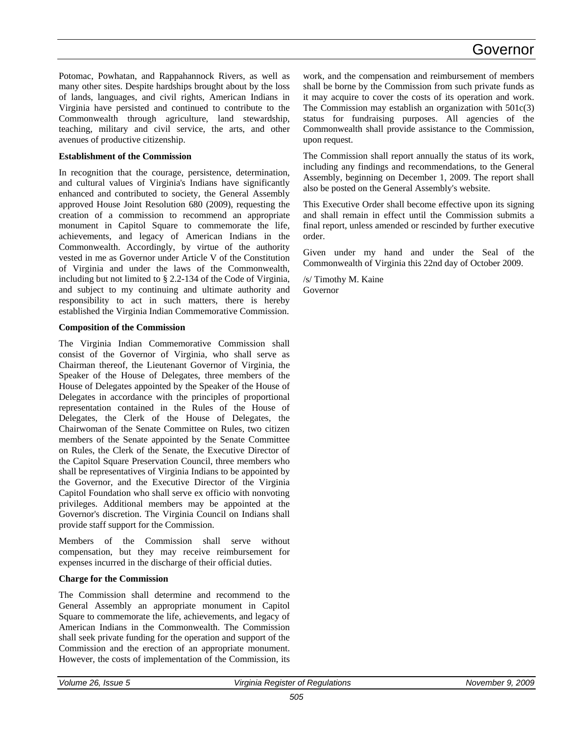### Governor

Potomac, Powhatan, and Rappahannock Rivers, as well as many other sites. Despite hardships brought about by the loss of lands, languages, and civil rights, American Indians in Virginia have persisted and continued to contribute to the Commonwealth through agriculture, land stewardship, teaching, military and civil service, the arts, and other avenues of productive citizenship.

#### **Establishment of the Commission**

In recognition that the courage, persistence, determination, and cultural values of Virginia's Indians have significantly enhanced and contributed to society, the General Assembly approved House Joint Resolution 680 (2009), requesting the creation of a commission to recommend an appropriate monument in Capitol Square to commemorate the life, achievements, and legacy of American Indians in the Commonwealth. Accordingly, by virtue of the authority vested in me as Governor under Article V of the Constitution of Virginia and under the laws of the Commonwealth, including but not limited to § 2.2-134 of the Code of Virginia, and subject to my continuing and ultimate authority and responsibility to act in such matters, there is hereby established the Virginia Indian Commemorative Commission.

#### **Composition of the Commission**

The Virginia Indian Commemorative Commission shall consist of the Governor of Virginia, who shall serve as Chairman thereof, the Lieutenant Governor of Virginia, the Speaker of the House of Delegates, three members of the House of Delegates appointed by the Speaker of the House of Delegates in accordance with the principles of proportional representation contained in the Rules of the House of Delegates, the Clerk of the House of Delegates, the Chairwoman of the Senate Committee on Rules, two citizen members of the Senate appointed by the Senate Committee on Rules, the Clerk of the Senate, the Executive Director of the Capitol Square Preservation Council, three members who shall be representatives of Virginia Indians to be appointed by the Governor, and the Executive Director of the Virginia Capitol Foundation who shall serve ex officio with nonvoting privileges. Additional members may be appointed at the Governor's discretion. The Virginia Council on Indians shall provide staff support for the Commission.

Members of the Commission shall serve without compensation, but they may receive reimbursement for expenses incurred in the discharge of their official duties.

#### **Charge for the Commission**

The Commission shall determine and recommend to the General Assembly an appropriate monument in Capitol Square to commemorate the life, achievements, and legacy of American Indians in the Commonwealth. The Commission shall seek private funding for the operation and support of the Commission and the erection of an appropriate monument. However, the costs of implementation of the Commission, its work, and the compensation and reimbursement of members shall be borne by the Commission from such private funds as it may acquire to cover the costs of its operation and work. The Commission may establish an organization with 501c(3) status for fundraising purposes. All agencies of the Commonwealth shall provide assistance to the Commission, upon request.

The Commission shall report annually the status of its work, including any findings and recommendations, to the General Assembly, beginning on December 1, 2009. The report shall also be posted on the General Assembly's website.

This Executive Order shall become effective upon its signing and shall remain in effect until the Commission submits a final report, unless amended or rescinded by further executive order.

Given under my hand and under the Seal of the Commonwealth of Virginia this 22nd day of October 2009.

/s/ Timothy M. Kaine Governor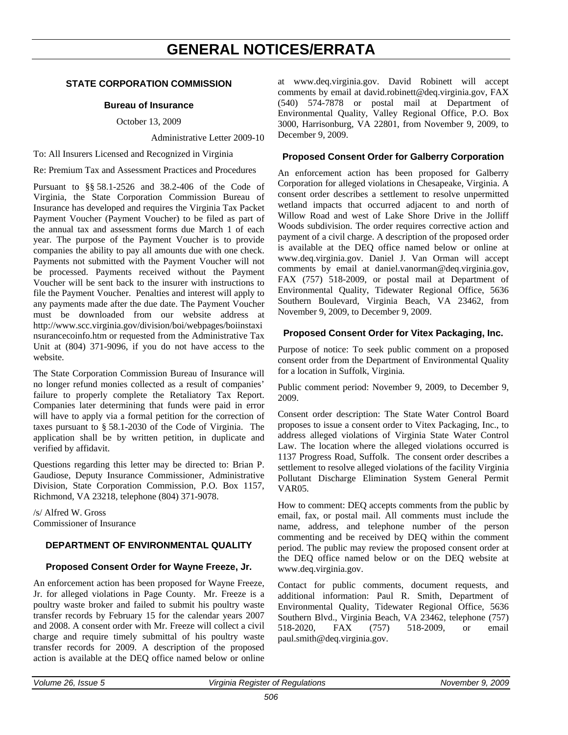### **GENERAL NOTICES/ERRATA**

#### <span id="page-58-0"></span>**STATE CORPORATION COMMISSION**

#### **Bureau of Insurance**

October 13, 2009

Administrative Letter 2009-10

To: All Insurers Licensed and Recognized in Virginia

Re: Premium Tax and Assessment Practices and Procedures

Pursuant to §§ 58.1-2526 and 38.2-406 of the Code of Virginia, the State Corporation Commission Bureau of Insurance has developed and requires the Virginia Tax Packet Payment Voucher (Payment Voucher) to be filed as part of the annual tax and assessment forms due March 1 of each year. The purpose of the Payment Voucher is to provide companies the ability to pay all amounts due with one check. Payments not submitted with the Payment Voucher will not be processed. Payments received without the Payment Voucher will be sent back to the insurer with instructions to file the Payment Voucher. Penalties and interest will apply to any payments made after the due date. The Payment Voucher must be downloaded from our website address at http://www.scc.virginia.gov/division/boi/webpages/boiinstaxi nsurancecoinfo.htm or requested from the Administrative Tax Unit at (804) 371-9096, if you do not have access to the website.

The State Corporation Commission Bureau of Insurance will no longer refund monies collected as a result of companies' failure to properly complete the Retaliatory Tax Report. Companies later determining that funds were paid in error will have to apply via a formal petition for the correction of taxes pursuant to § 58.1-2030 of the Code of Virginia. The application shall be by written petition, in duplicate and verified by affidavit.

Questions regarding this letter may be directed to: Brian P. Gaudiose, Deputy Insurance Commissioner, Administrative Division, State Corporation Commission, P.O. Box 1157, Richmond, VA 23218, telephone (804) 371-9078.

/s/ Alfred W. Gross Commissioner of Insurance

#### **DEPARTMENT OF ENVIRONMENTAL QUALITY**

#### **Proposed Consent Order for Wayne Freeze, Jr.**

An enforcement action has been proposed for Wayne Freeze, Jr. for alleged violations in Page County. Mr. Freeze is a poultry waste broker and failed to submit his poultry waste transfer records by February 15 for the calendar years 2007 and 2008. A consent order with Mr. Freeze will collect a civil charge and require timely submittal of his poultry waste transfer records for 2009. A description of the proposed action is available at the DEQ office named below or online

at www.deq.virginia.gov. David Robinett will accept comments by email at david.robinett@deq.virginia.gov, FAX (540) 574-7878 or postal mail at Department of Environmental Quality, Valley Regional Office, P.O. Box 3000, Harrisonburg, VA 22801, from November 9, 2009, to December 9, 2009.

#### **Proposed Consent Order for Galberry Corporation**

An enforcement action has been proposed for Galberry Corporation for alleged violations in Chesapeake, Virginia. A consent order describes a settlement to resolve unpermitted wetland impacts that occurred adjacent to and north of Willow Road and west of Lake Shore Drive in the Jolliff Woods subdivision. The order requires corrective action and payment of a civil charge. A description of the proposed order is available at the DEQ office named below or online at www.deq.virginia.gov. Daniel J. Van Orman will accept comments by email at daniel.vanorman@deq.virginia.gov, FAX (757) 518-2009, or postal mail at Department of Environmental Quality, Tidewater Regional Office, 5636 Southern Boulevard, Virginia Beach, VA 23462, from November 9, 2009, to December 9, 2009.

#### **Proposed Consent Order for Vitex Packaging, Inc.**

Purpose of notice: To seek public comment on a proposed consent order from the Department of Environmental Quality for a location in Suffolk, Virginia.

Public comment period: November 9, 2009, to December 9, 2009.

Consent order description: The State Water Control Board proposes to issue a consent order to Vitex Packaging, Inc., to address alleged violations of Virginia State Water Control Law. The location where the alleged violations occurred is 1137 Progress Road, Suffolk. The consent order describes a settlement to resolve alleged violations of the facility Virginia Pollutant Discharge Elimination System General Permit VAR05.

How to comment: DEQ accepts comments from the public by email, fax, or postal mail. All comments must include the name, address, and telephone number of the person commenting and be received by DEQ within the comment period. The public may review the proposed consent order at the DEQ office named below or on the DEQ website at www.deq.virginia.gov.

Contact for public comments, document requests, and additional information: Paul R. Smith, Department of Environmental Quality, Tidewater Regional Office, 5636 Southern Blvd., Virginia Beach, VA 23462, telephone (757) 518-2020, FAX (757) 518-2009, or email paul.smith@deq.virginia.gov.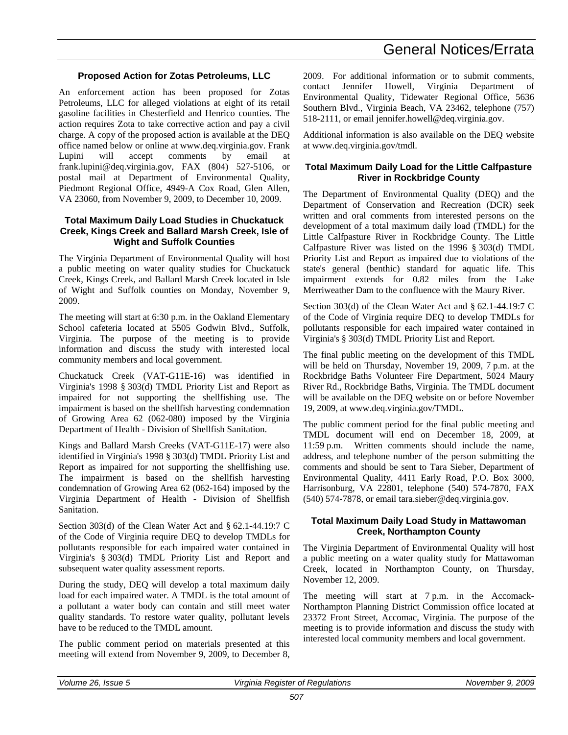### General Notices/Errata

#### **Proposed Action for Zotas Petroleums, LLC**

An enforcement action has been proposed for Zotas Petroleums, LLC for alleged violations at eight of its retail gasoline facilities in Chesterfield and Henrico counties. The action requires Zota to take corrective action and pay a civil charge. A copy of the proposed action is available at the DEQ office named below or online at www.deq.virginia.gov. Frank Lupini will accept comments by email at frank.lupini@deq.virginia.gov, FAX (804) 527-5106, or postal mail at Department of Environmental Quality, Piedmont Regional Office, 4949-A Cox Road, Glen Allen, VA 23060, from November 9, 2009, to December 10, 2009.

#### **Total Maximum Daily Load Studies in Chuckatuck Creek, Kings Creek and Ballard Marsh Creek, Isle of Wight and Suffolk Counties**

The Virginia Department of Environmental Quality will host a public meeting on water quality studies for Chuckatuck Creek, Kings Creek, and Ballard Marsh Creek located in Isle of Wight and Suffolk counties on Monday, November 9, 2009.

The meeting will start at 6:30 p.m. in the Oakland Elementary School cafeteria located at 5505 Godwin Blvd., Suffolk, Virginia. The purpose of the meeting is to provide information and discuss the study with interested local community members and local government.

Chuckatuck Creek (VAT-G11E-16) was identified in Virginia's 1998 § 303(d) TMDL Priority List and Report as impaired for not supporting the shellfishing use. The impairment is based on the shellfish harvesting condemnation of Growing Area 62 (062-080) imposed by the Virginia Department of Health - Division of Shellfish Sanitation.

Kings and Ballard Marsh Creeks (VAT-G11E-17) were also identified in Virginia's 1998 § 303(d) TMDL Priority List and Report as impaired for not supporting the shellfishing use. The impairment is based on the shellfish harvesting condemnation of Growing Area 62 (062-164) imposed by the Virginia Department of Health - Division of Shellfish Sanitation.

Section 303(d) of the Clean Water Act and § 62.1-44.19:7 C of the Code of Virginia require DEQ to develop TMDLs for pollutants responsible for each impaired water contained in Virginia's § 303(d) TMDL Priority List and Report and subsequent water quality assessment reports.

During the study, DEQ will develop a total maximum daily load for each impaired water. A TMDL is the total amount of a pollutant a water body can contain and still meet water quality standards. To restore water quality, pollutant levels have to be reduced to the TMDL amount.

The public comment period on materials presented at this meeting will extend from November 9, 2009, to December 8, 2009. For additional information or to submit comments, contact Jennifer Howell, Virginia Department of Environmental Quality, Tidewater Regional Office, 5636 Southern Blvd., Virginia Beach, VA 23462, telephone (757) 518-2111, or email jennifer.howell@deq.virginia.gov.

Additional information is also available on the DEQ website at www.deq.virginia.gov/tmdl.

#### **Total Maximum Daily Load for the Little Calfpasture River in Rockbridge County**

The Department of Environmental Quality (DEQ) and the Department of Conservation and Recreation (DCR) seek written and oral comments from interested persons on the development of a total maximum daily load (TMDL) for the Little Calfpasture River in Rockbridge County. The Little Calfpasture River was listed on the 1996 § 303(d) TMDL Priority List and Report as impaired due to violations of the state's general (benthic) standard for aquatic life. This impairment extends for 0.82 miles from the Lake Merriweather Dam to the confluence with the Maury River.

Section 303(d) of the Clean Water Act and § 62.1-44.19:7 C of the Code of Virginia require DEQ to develop TMDLs for pollutants responsible for each impaired water contained in Virginia's § 303(d) TMDL Priority List and Report.

The final public meeting on the development of this TMDL will be held on Thursday, November 19, 2009, 7 p.m. at the Rockbridge Baths Volunteer Fire Department, 5024 Maury River Rd., Rockbridge Baths, Virginia. The TMDL document will be available on the DEQ website on or before November 19, 2009, at www.deq.virginia.gov/TMDL.

The public comment period for the final public meeting and TMDL document will end on December 18, 2009, at 11:59 p.m. Written comments should include the name, address, and telephone number of the person submitting the comments and should be sent to Tara Sieber, Department of Environmental Quality, 4411 Early Road, P.O. Box 3000, Harrisonburg, VA 22801, telephone (540) 574-7870, FAX (540) 574-7878, or email tara.sieber@deq.virginia.gov.

#### **Total Maximum Daily Load Study in Mattawoman Creek, Northampton County**

The Virginia Department of Environmental Quality will host a public meeting on a water quality study for Mattawoman Creek, located in Northampton County, on Thursday, November 12, 2009.

The meeting will start at 7 p.m. in the Accomack-Northampton Planning District Commission office located at 23372 Front Street, Accomac, Virginia. The purpose of the meeting is to provide information and discuss the study with interested local community members and local government.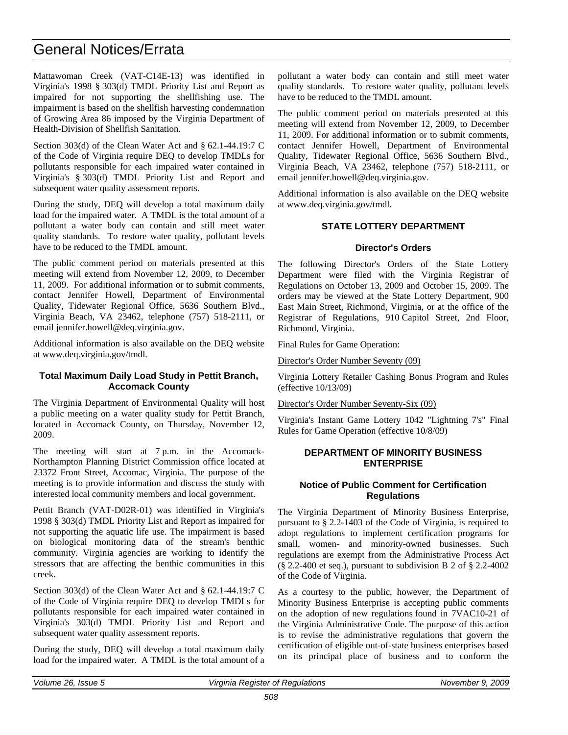### General Notices/Errata

Mattawoman Creek (VAT-C14E-13) was identified in Virginia's 1998 § 303(d) TMDL Priority List and Report as impaired for not supporting the shellfishing use. The impairment is based on the shellfish harvesting condemnation of Growing Area 86 imposed by the Virginia Department of Health-Division of Shellfish Sanitation.

Section 303(d) of the Clean Water Act and § 62.1-44.19:7 C of the Code of Virginia require DEQ to develop TMDLs for pollutants responsible for each impaired water contained in Virginia's § 303(d) TMDL Priority List and Report and subsequent water quality assessment reports.

During the study, DEQ will develop a total maximum daily load for the impaired water. A TMDL is the total amount of a pollutant a water body can contain and still meet water quality standards. To restore water quality, pollutant levels have to be reduced to the TMDL amount.

The public comment period on materials presented at this meeting will extend from November 12, 2009, to December 11, 2009. For additional information or to submit comments, contact Jennifer Howell, Department of Environmental Quality, Tidewater Regional Office, 5636 Southern Blvd., Virginia Beach, VA 23462, telephone (757) 518-2111, or email jennifer.howell@deq.virginia.gov.

Additional information is also available on the DEQ website at www.deq.virginia.gov/tmdl.

#### **Total Maximum Daily Load Study in Pettit Branch, Accomack County**

The Virginia Department of Environmental Quality will host a public meeting on a water quality study for Pettit Branch, located in Accomack County, on Thursday, November 12, 2009.

The meeting will start at 7 p.m. in the Accomack-Northampton Planning District Commission office located at 23372 Front Street, Accomac, Virginia. The purpose of the meeting is to provide information and discuss the study with interested local community members and local government.

Pettit Branch (VAT-D02R-01) was identified in Virginia's 1998 § 303(d) TMDL Priority List and Report as impaired for not supporting the aquatic life use. The impairment is based on biological monitoring data of the stream's benthic community. Virginia agencies are working to identify the stressors that are affecting the benthic communities in this creek.

Section 303(d) of the Clean Water Act and § 62.1-44.19:7 C of the Code of Virginia require DEQ to develop TMDLs for pollutants responsible for each impaired water contained in Virginia's 303(d) TMDL Priority List and Report and subsequent water quality assessment reports.

During the study, DEQ will develop a total maximum daily load for the impaired water. A TMDL is the total amount of a pollutant a water body can contain and still meet water quality standards. To restore water quality, pollutant levels have to be reduced to the TMDL amount.

The public comment period on materials presented at this meeting will extend from November 12, 2009, to December 11, 2009. For additional information or to submit comments, contact Jennifer Howell, Department of Environmental Quality, Tidewater Regional Office, 5636 Southern Blvd., Virginia Beach, VA 23462, telephone (757) 518-2111, or email jennifer.howell@deq.virginia.gov.

Additional information is also available on the DEQ website at www.deq.virginia.gov/tmdl.

### **STATE LOTTERY DEPARTMENT**

#### **Director's Orders**

The following Director's Orders of the State Lottery Department were filed with the Virginia Registrar of Regulations on October 13, 2009 and October 15, 2009. The orders may be viewed at the State Lottery Department, 900 East Main Street, Richmond, Virginia, or at the office of the Registrar of Regulations, 910 Capitol Street, 2nd Floor, Richmond, Virginia.

Final Rules for Game Operation:

Director's Order Number Seventy (09)

Virginia Lottery Retailer Cashing Bonus Program and Rules (effective 10/13/09)

#### Director's Order Number Seventy-Six (09)

Virginia's Instant Game Lottery 1042 "Lightning 7's" Final Rules for Game Operation (effective 10/8/09)

#### **DEPARTMENT OF MINORITY BUSINESS ENTERPRISE**

#### **Notice of Public Comment for Certification Regulations**

The Virginia Department of Minority Business Enterprise, pursuant to § 2.2-1403 of the Code of Virginia, is required to adopt regulations to implement certification programs for small, women- and minority-owned businesses. Such regulations are exempt from the Administrative Process Act  $(\S$  2.2-400 et seq.), pursuant to subdivision B 2 of  $\S$  2.2-4002 of the Code of Virginia.

As a courtesy to the public, however, the Department of Minority Business Enterprise is accepting public comments on the adoption of new regulations found in 7VAC10-21 of the Virginia Administrative Code. The purpose of this action is to revise the administrative regulations that govern the certification of eligible out-of-state business enterprises based on its principal place of business and to conform the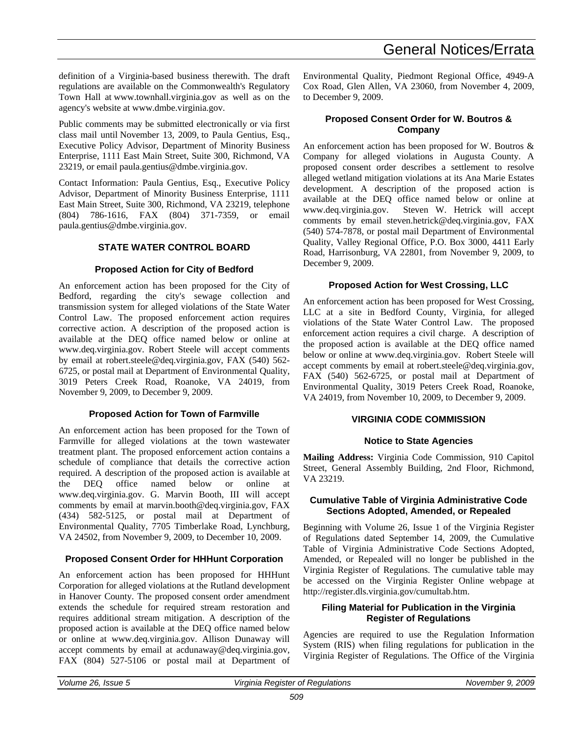definition of a Virginia-based business therewith. The draft regulations are available on the Commonwealth's Regulatory Town Hall at www.townhall.virginia.gov as well as on the agency's website at www.dmbe.virginia.gov.

Public comments may be submitted electronically or via first class mail until November 13, 2009, to Paula Gentius, Esq., Executive Policy Advisor, Department of Minority Business Enterprise, 1111 East Main Street, Suite 300, Richmond, VA 23219, or email paula.gentius@dmbe.virginia.gov.

Contact Information: Paula Gentius, Esq., Executive Policy Advisor, Department of Minority Business Enterprise, 1111 East Main Street, Suite 300, Richmond, VA 23219, telephone (804) 786-1616, FAX (804) 371-7359, or email paula.gentius@dmbe.virginia.gov.

#### **STATE WATER CONTROL BOARD**

#### **Proposed Action for City of Bedford**

An enforcement action has been proposed for the City of Bedford, regarding the city's sewage collection and transmission system for alleged violations of the State Water Control Law. The proposed enforcement action requires corrective action. A description of the proposed action is available at the DEQ office named below or online at www.deq.virginia.gov. Robert Steele will accept comments by email at robert.steele@deq.virginia.gov, FAX (540) 562- 6725, or postal mail at Department of Environmental Quality, 3019 Peters Creek Road, Roanoke, VA 24019, from November 9, 2009, to December 9, 2009.

#### **Proposed Action for Town of Farmville**

An enforcement action has been proposed for the Town of Farmville for alleged violations at the town wastewater treatment plant. The proposed enforcement action contains a schedule of compliance that details the corrective action required. A description of the proposed action is available at the DEQ office named below or online at www.deq.virginia.gov. G. Marvin Booth, III will accept comments by email at marvin.booth@deq.virginia.gov, FAX (434) 582-5125, or postal mail at Department of Environmental Quality, 7705 Timberlake Road, Lynchburg, VA 24502, from November 9, 2009, to December 10, 2009.

#### **Proposed Consent Order for HHHunt Corporation**

An enforcement action has been proposed for HHHunt Corporation for alleged violations at the Rutland development in Hanover County. The proposed consent order amendment extends the schedule for required stream restoration and requires additional stream mitigation. A description of the proposed action is available at the DEQ office named below or online at www.deq.virginia.gov. Allison Dunaway will accept comments by email at acdunaway@deq.virginia.gov, FAX (804) 527-5106 or postal mail at Department of

Environmental Quality, Piedmont Regional Office, 4949-A Cox Road, Glen Allen, VA 23060, from November 4, 2009, to December 9, 2009.

#### **Proposed Consent Order for W. Boutros & Company**

An enforcement action has been proposed for W. Boutros & Company for alleged violations in Augusta County. A proposed consent order describes a settlement to resolve alleged wetland mitigation violations at its Ana Marie Estates development. A description of the proposed action is available at the DEQ office named below or online at Steven W. Hetrick will accept comments by email steven.hetrick@deq.virginia.gov, FAX (540) 574-7878, or postal mail Department of Environmental Quality, Valley Regional Office, P.O. Box 3000, 4411 Early Road, Harrisonburg, VA 22801, from November 9, 2009, to December 9, 2009.

#### **Proposed Action for West Crossing, LLC**

An enforcement action has been proposed for West Crossing, LLC at a site in Bedford County, Virginia, for alleged violations of the State Water Control Law. The proposed enforcement action requires a civil charge. A description of the proposed action is available at the DEQ office named below or online at www.deq.virginia.gov. Robert Steele will accept comments by email at robert.steele@deq.virginia.gov, FAX (540) 562-6725, or postal mail at Department of Environmental Quality, 3019 Peters Creek Road, Roanoke, VA 24019, from November 10, 2009, to December 9, 2009.

#### **VIRGINIA CODE COMMISSION**

#### **Notice to State Agencies**

**Mailing Address:** Virginia Code Commission, 910 Capitol Street, General Assembly Building, 2nd Floor, Richmond, VA 23219.

#### **Cumulative Table of Virginia Administrative Code Sections Adopted, Amended, or Repealed**

Beginning with Volume 26, Issue 1 of the Virginia Register of Regulations dated September 14, 2009, the Cumulative Table of Virginia Administrative Code Sections Adopted, Amended, or Repealed will no longer be published in the Virginia Register of Regulations. The cumulative table may be accessed on the Virginia Register Online webpage at http://register.dls.virginia.gov/cumultab.htm.

#### **Filing Material for Publication in the Virginia Register of Regulations**

Agencies are required to use the Regulation Information System (RIS) when filing regulations for publication in the Virginia Register of Regulations. The Office of the Virginia